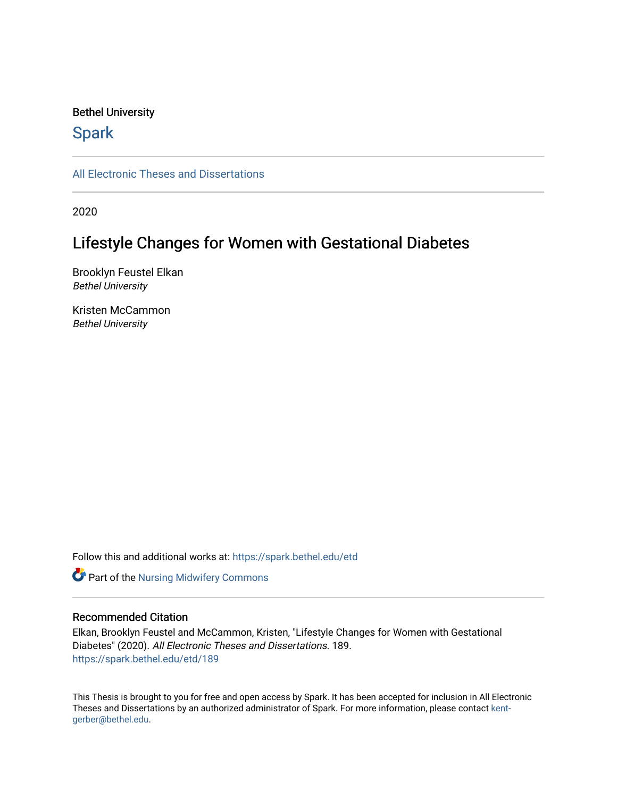#### Bethel University

## **Spark**

[All Electronic Theses and Dissertations](https://spark.bethel.edu/etd) 

2020

# Lifestyle Changes for Women with Gestational Diabetes

Brooklyn Feustel Elkan Bethel University

Kristen McCammon Bethel University

Follow this and additional works at: [https://spark.bethel.edu/etd](https://spark.bethel.edu/etd?utm_source=spark.bethel.edu%2Fetd%2F189&utm_medium=PDF&utm_campaign=PDFCoverPages)

**Part of the Nursing Midwifery Commons** 

#### Recommended Citation

Elkan, Brooklyn Feustel and McCammon, Kristen, "Lifestyle Changes for Women with Gestational Diabetes" (2020). All Electronic Theses and Dissertations. 189. [https://spark.bethel.edu/etd/189](https://spark.bethel.edu/etd/189?utm_source=spark.bethel.edu%2Fetd%2F189&utm_medium=PDF&utm_campaign=PDFCoverPages)

This Thesis is brought to you for free and open access by Spark. It has been accepted for inclusion in All Electronic Theses and Dissertations by an authorized administrator of Spark. For more information, please contact [kent](mailto:kent-gerber@bethel.edu)[gerber@bethel.edu.](mailto:kent-gerber@bethel.edu)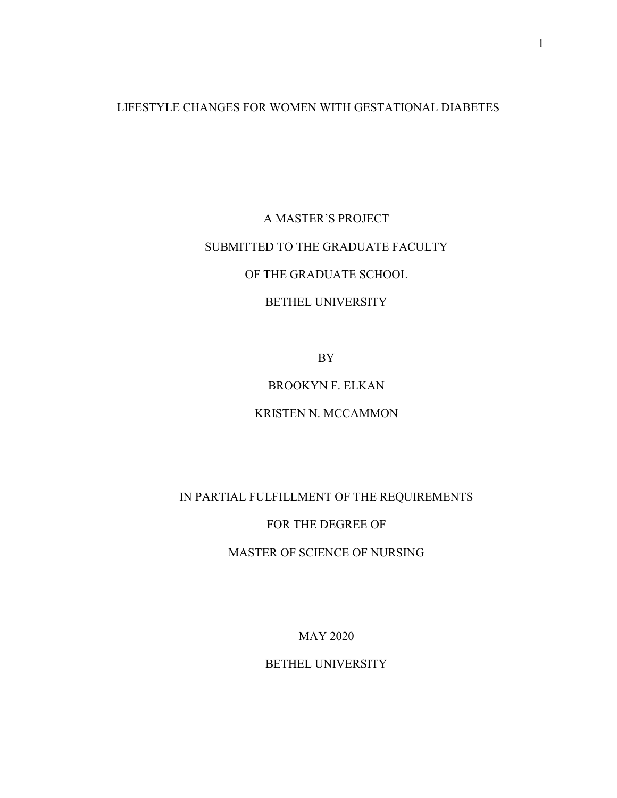## LIFESTYLE CHANGES FOR WOMEN WITH GESTATIONAL DIABETES

# A MASTER'S PROJECT SUBMITTED TO THE GRADUATE FACULTY OF THE GRADUATE SCHOOL

## BETHEL UNIVERSITY

BY

## BROOKYN F. ELKAN

### KRISTEN N. MCCAMMON

## IN PARTIAL FULFILLMENT OF THE REQUIREMENTS

#### FOR THE DEGREE OF

## MASTER OF SCIENCE OF NURSING

MAY 2020

BETHEL UNIVERSITY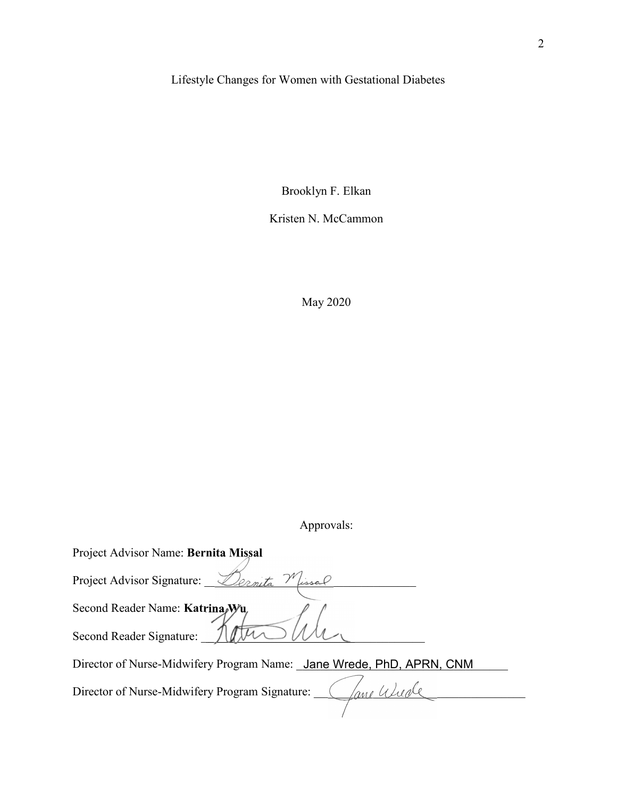# Lifestyle Changes for Women with Gestational Diabetes

Brooklyn F. Elkan

Kristen N. McCammon

May 2020

Approvals:

| Project Advisor Name: Bernita Missal                                 |
|----------------------------------------------------------------------|
| Project Advisor Signature:                                           |
| Second Reader Name: Katrina Wu                                       |
| Second Reader Signature:                                             |
| Director of Nurse-Midwifery Program Name: Jane Wrede, PhD, APRN, CNM |
| Director of Nurse-Midwifery Program Signature:                       |
|                                                                      |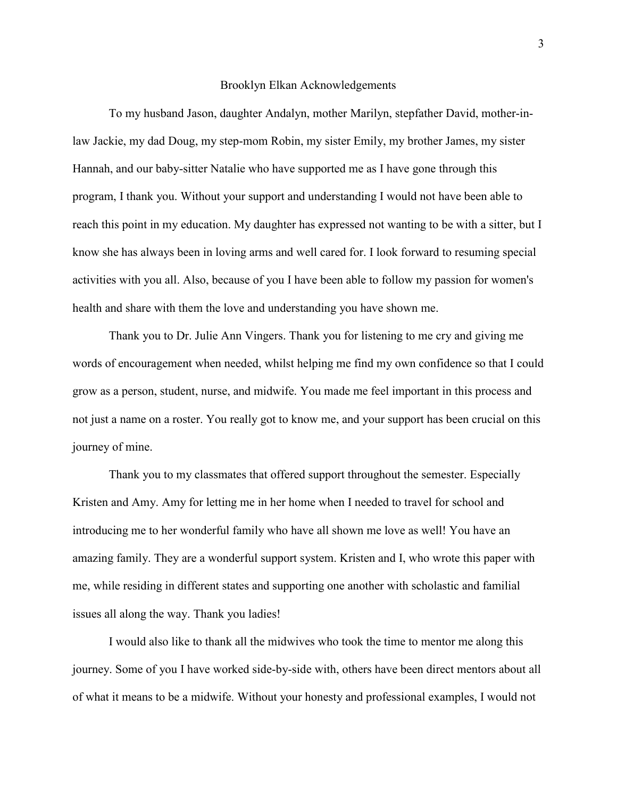#### Brooklyn Elkan Acknowledgements

To my husband Jason, daughter Andalyn, mother Marilyn, stepfather David, mother-inlaw Jackie, my dad Doug, my step-mom Robin, my sister Emily, my brother James, my sister Hannah, and our baby-sitter Natalie who have supported me as I have gone through this program, I thank you. Without your support and understanding I would not have been able to reach this point in my education. My daughter has expressed not wanting to be with a sitter, but I know she has always been in loving arms and well cared for. I look forward to resuming special activities with you all. Also, because of you I have been able to follow my passion for women's health and share with them the love and understanding you have shown me.

Thank you to Dr. Julie Ann Vingers. Thank you for listening to me cry and giving me words of encouragement when needed, whilst helping me find my own confidence so that I could grow as a person, student, nurse, and midwife. You made me feel important in this process and not just a name on a roster. You really got to know me, and your support has been crucial on this journey of mine.

Thank you to my classmates that offered support throughout the semester. Especially Kristen and Amy. Amy for letting me in her home when I needed to travel for school and introducing me to her wonderful family who have all shown me love as well! You have an amazing family. They are a wonderful support system. Kristen and I, who wrote this paper with me, while residing in different states and supporting one another with scholastic and familial issues all along the way. Thank you ladies!

I would also like to thank all the midwives who took the time to mentor me along this journey. Some of you I have worked side-by-side with, others have been direct mentors about all of what it means to be a midwife. Without your honesty and professional examples, I would not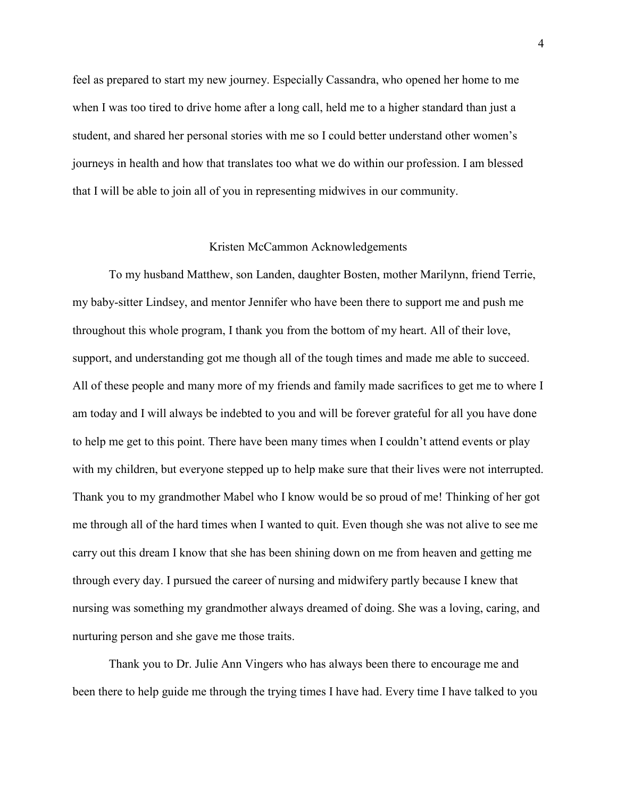feel as prepared to start my new journey. Especially Cassandra, who opened her home to me when I was too tired to drive home after a long call, held me to a higher standard than just a student, and shared her personal stories with me so I could better understand other women's journeys in health and how that translates too what we do within our profession. I am blessed that I will be able to join all of you in representing midwives in our community.

#### Kristen McCammon Acknowledgements

To my husband Matthew, son Landen, daughter Bosten, mother Marilynn, friend Terrie, my baby-sitter Lindsey, and mentor Jennifer who have been there to support me and push me throughout this whole program, I thank you from the bottom of my heart. All of their love, support, and understanding got me though all of the tough times and made me able to succeed. All of these people and many more of my friends and family made sacrifices to get me to where I am today and I will always be indebted to you and will be forever grateful for all you have done to help me get to this point. There have been many times when I couldn't attend events or play with my children, but everyone stepped up to help make sure that their lives were not interrupted. Thank you to my grandmother Mabel who I know would be so proud of me! Thinking of her got me through all of the hard times when I wanted to quit. Even though she was not alive to see me carry out this dream I know that she has been shining down on me from heaven and getting me through every day. I pursued the career of nursing and midwifery partly because I knew that nursing was something my grandmother always dreamed of doing. She was a loving, caring, and nurturing person and she gave me those traits.

Thank you to Dr. Julie Ann Vingers who has always been there to encourage me and been there to help guide me through the trying times I have had. Every time I have talked to you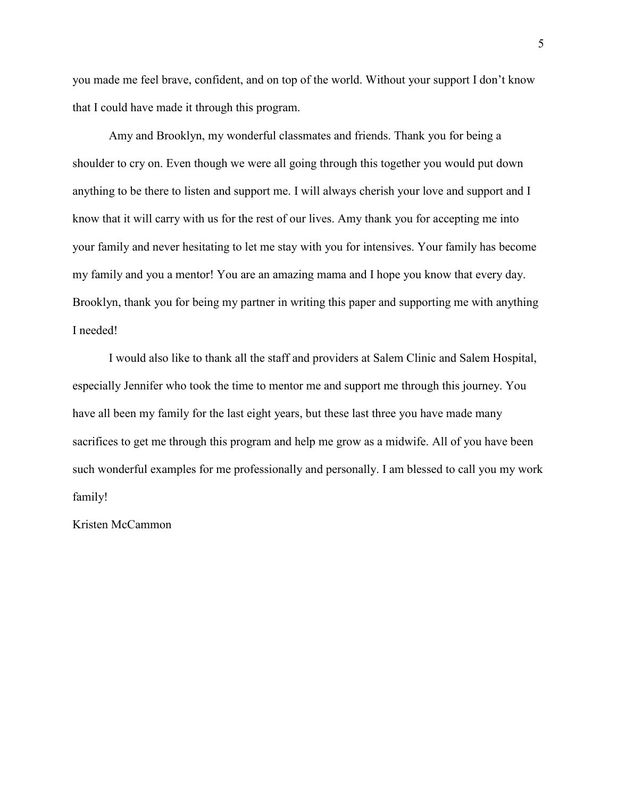you made me feel brave, confident, and on top of the world. Without your support I don't know that I could have made it through this program.

Amy and Brooklyn, my wonderful classmates and friends. Thank you for being a shoulder to cry on. Even though we were all going through this together you would put down anything to be there to listen and support me. I will always cherish your love and support and I know that it will carry with us for the rest of our lives. Amy thank you for accepting me into your family and never hesitating to let me stay with you for intensives. Your family has become my family and you a mentor! You are an amazing mama and I hope you know that every day. Brooklyn, thank you for being my partner in writing this paper and supporting me with anything I needed!

I would also like to thank all the staff and providers at Salem Clinic and Salem Hospital, especially Jennifer who took the time to mentor me and support me through this journey. You have all been my family for the last eight years, but these last three you have made many sacrifices to get me through this program and help me grow as a midwife. All of you have been such wonderful examples for me professionally and personally. I am blessed to call you my work family!

Kristen McCammon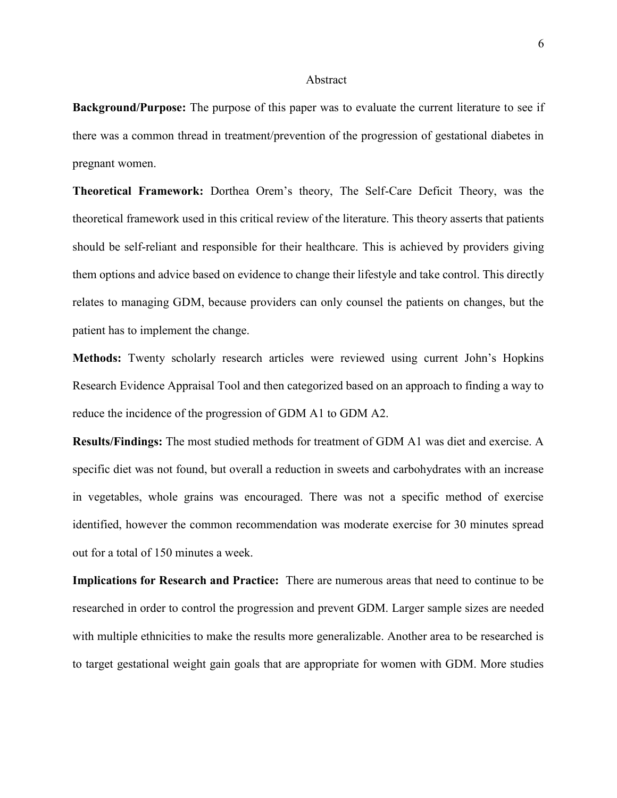#### Abstract

**Background/Purpose:** The purpose of this paper was to evaluate the current literature to see if there was a common thread in treatment/prevention of the progression of gestational diabetes in pregnant women.

**Theoretical Framework:** Dorthea Orem's theory, The Self-Care Deficit Theory, was the theoretical framework used in this critical review of the literature. This theory asserts that patients should be self-reliant and responsible for their healthcare. This is achieved by providers giving them options and advice based on evidence to change their lifestyle and take control. This directly relates to managing GDM, because providers can only counsel the patients on changes, but the patient has to implement the change.

Methods: Twenty scholarly research articles were reviewed using current John's Hopkins Research Evidence Appraisal Tool and then categorized based on an approach to finding a way to reduce the incidence of the progression of GDM A1 to GDM A2.

**Results/Findings:** The most studied methods for treatment of GDM A1 was diet and exercise. A specific diet was not found, but overall a reduction in sweets and carbohydrates with an increase in vegetables, whole grains was encouraged. There was not a specific method of exercise identified, however the common recommendation was moderate exercise for 30 minutes spread out for a total of 150 minutes a week.

**Implications for Research and Practice:** There are numerous areas that need to continue to be researched in order to control the progression and prevent GDM. Larger sample sizes are needed with multiple ethnicities to make the results more generalizable. Another area to be researched is to target gestational weight gain goals that are appropriate for women with GDM. More studies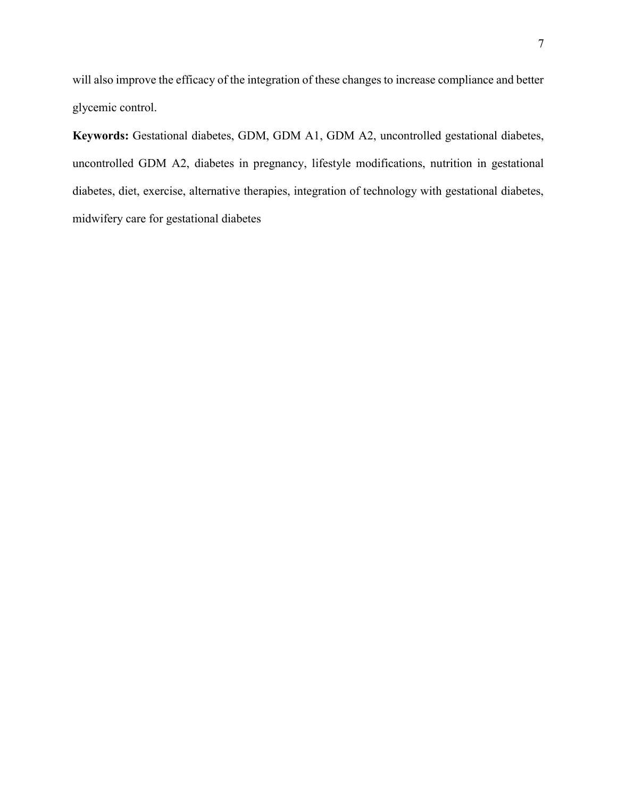will also improve the efficacy of the integration of these changes to increase compliance and better glycemic control.

**Keywords:** Gestational diabetes, GDM, GDM A1, GDM A2, uncontrolled gestational diabetes, uncontrolled GDM A2, diabetes in pregnancy, lifestyle modifications, nutrition in gestational diabetes, diet, exercise, alternative therapies, integration of technology with gestational diabetes, midwifery care for gestational diabetes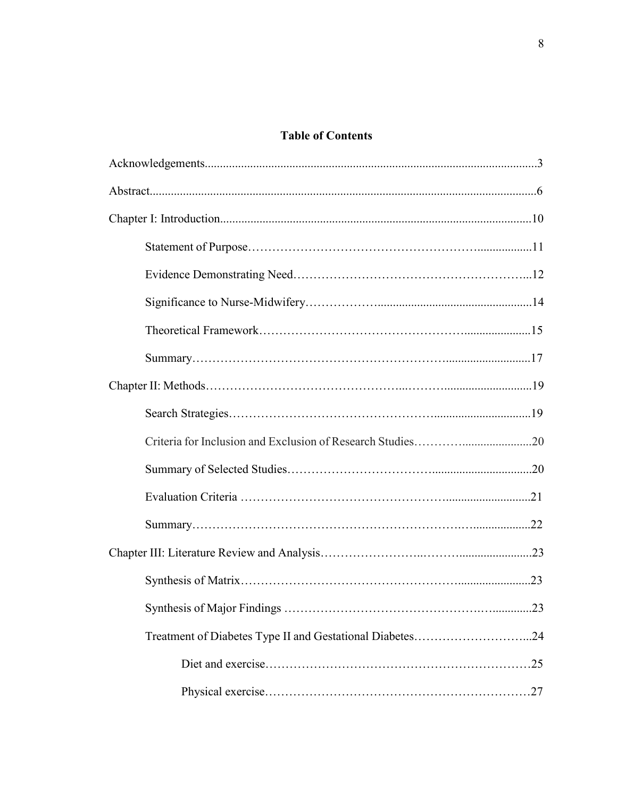## **Table of Contents**

| Treatment of Diabetes Type II and Gestational Diabetes24 |  |
|----------------------------------------------------------|--|
|                                                          |  |
|                                                          |  |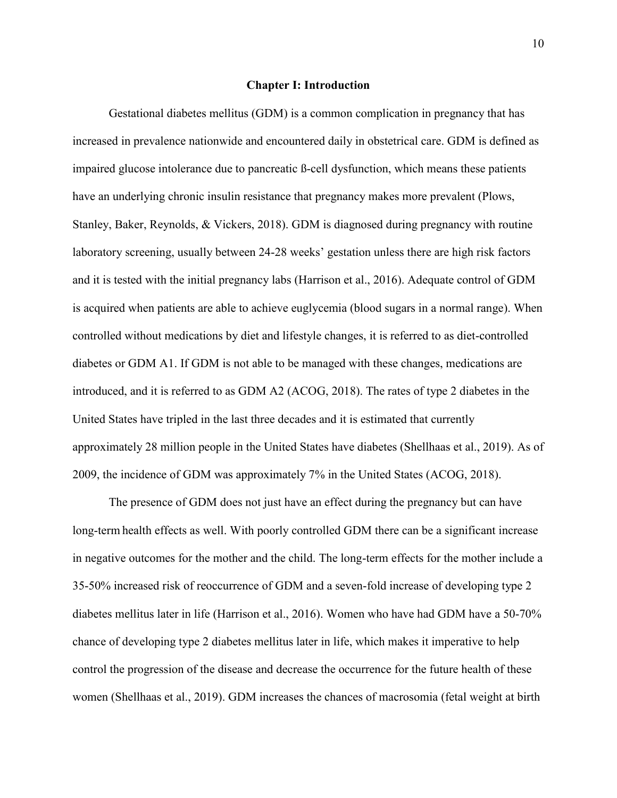#### **Chapter I: Introduction**

Gestational diabetes mellitus (GDM) is a common complication in pregnancy that has increased in prevalence nationwide and encountered daily in obstetrical care. GDM is defined as impaired glucose intolerance due to pancreatic ß-cell dysfunction, which means these patients have an underlying chronic insulin resistance that pregnancy makes more prevalent (Plows, Stanley, Baker, Reynolds, & Vickers, 2018). GDM is diagnosed during pregnancy with routine laboratory screening, usually between 24-28 weeks' gestation unless there are high risk factors and it is tested with the initial pregnancy labs (Harrison et al., 2016). Adequate control of GDM is acquired when patients are able to achieve euglycemia (blood sugars in a normal range). When controlled without medications by diet and lifestyle changes, it is referred to as diet-controlled diabetes or GDM A1. If GDM is not able to be managed with these changes, medications are introduced, and it is referred to as GDM A2 (ACOG, 2018). The rates of type 2 diabetes in the United States have tripled in the last three decades and it is estimated that currently approximately 28 million people in the United States have diabetes (Shellhaas et al., 2019). As of 2009, the incidence of GDM was approximately 7% in the United States (ACOG, 2018).

The presence of GDM does not just have an effect during the pregnancy but can have long-term health effects as well. With poorly controlled GDM there can be a significant increase in negative outcomes for the mother and the child. The long-term effects for the mother include a 35-50% increased risk of reoccurrence of GDM and a seven-fold increase of developing type 2 diabetes mellitus later in life (Harrison et al., 2016). Women who have had GDM have a 50-70% chance of developing type 2 diabetes mellitus later in life, which makes it imperative to help control the progression of the disease and decrease the occurrence for the future health of these women (Shellhaas et al., 2019). GDM increases the chances of macrosomia (fetal weight at birth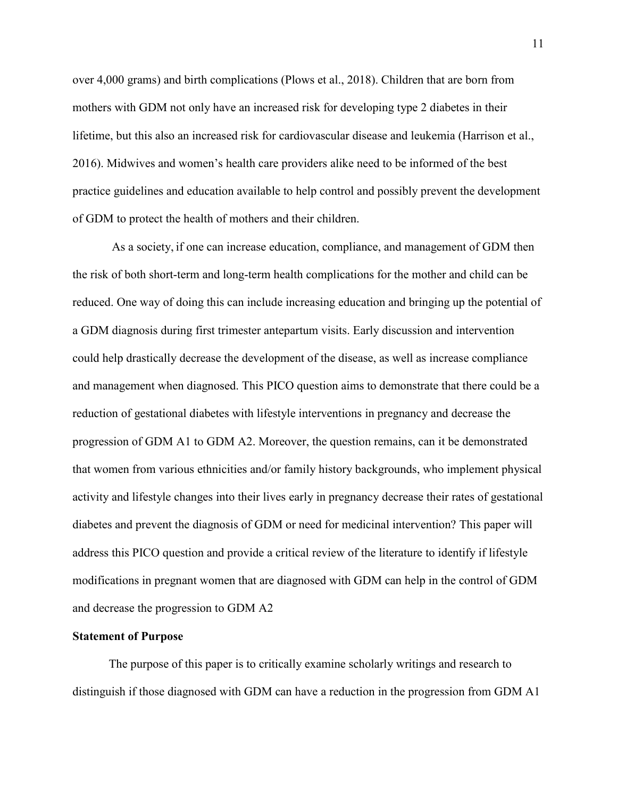over 4,000 grams) and birth complications (Plows et al., 2018). Children that are born from mothers with GDM not only have an increased risk for developing type 2 diabetes in their lifetime, but this also an increased risk for cardiovascular disease and leukemia (Harrison et al., 2016). Midwives and women's health care providers alike need to be informed of the best practice guidelines and education available to help control and possibly prevent the development of GDM to protect the health of mothers and their children.

As a society, if one can increase education, compliance, and management of GDM then the risk of both short-term and long-term health complications for the mother and child can be reduced. One way of doing this can include increasing education and bringing up the potential of a GDM diagnosis during first trimester antepartum visits. Early discussion and intervention could help drastically decrease the development of the disease, as well as increase compliance and management when diagnosed. This PICO question aims to demonstrate that there could be a reduction of gestational diabetes with lifestyle interventions in pregnancy and decrease the progression of GDM A1 to GDM A2. Moreover, the question remains, can it be demonstrated that women from various ethnicities and/or family history backgrounds, who implement physical activity and lifestyle changes into their lives early in pregnancy decrease their rates of gestational diabetes and prevent the diagnosis of GDM or need for medicinal intervention? This paper will address this PICO question and provide a critical review of the literature to identify if lifestyle modifications in pregnant women that are diagnosed with GDM can help in the control of GDM and decrease the progression to GDM A2

#### **Statement of Purpose**

The purpose of this paper is to critically examine scholarly writings and research to distinguish if those diagnosed with GDM can have a reduction in the progression from GDM A1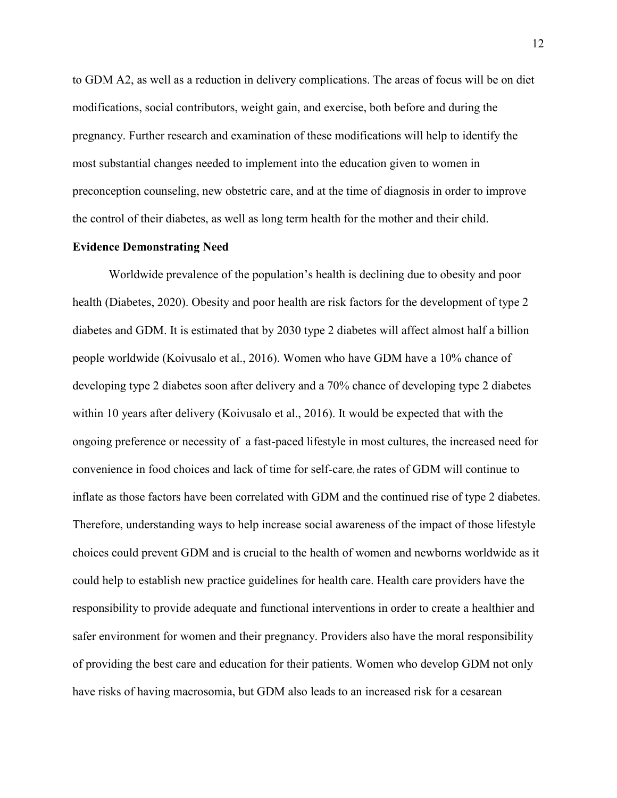to GDM A2, as well as a reduction in delivery complications. The areas of focus will be on diet modifications, social contributors, weight gain, and exercise, both before and during the pregnancy. Further research and examination of these modifications will help to identify the most substantial changes needed to implement into the education given to women in preconception counseling, new obstetric care, and at the time of diagnosis in order to improve the control of their diabetes, as well as long term health for the mother and their child.

#### **Evidence Demonstrating Need**

Worldwide prevalence of the population's health is declining due to obesity and poor health (Diabetes, 2020). Obesity and poor health are risk factors for the development of type 2 diabetes and GDM. It is estimated that by 2030 type 2 diabetes will affect almost half a billion people worldwide (Koivusalo et al., 2016). Women who have GDM have a 10% chance of developing type 2 diabetes soon after delivery and a 70% chance of developing type 2 diabetes within 10 years after delivery (Koivusalo et al., 2016). It would be expected that with the ongoing preference or necessity of a fast-paced lifestyle in most cultures, the increased need for convenience in food choices and lack of time for self-care, the rates of GDM will continue to inflate as those factors have been correlated with GDM and the continued rise of type 2 diabetes. Therefore, understanding ways to help increase social awareness of the impact of those lifestyle choices could prevent GDM and is crucial to the health of women and newborns worldwide as it could help to establish new practice guidelines for health care. Health care providers have the responsibility to provide adequate and functional interventions in order to create a healthier and safer environment for women and their pregnancy. Providers also have the moral responsibility of providing the best care and education for their patients. Women who develop GDM not only have risks of having macrosomia, but GDM also leads to an increased risk for a cesarean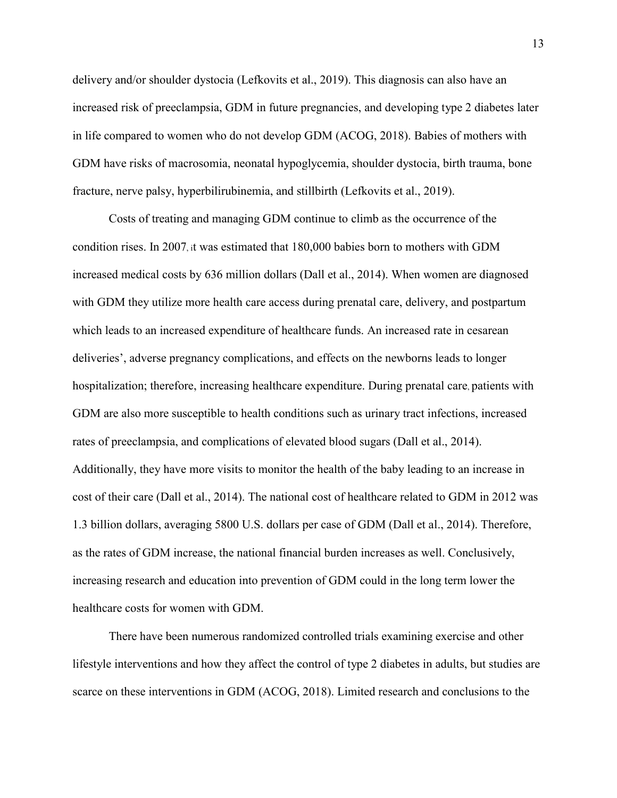delivery and/or shoulder dystocia (Lefkovits et al., 2019). This diagnosis can also have an increased risk of preeclampsia, GDM in future pregnancies, and developing type 2 diabetes later in life compared to women who do not develop GDM (ACOG, 2018). Babies of mothers with GDM have risks of macrosomia, neonatal hypoglycemia, shoulder dystocia, birth trauma, bone fracture, nerve palsy, hyperbilirubinemia, and stillbirth (Lefkovits et al., 2019).

Costs of treating and managing GDM continue to climb as the occurrence of the condition rises. In 2007, it was estimated that 180,000 babies born to mothers with GDM increased medical costs by 636 million dollars (Dall et al., 2014). When women are diagnosed with GDM they utilize more health care access during prenatal care, delivery, and postpartum which leads to an increased expenditure of healthcare funds. An increased rate in cesarean deliveries', adverse pregnancy complications, and effects on the newborns leads to longer hospitalization; therefore, increasing healthcare expenditure. During prenatal care, patients with GDM are also more susceptible to health conditions such as urinary tract infections, increased rates of preeclampsia, and complications of elevated blood sugars (Dall et al., 2014). Additionally, they have more visits to monitor the health of the baby leading to an increase in cost of their care (Dall et al., 2014). The national cost of healthcare related to GDM in 2012 was 1.3 billion dollars, averaging 5800 U.S. dollars per case of GDM (Dall et al., 2014). Therefore, as the rates of GDM increase, the national financial burden increases as well. Conclusively, increasing research and education into prevention of GDM could in the long term lower the healthcare costs for women with GDM.

There have been numerous randomized controlled trials examining exercise and other lifestyle interventions and how they affect the control of type 2 diabetes in adults, but studies are scarce on these interventions in GDM (ACOG, 2018). Limited research and conclusions to the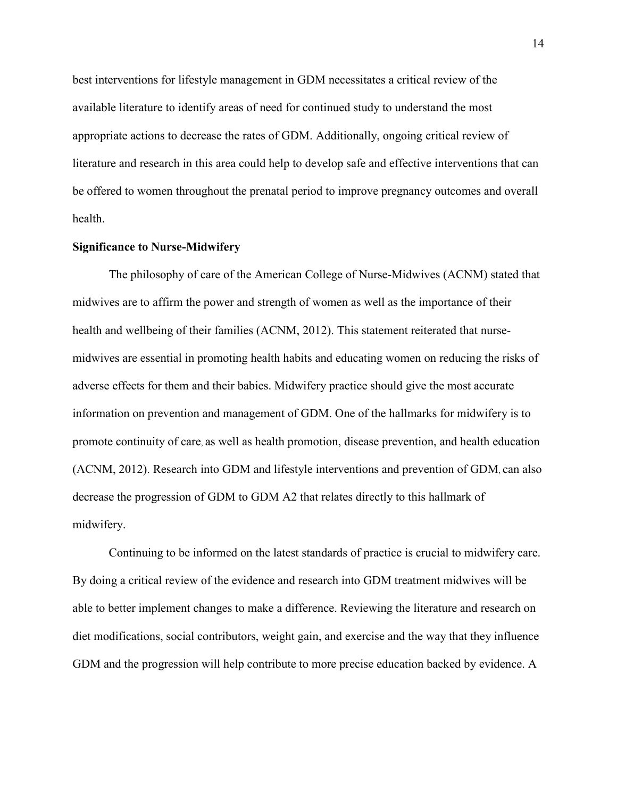best interventions for lifestyle management in GDM necessitates a critical review of the available literature to identify areas of need for continued study to understand the most appropriate actions to decrease the rates of GDM. Additionally, ongoing critical review of literature and research in this area could help to develop safe and effective interventions that can be offered to women throughout the prenatal period to improve pregnancy outcomes and overall health.

#### **Significance to Nurse-Midwifery**

The philosophy of care of the American College of Nurse-Midwives (ACNM) stated that midwives are to affirm the power and strength of women as well as the importance of their health and wellbeing of their families (ACNM, 2012). This statement reiterated that nursemidwives are essential in promoting health habits and educating women on reducing the risks of adverse effects for them and their babies. Midwifery practice should give the most accurate information on prevention and management of GDM. One of the hallmarks for midwifery is to promote continuity of care, as well as health promotion, disease prevention, and health education (ACNM, 2012). Research into GDM and lifestyle interventions and prevention of GDM, can also decrease the progression of GDM to GDM A2 that relates directly to this hallmark of midwifery.

Continuing to be informed on the latest standards of practice is crucial to midwifery care. By doing a critical review of the evidence and research into GDM treatment midwives will be able to better implement changes to make a difference. Reviewing the literature and research on diet modifications, social contributors, weight gain, and exercise and the way that they influence GDM and the progression will help contribute to more precise education backed by evidence. A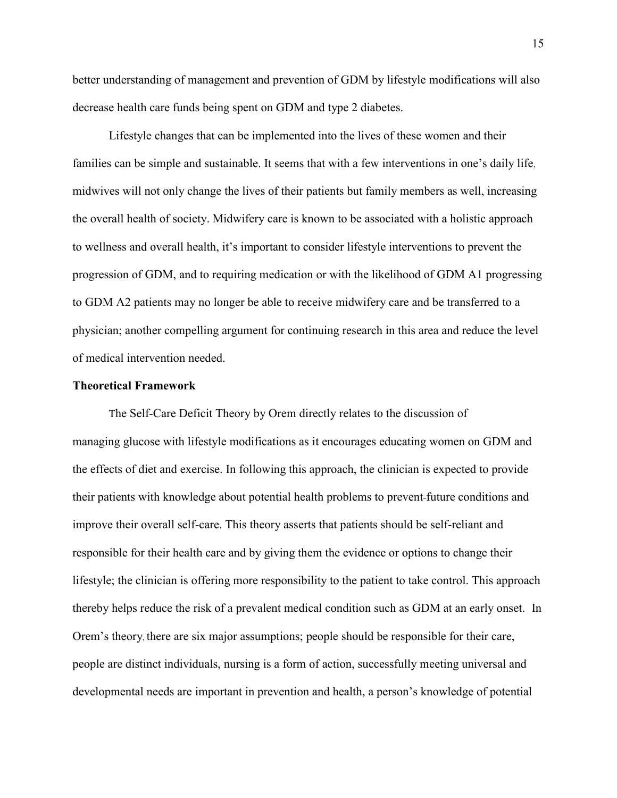better understanding of management and prevention of GDM by lifestyle modifications will also decrease health care funds being spent on GDM and type 2 diabetes.

Lifestyle changes that can be implemented into the lives of these women and their families can be simple and sustainable. It seems that with a few interventions in one's daily life, midwives will not only change the lives of their patients but family members as well, increasing the overall health of society. Midwifery care is known to be associated with a holistic approach to wellness and overall health, it's important to consider lifestyle interventions to prevent the progression of GDM, and to requiring medication or with the likelihood of GDM A1 progressing to GDM A2 patients may no longer be able to receive midwifery care and be transferred to a physician; another compelling argument for continuing research in this area and reduce the level of medical intervention needed.

#### **Theoretical Framework**

The Self-Care Deficit Theory by Orem directly relates to the discussion of managing glucose with lifestyle modifications as it encourages educating women on GDM and the effects of diet and exercise. In following this approach, the clinician is expected to provide their patients with knowledge about potential health problems to prevent future conditions and improve their overall self-care. This theory asserts that patients should be self-reliant and responsible for their health care and by giving them the evidence or options to change their lifestyle; the clinician is offering more responsibility to the patient to take control. This approach thereby helps reduce the risk of a prevalent medical condition such as GDM at an early onset. In Orem's theory, there are six major assumptions; people should be responsible for their care, people are distinct individuals, nursing is a form of action, successfully meeting universal and developmental needs are important in prevention and health, a person's knowledge of potential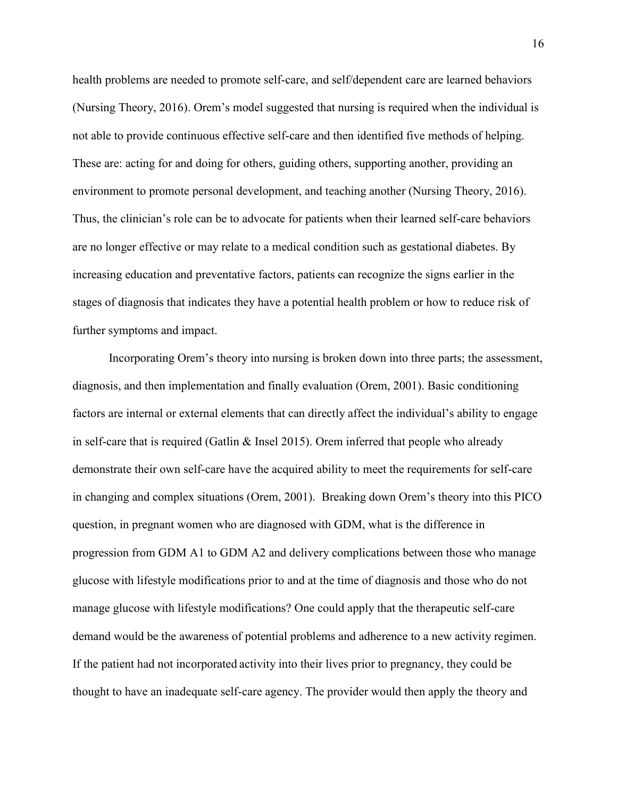health problems are needed to promote self-care, and self/dependent care are learned behaviors (Nursing Theory,  $2016$ ). Orem's model suggested that nursing is required when the individual is not able to provide continuous effective self-care and then identified five methods of helping. These are: acting for and doing for others, guiding others, supporting another, providing an environment to promote personal development, and teaching another (Nursing Theory, 2016). Thus, the clinician's role can be to advocate for patients when their learned self-care behaviors are no longer effective or may relate to a medical condition such as gestational diabetes. By increasing education and preventative factors, patients can recognize the signs earlier in the stages of diagnosis that indicates they have a potential health problem or how to reduce risk of further symptoms and impact.

Incorporating Orem's theory into nursing is broken down into three parts; the assessment, diagnosis, and then implementation and finally evaluation (Orem, 2001). Basic conditioning factors are internal or external elements that can directly affect the individual's ability to engage in self-care that is required (Gatlin & Insel 2015). Orem inferred that people who already demonstrate their own self-care have the acquired ability to meet the requirements for self-care in changing and complex situations (Orem, 2001). Breaking down Orem's theory into this PICO question, in pregnant women who are diagnosed with GDM, what is the difference in progression from GDM A1 to GDM A2 and delivery complications between those who manage glucose with lifestyle modifications prior to and at the time of diagnosis and those who do not manage glucose with lifestyle modifications? One could apply that the therapeutic self-care demand would be the awareness of potential problems and adherence to a new activity regimen. If the patient had not incorporated activity into their lives prior to pregnancy, they could be thought to have an inadequate self-care agency. The provider would then apply the theory and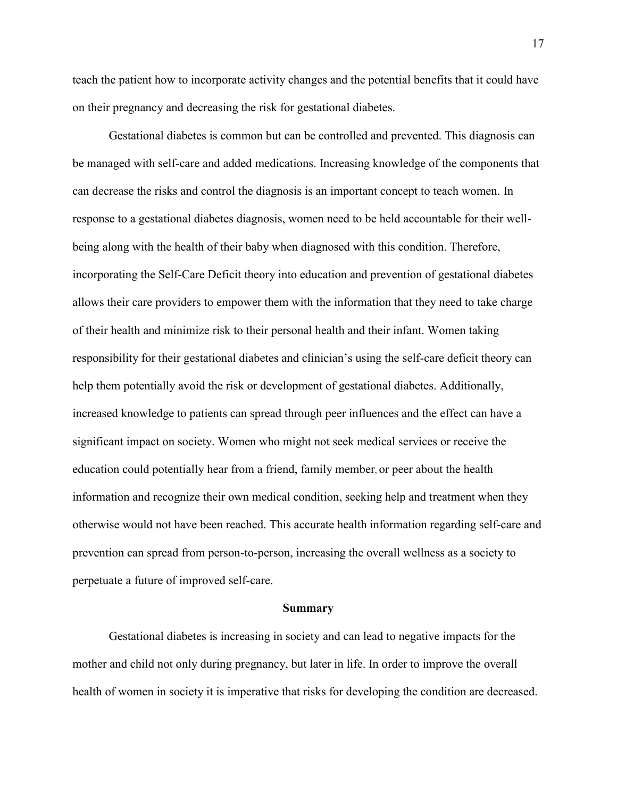teach the patient how to incorporate activity changes and the potential benefits that it could have on their pregnancy and decreasing the risk for gestational diabetes.

Gestational diabetes is common but can be controlled and prevented. This diagnosis can be managed with self-care and added medications. Increasing knowledge of the components that can decrease the risks and control the diagnosis is an important concept to teach women. In response to a gestational diabetes diagnosis, women need to be held accountable for their wellbeing along with the health of their baby when diagnosed with this condition. Therefore, incorporating the Self-Care Deficit theory into education and prevention of gestational diabetes allows their care providers to empower them with the information that they need to take charge of their health and minimize risk to their personal health and their infant. Women taking responsibility for their gestational diabetes and clinician's using the self-care deficit theory can help them potentially avoid the risk or development of gestational diabetes. Additionally, increased knowledge to patients can spread through peer influences and the effect can have a significant impact on society. Women who might not seek medical services or receive the education could potentially hear from a friend, family member, or peer about the health information and recognize their own medical condition, seeking help and treatment when they otherwise would not have been reached. This accurate health information regarding self-care and prevention can spread from person-to-person, increasing the overall wellness as a society to perpetuate a future of improved self-care.

#### **Summary**

Gestational diabetes is increasing in society and can lead to negative impacts for the mother and child not only during pregnancy, but later in life. In order to improve the overall health of women in society it is imperative that risks for developing the condition are decreased.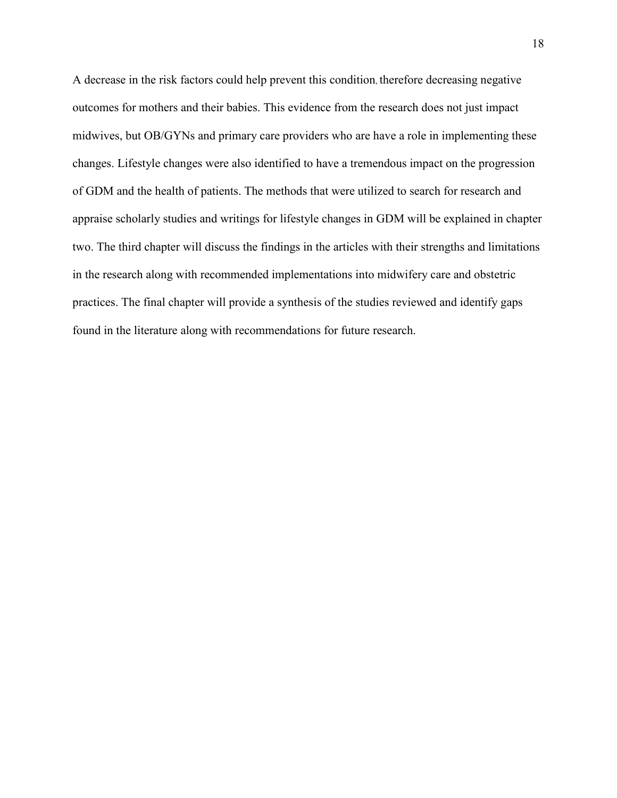A decrease in the risk factors could help prevent this condition, therefore decreasing negative outcomes for mothers and their babies. This evidence from the research does not just impact midwives, but OB/GYNs and primary care providers who are have a role in implementing these changes. Lifestyle changes were also identified to have a tremendous impact on the progression of GDM and the health of patients. The methods that were utilized to search for research and appraise scholarly studies and writings for lifestyle changes in GDM will be explained in chapter two. The third chapter will discuss the findings in the articles with their strengths and limitations in the research along with recommended implementations into midwifery care and obstetric practices. The final chapter will provide a synthesis of the studies reviewed and identify gaps found in the literature along with recommendations for future research.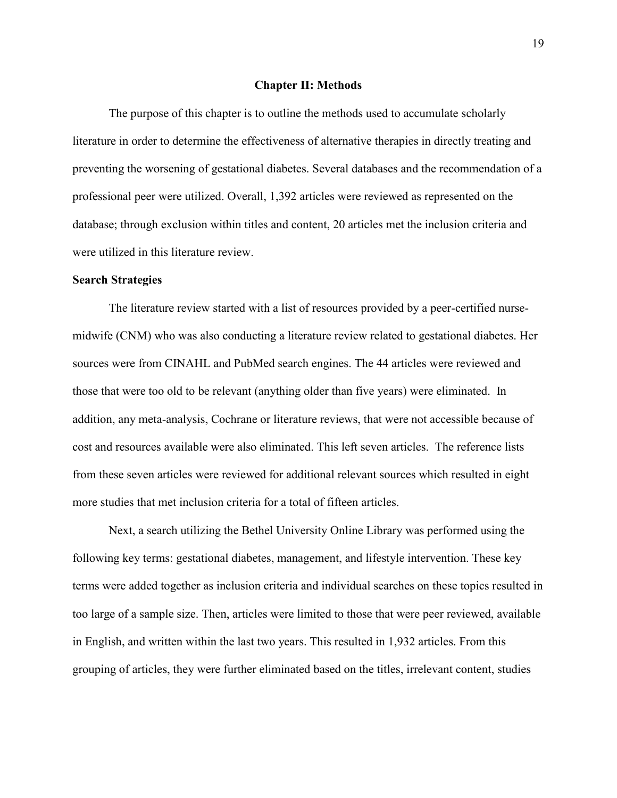#### **Chapter II: Methods**

The purpose of this chapter is to outline the methods used to accumulate scholarly literature in order to determine the effectiveness of alternative therapies in directly treating and preventing the worsening of gestational diabetes. Several databases and the recommendation of a professional peer were utilized. Overall, 1,392 articles were reviewed as represented on the database; through exclusion within titles and content, 20 articles met the inclusion criteria and were utilized in this literature review.

#### **Search Strategies**

The literature review started with a list of resources provided by a peer-certified nursemidwife (CNM) who was also conducting a literature review related to gestational diabetes. Her sources were from CINAHL and PubMed search engines. The 44 articles were reviewed and those that were too old to be relevant (anything older than five years) were eliminated. In addition, any meta-analysis, Cochrane or literature reviews, that were not accessible because of cost and resources available were also eliminated. This left seven articles. The reference lists from these seven articles were reviewed for additional relevant sources which resulted in eight more studies that met inclusion criteria for a total of fifteen articles.

Next, a search utilizing the Bethel University Online Library was performed using the following key terms: gestational diabetes, management, and lifestyle intervention. These key terms were added together as inclusion criteria and individual searches on these topics resulted in too large of a sample size. Then, articles were limited to those that were peer reviewed, available in English, and written within the last two years. This resulted in 1,932 articles. From this grouping of articles, they were further eliminated based on the titles, irrelevant content, studies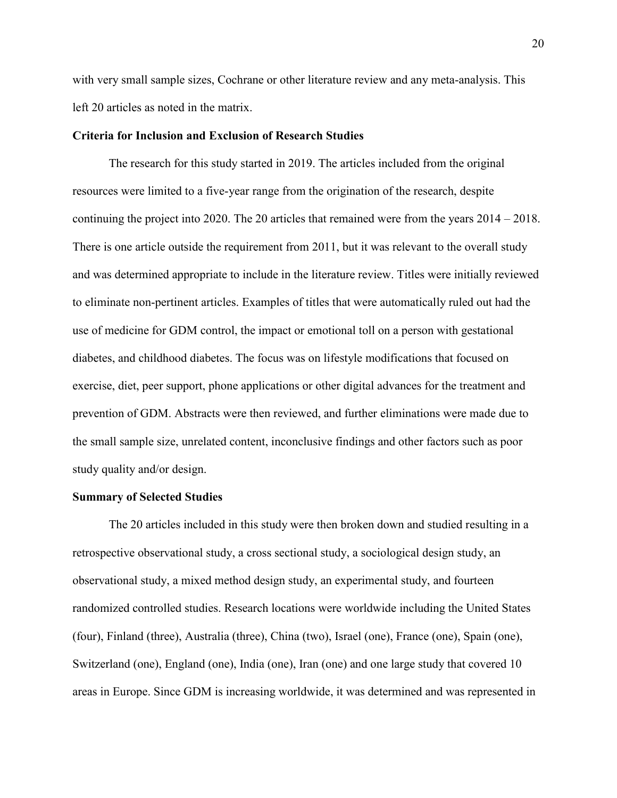with very small sample sizes, Cochrane or other literature review and any meta-analysis. This left 20 articles as noted in the matrix.

### **Criteria for Inclusion and Exclusion of Research Studies**

The research for this study started in 2019. The articles included from the original resources were limited to a five-year range from the origination of the research, despite continuing the project into 2020. The 20 articles that remained were from the years  $2014 - 2018$ . There is one article outside the requirement from 2011, but it was relevant to the overall study and was determined appropriate to include in the literature review. Titles were initially reviewed to eliminate non-pertinent articles. Examples of titles that were automatically ruled out had the use of medicine for GDM control, the impact or emotional toll on a person with gestational diabetes, and childhood diabetes. The focus was on lifestyle modifications that focused on exercise, diet, peer support, phone applications or other digital advances for the treatment and prevention of GDM. Abstracts were then reviewed, and further eliminations were made due to the small sample size, unrelated content, inconclusive findings and other factors such as poor study quality and/or design.

#### **Summary of Selected Studies**

The 20 articles included in this study were then broken down and studied resulting in a retrospective observational study, a cross sectional study, a sociological design study, an observational study, a mixed method design study, an experimental study, and fourteen randomized controlled studies. Research locations were worldwide including the United States (four), Finland (three), Australia (three), China (two), Israel (one), France (one), Spain (one), Switzerland (one), England (one), India (one), Iran (one) and one large study that covered 10 areas in Europe. Since GDM is increasing worldwide, it was determined and was represented in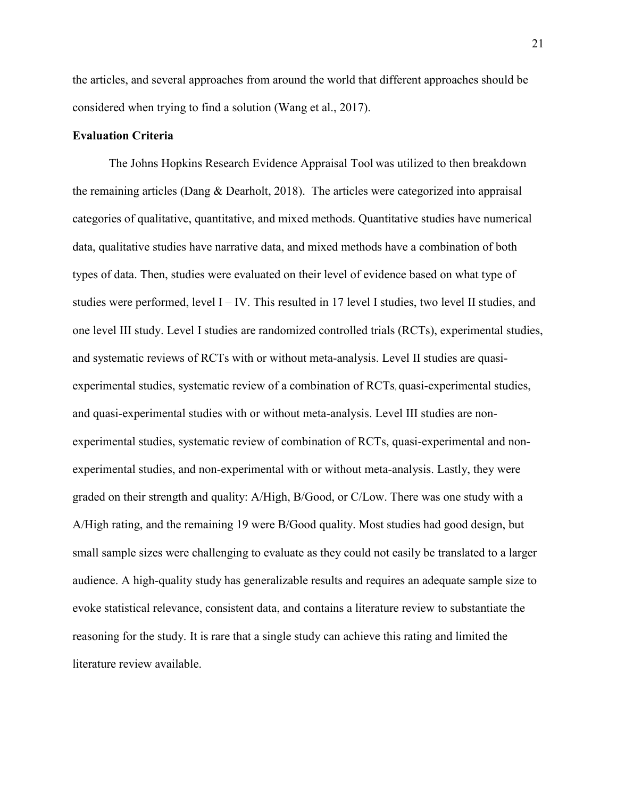the articles, and several approaches from around the world that different approaches should be considered when trying to find a solution (Wang et al., 2017).

#### **Evaluation Criteria**

The Johns Hopkins Research Evidence Appraisal Tool was utilized to then breakdown the remaining articles (Dang & Dearholt, 2018). The articles were categorized into appraisal categories of qualitative, quantitative, and mixed methods. Quantitative studies have numerical data, qualitative studies have narrative data, and mixed methods have a combination of both types of data. Then, studies were evaluated on their level of evidence based on what type of studies were performed, level  $I - IV$ . This resulted in 17 level I studies, two level II studies, and one level III study. Level I studies are randomized controlled trials (RCTs), experimental studies, and systematic reviews of RCTs with or without meta-analysis. Level II studies are quasiexperimental studies, systematic review of a combination of RCTs, quasi-experimental studies, and quasi-experimental studies with or without meta-analysis. Level III studies are nonexperimental studies, systematic review of combination of RCTs, quasi-experimental and nonexperimental studies, and non-experimental with or without meta-analysis. Lastly, they were graded on their strength and quality: A/High, B/Good, or C/Low. There was one study with a A/High rating, and the remaining 19 were B/Good quality. Most studies had good design, but small sample sizes were challenging to evaluate as they could not easily be translated to a larger audience. A high-quality study has generalizable results and requires an adequate sample size to evoke statistical relevance, consistent data, and contains a literature review to substantiate the reasoning for the study. It is rare that a single study can achieve this rating and limited the literature review available.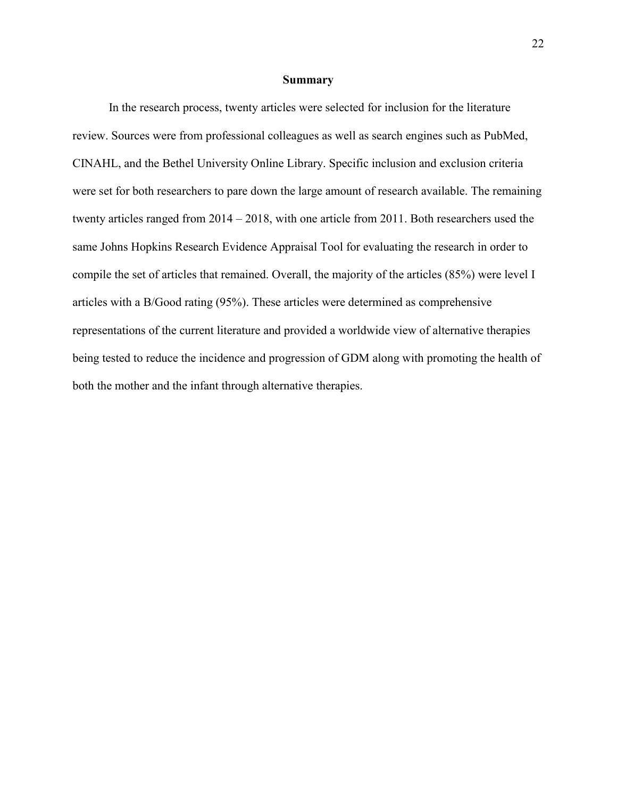#### **Summary**

In the research process, twenty articles were selected for inclusion for the literature review. Sources were from professional colleagues as well as search engines such as PubMed, CINAHL, and the Bethel University Online Library. Specific inclusion and exclusion criteria were set for both researchers to pare down the large amount of research available. The remaining twenty articles ranged from  $2014 - 2018$ , with one article from 2011. Both researchers used the same Johns Hopkins Research Evidence Appraisal Tool for evaluating the research in order to compile the set of articles that remained. Overall, the majority of the articles (85%) were level I articles with a B/Good rating (95%). These articles were determined as comprehensive representations of the current literature and provided a worldwide view of alternative therapies being tested to reduce the incidence and progression of GDM along with promoting the health of both the mother and the infant through alternative therapies.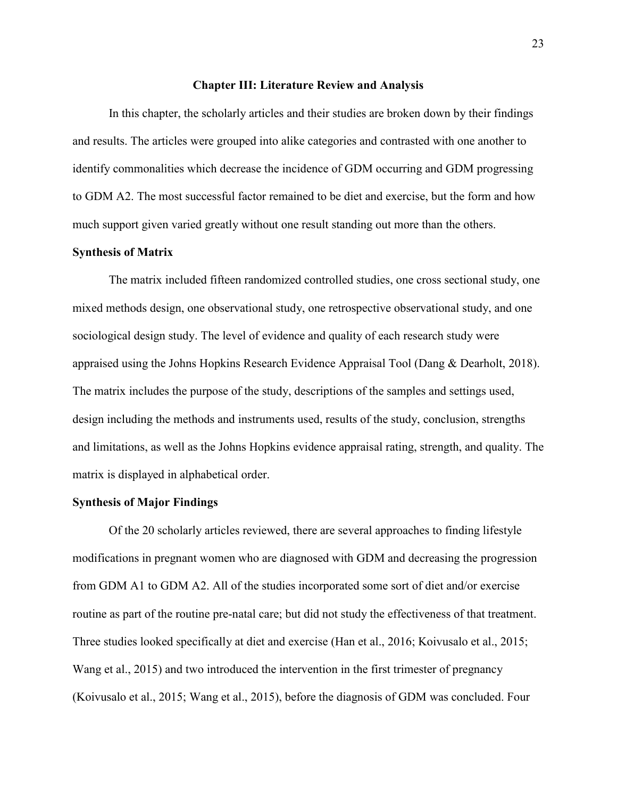#### **Chapter III: Literature Review and Analysis**

In this chapter, the scholarly articles and their studies are broken down by their findings and results. The articles were grouped into alike categories and contrasted with one another to identify commonalities which decrease the incidence of GDM occurring and GDM progressing to GDM A2. The most successful factor remained to be diet and exercise, but the form and how much support given varied greatly without one result standing out more than the others.

#### **Synthesis of Matrix**

The matrix included fifteen randomized controlled studies, one cross sectional study, one mixed methods design, one observational study, one retrospective observational study, and one sociological design study. The level of evidence and quality of each research study were appraised using the Johns Hopkins Research Evidence Appraisal Tool (Dang & Dearholt, 2018). The matrix includes the purpose of the study, descriptions of the samples and settings used, design including the methods and instruments used, results of the study, conclusion, strengths and limitations, as well as the Johns Hopkins evidence appraisal rating, strength, and quality. The matrix is displayed in alphabetical order.

#### **Synthesis of Major Findings**

Of the 20 scholarly articles reviewed, there are several approaches to finding lifestyle modifications in pregnant women who are diagnosed with GDM and decreasing the progression from GDM A1 to GDM A2. All of the studies incorporated some sort of diet and/or exercise routine as part of the routine pre-natal care; but did not study the effectiveness of that treatment. Three studies looked specifically at diet and exercise (Han et al., 2016; Koivusalo et al., 2015; Wang et al., 2015) and two introduced the intervention in the first trimester of pregnancy (Koivusalo et al., 2015; Wang et al., 2015), before the diagnosis of GDM was concluded. Four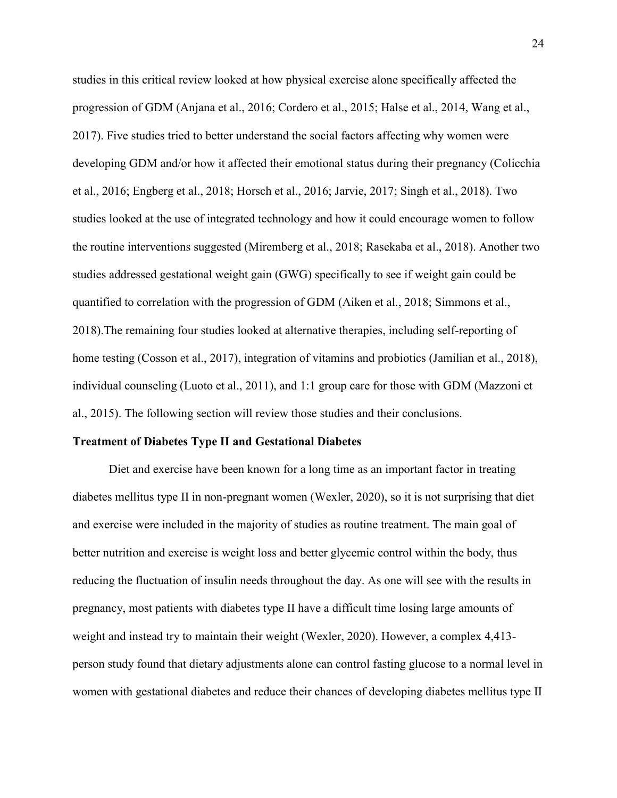studies in this critical review looked at how physical exercise alone specifically affected the progression of GDM (Anjana et al., 2016; Cordero et al., 2015; Halse et al., 2014, Wang et al., 2017). Five studies tried to better understand the social factors affecting why women were developing GDM and/or how it affected their emotional status during their pregnancy (Colicchia et al., 2016; Engberg et al., 2018; Horsch et al., 2016; Jarvie, 2017; Singh et al., 2018). Two studies looked at the use of integrated technology and how it could encourage women to follow the routine interventions suggested (Miremberg et al., 2018; Rasekaba et al., 2018). Another two studies addressed gestational weight gain (GWG) specifically to see if weight gain could be quantified to correlation with the progression of GDM (Aiken et al., 2018; Simmons et al., 2018).The remaining four studies looked at alternative therapies, including self-reporting of home testing (Cosson et al., 2017), integration of vitamins and probiotics (Jamilian et al., 2018), individual counseling (Luoto et al., 2011), and 1:1 group care for those with GDM (Mazzoni et al., 2015). The following section will review those studies and their conclusions.

#### **Treatment of Diabetes Type II and Gestational Diabetes**

Diet and exercise have been known for a long time as an important factor in treating diabetes mellitus type II in non-pregnant women (Wexler, 2020), so it is not surprising that diet and exercise were included in the majority of studies as routine treatment. The main goal of better nutrition and exercise is weight loss and better glycemic control within the body, thus reducing the fluctuation of insulin needs throughout the day. As one will see with the results in pregnancy, most patients with diabetes type II have a difficult time losing large amounts of weight and instead try to maintain their weight (Wexler, 2020). However, a complex 4,413 person study found that dietary adjustments alone can control fasting glucose to a normal level in women with gestational diabetes and reduce their chances of developing diabetes mellitus type II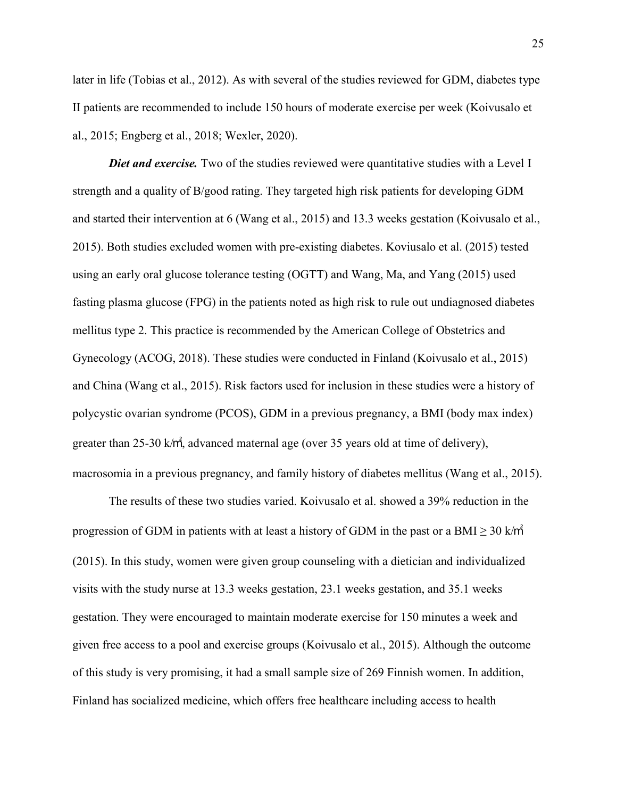later in life (Tobias et al., 2012). As with several of the studies reviewed for GDM, diabetes type II patients are recommended to include 150 hours of moderate exercise per week (Koivusalo et al., 2015; Engberg et al., 2018; Wexler, 2020).

*Diet and exercise.* Two of the studies reviewed were quantitative studies with a Level I strength and a quality of B/good rating. They targeted high risk patients for developing GDM and started their intervention at 6 (Wang et al., 2015) and 13.3 weeks gestation (Koivusalo et al., 2015). Both studies excluded women with pre-existing diabetes. Koviusalo et al. (2015) tested using an early oral glucose tolerance testing (OGTT) and Wang, Ma, and Yang (2015) used fasting plasma glucose (FPG) in the patients noted as high risk to rule out undiagnosed diabetes mellitus type 2. This practice is recommended by the American College of Obstetrics and Gynecology (ACOG, 2018). These studies were conducted in Finland (Koivusalo et al., 2015) and China (Wang et al., 2015). Risk factors used for inclusion in these studies were a history of polycystic ovarian syndrome (PCOS), GDM in a previous pregnancy, a BMI (body max index) greater than 25-30 k/㎡, advanced maternal age (over 35 years old at time of delivery), macrosomia in a previous pregnancy, and family history of diabetes mellitus (Wang et al., 2015).

The results of these two studies varied. Koivusalo et al. showed a 39% reduction in the progression of GDM in patients with at least a history of GDM in the past or a BMI  $\geq$  30 k/m<sup>2</sup> (2015). In this study, women were given group counseling with a dietician and individualized visits with the study nurse at 13.3 weeks gestation, 23.1 weeks gestation, and 35.1 weeks gestation. They were encouraged to maintain moderate exercise for 150 minutes a week and given free access to a pool and exercise groups (Koivusalo et al., 2015). Although the outcome of this study is very promising, it had a small sample size of 269 Finnish women. In addition, Finland has socialized medicine, which offers free healthcare including access to health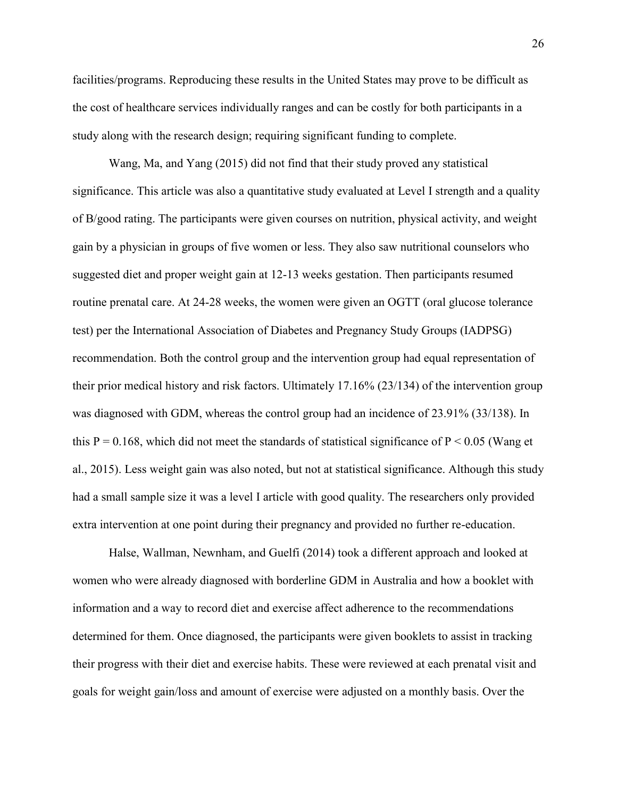facilities/programs. Reproducing these results in the United States may prove to be difficult as the cost of healthcare services individually ranges and can be costly for both participants in a study along with the research design; requiring significant funding to complete.

Wang, Ma, and Yang (2015) did not find that their study proved any statistical significance. This article was also a quantitative study evaluated at Level I strength and a quality of B/good rating. The participants were given courses on nutrition, physical activity, and weight gain by a physician in groups of five women or less. They also saw nutritional counselors who suggested diet and proper weight gain at 12-13 weeks gestation. Then participants resumed routine prenatal care. At 24-28 weeks, the women were given an OGTT (oral glucose tolerance test) per the International Association of Diabetes and Pregnancy Study Groups (IADPSG) recommendation. Both the control group and the intervention group had equal representation of their prior medical history and risk factors. Ultimately 17.16% (23/134) of the intervention group was diagnosed with GDM, whereas the control group had an incidence of 23.91% (33/138). In this  $P = 0.168$ , which did not meet the standards of statistical significance of  $P \le 0.05$  (Wang et al., 2015). Less weight gain was also noted, but not at statistical significance. Although this study had a small sample size it was a level I article with good quality. The researchers only provided extra intervention at one point during their pregnancy and provided no further re-education.

Halse, Wallman, Newnham, and Guelfi (2014) took a different approach and looked at women who were already diagnosed with borderline GDM in Australia and how a booklet with information and a way to record diet and exercise affect adherence to the recommendations determined for them. Once diagnosed, the participants were given booklets to assist in tracking their progress with their diet and exercise habits. These were reviewed at each prenatal visit and goals for weight gain/loss and amount of exercise were adjusted on a monthly basis. Over the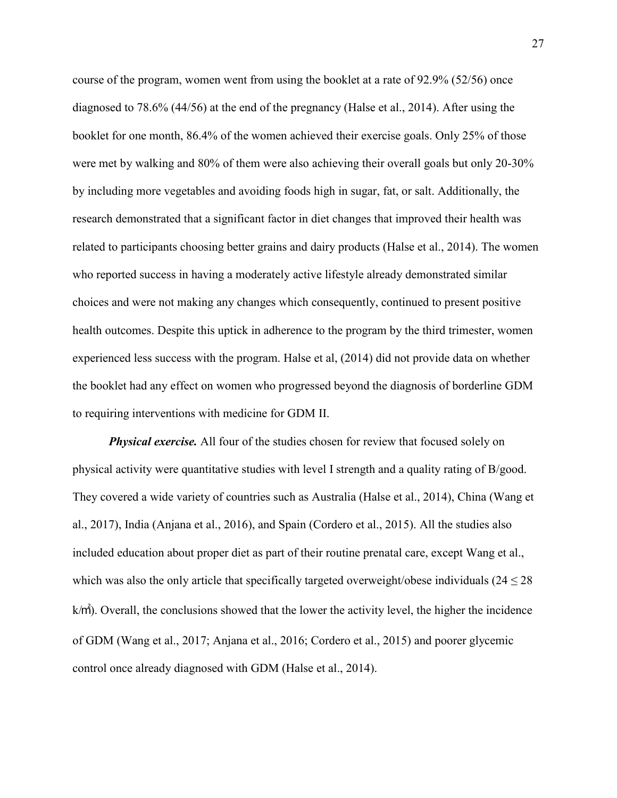course of the program, women went from using the booklet at a rate of 92.9% (52/56) once diagnosed to 78.6% (44/56) at the end of the pregnancy (Halse et al., 2014). After using the booklet for one month, 86.4% of the women achieved their exercise goals. Only 25% of those were met by walking and 80% of them were also achieving their overall goals but only 20-30% by including more vegetables and avoiding foods high in sugar, fat, or salt. Additionally, the research demonstrated that a significant factor in diet changes that improved their health was related to participants choosing better grains and dairy products (Halse et al., 2014). The women who reported success in having a moderately active lifestyle already demonstrated similar choices and were not making any changes which consequently, continued to present positive health outcomes. Despite this uptick in adherence to the program by the third trimester, women experienced less success with the program. Halse et al, (2014) did not provide data on whether the booklet had any effect on women who progressed beyond the diagnosis of borderline GDM to requiring interventions with medicine for GDM II.

*Physical exercise.* All four of the studies chosen for review that focused solely on physical activity were quantitative studies with level I strength and a quality rating of B/good. They covered a wide variety of countries such as Australia (Halse et al., 2014), China (Wang et al., 2017), India (Anjana et al., 2016), and Spain (Cordero et al., 2015). All the studies also included education about proper diet as part of their routine prenatal care, except Wang et al., which was also the only article that specifically targeted overweight/obese individuals ( $24 \le 28$ ) k/㎡). Overall, the conclusions showed that the lower the activity level, the higher the incidence of GDM (Wang et al., 2017; Anjana et al., 2016; Cordero et al., 2015) and poorer glycemic control once already diagnosed with GDM (Halse et al., 2014).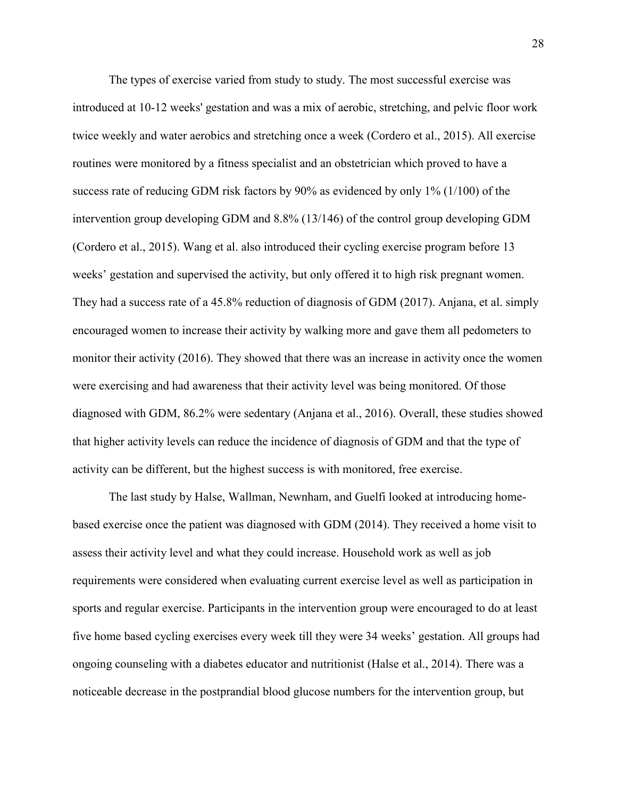The types of exercise varied from study to study. The most successful exercise was introduced at 10-12 weeks' gestation and was a mix of aerobic, stretching, and pelvic floor work twice weekly and water aerobics and stretching once a week (Cordero et al., 2015). All exercise routines were monitored by a fitness specialist and an obstetrician which proved to have a success rate of reducing GDM risk factors by 90% as evidenced by only 1% (1/100) of the intervention group developing GDM and 8.8% (13/146) of the control group developing GDM (Cordero et al., 2015). Wang et al. also introduced their cycling exercise program before 13 weeks' gestation and supervised the activity, but only offered it to high risk pregnant women. They had a success rate of a 45.8% reduction of diagnosis of GDM (2017). Anjana, et al. simply encouraged women to increase their activity by walking more and gave them all pedometers to monitor their activity (2016). They showed that there was an increase in activity once the women were exercising and had awareness that their activity level was being monitored. Of those diagnosed with GDM, 86.2% were sedentary (Anjana et al., 2016). Overall, these studies showed that higher activity levels can reduce the incidence of diagnosis of GDM and that the type of activity can be different, but the highest success is with monitored, free exercise.

The last study by Halse, Wallman, Newnham, and Guelfi looked at introducing homebased exercise once the patient was diagnosed with GDM (2014). They received a home visit to assess their activity level and what they could increase. Household work as well as job requirements were considered when evaluating current exercise level as well as participation in sports and regular exercise. Participants in the intervention group were encouraged to do at least five home based cycling exercises every week till they were 34 weeks' gestation. All groups had ongoing counseling with a diabetes educator and nutritionist (Halse et al., 2014). There was a noticeable decrease in the postprandial blood glucose numbers for the intervention group, but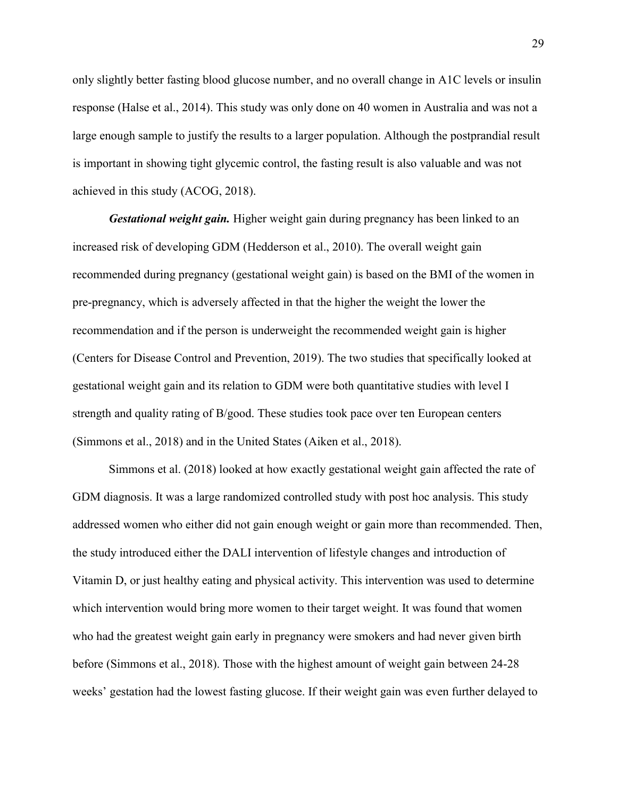only slightly better fasting blood glucose number, and no overall change in A1C levels or insulin response (Halse et al., 2014). This study was only done on 40 women in Australia and was not a large enough sample to justify the results to a larger population. Although the postprandial result is important in showing tight glycemic control, the fasting result is also valuable and was not achieved in this study (ACOG, 2018).

*Gestational weight gain.* Higher weight gain during pregnancy has been linked to an increased risk of developing GDM (Hedderson et al., 2010). The overall weight gain recommended during pregnancy (gestational weight gain) is based on the BMI of the women in pre-pregnancy, which is adversely affected in that the higher the weight the lower the recommendation and if the person is underweight the recommended weight gain is higher (Centers for Disease Control and Prevention, 2019). The two studies that specifically looked at gestational weight gain and its relation to GDM were both quantitative studies with level I strength and quality rating of B/good. These studies took pace over ten European centers (Simmons et al., 2018) and in the United States (Aiken et al., 2018).

Simmons et al. (2018) looked at how exactly gestational weight gain affected the rate of GDM diagnosis. It was a large randomized controlled study with post hoc analysis. This study addressed women who either did not gain enough weight or gain more than recommended. Then, the study introduced either the DALI intervention of lifestyle changes and introduction of Vitamin D, or just healthy eating and physical activity. This intervention was used to determine which intervention would bring more women to their target weight. It was found that women who had the greatest weight gain early in pregnancy were smokers and had never given birth before (Simmons et al., 2018). Those with the highest amount of weight gain between 24-28 weeks' gestation had the lowest fasting glucose. If their weight gain was even further delayed to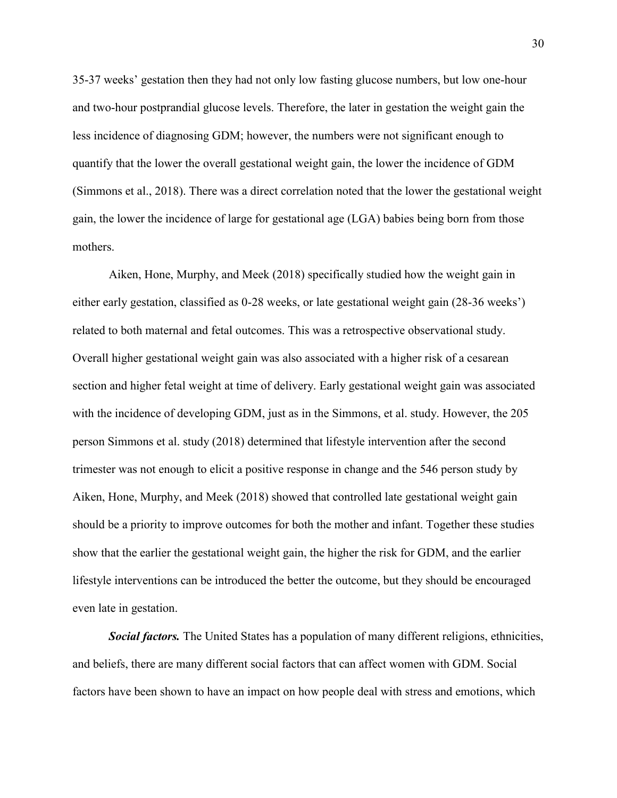35-37 weeks' gestation then they had not only low fasting glucose numbers, but low one-hour and two-hour postprandial glucose levels. Therefore, the later in gestation the weight gain the less incidence of diagnosing GDM; however, the numbers were not significant enough to quantify that the lower the overall gestational weight gain, the lower the incidence of GDM (Simmons et al., 2018). There was a direct correlation noted that the lower the gestational weight gain, the lower the incidence of large for gestational age (LGA) babies being born from those mothers.

Aiken, Hone, Murphy, and Meek (2018) specifically studied how the weight gain in either early gestation, classified as 0-28 weeks, or late gestational weight gain (28-36 weeks') related to both maternal and fetal outcomes. This was a retrospective observational study. Overall higher gestational weight gain was also associated with a higher risk of a cesarean section and higher fetal weight at time of delivery. Early gestational weight gain was associated with the incidence of developing GDM, just as in the Simmons, et al. study. However, the 205 person Simmons et al. study (2018) determined that lifestyle intervention after the second trimester was not enough to elicit a positive response in change and the 546 person study by Aiken, Hone, Murphy, and Meek (2018) showed that controlled late gestational weight gain should be a priority to improve outcomes for both the mother and infant. Together these studies show that the earlier the gestational weight gain, the higher the risk for GDM, and the earlier lifestyle interventions can be introduced the better the outcome, but they should be encouraged even late in gestation.

*Social factors.* The United States has a population of many different religions, ethnicities, and beliefs, there are many different social factors that can affect women with GDM. Social factors have been shown to have an impact on how people deal with stress and emotions, which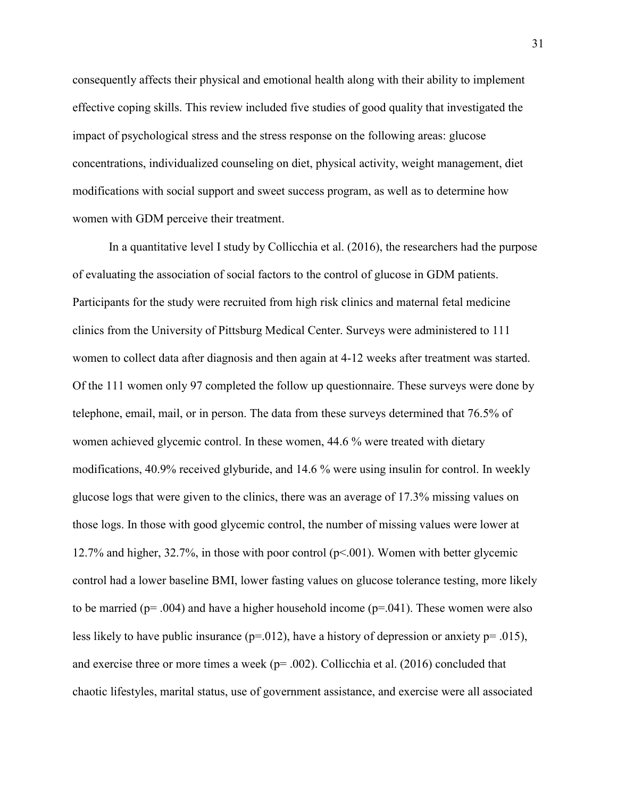consequently affects their physical and emotional health along with their ability to implement effective coping skills. This review included five studies of good quality that investigated the impact of psychological stress and the stress response on the following areas: glucose concentrations, individualized counseling on diet, physical activity, weight management, diet modifications with social support and sweet success program, as well as to determine how women with GDM perceive their treatment.

In a quantitative level I study by Collicchia et al. (2016), the researchers had the purpose of evaluating the association of social factors to the control of glucose in GDM patients. Participants for the study were recruited from high risk clinics and maternal fetal medicine clinics from the University of Pittsburg Medical Center. Surveys were administered to 111 women to collect data after diagnosis and then again at 4-12 weeks after treatment was started. Of the 111 women only 97 completed the follow up questionnaire. These surveys were done by telephone, email, mail, or in person. The data from these surveys determined that 76.5% of women achieved glycemic control. In these women, 44.6 % were treated with dietary modifications, 40.9% received glyburide, and 14.6 % were using insulin for control. In weekly glucose logs that were given to the clinics, there was an average of 17.3% missing values on those logs. In those with good glycemic control, the number of missing values were lower at 12.7% and higher, 32.7%, in those with poor control (p<.001). Women with better glycemic control had a lower baseline BMI, lower fasting values on glucose tolerance testing, more likely to be married ( $p = .004$ ) and have a higher household income ( $p = .041$ ). These women were also less likely to have public insurance  $(p=012)$ , have a history of depression or anxiety  $p=0.015$ ), and exercise three or more times a week ( $p = .002$ ). Collicchia et al. (2016) concluded that chaotic lifestyles, marital status, use of government assistance, and exercise were all associated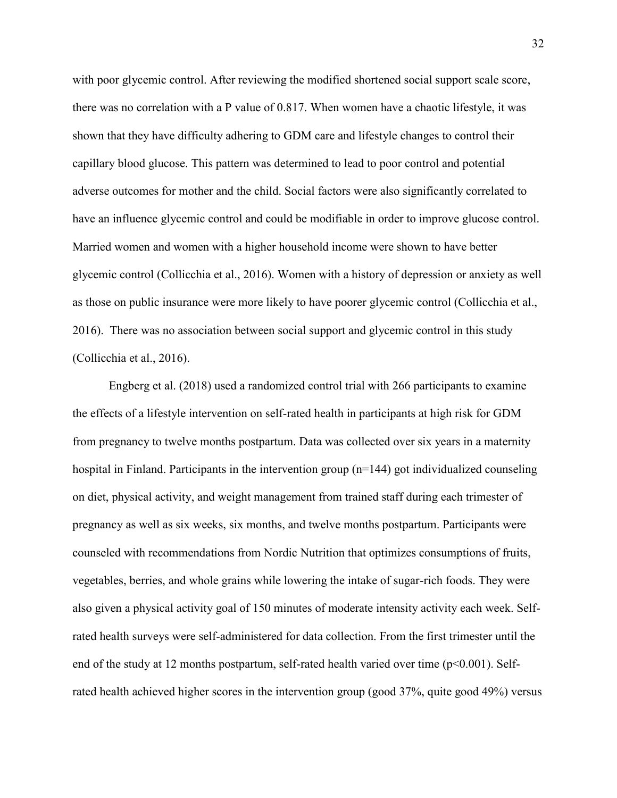with poor glycemic control. After reviewing the modified shortened social support scale score, there was no correlation with a P value of 0.817. When women have a chaotic lifestyle, it was shown that they have difficulty adhering to GDM care and lifestyle changes to control their capillary blood glucose. This pattern was determined to lead to poor control and potential adverse outcomes for mother and the child. Social factors were also significantly correlated to have an influence glycemic control and could be modifiable in order to improve glucose control. Married women and women with a higher household income were shown to have better glycemic control (Collicchia et al., 2016). Women with a history of depression or anxiety as well as those on public insurance were more likely to have poorer glycemic control (Collicchia et al., 2016). There was no association between social support and glycemic control in this study (Collicchia et al., 2016).

Engberg et al. (2018) used a randomized control trial with 266 participants to examine the effects of a lifestyle intervention on self-rated health in participants at high risk for GDM from pregnancy to twelve months postpartum. Data was collected over six years in a maternity hospital in Finland. Participants in the intervention group (n=144) got individualized counseling on diet, physical activity, and weight management from trained staff during each trimester of pregnancy as well as six weeks, six months, and twelve months postpartum. Participants were counseled with recommendations from Nordic Nutrition that optimizes consumptions of fruits, vegetables, berries, and whole grains while lowering the intake of sugar-rich foods. They were also given a physical activity goal of 150 minutes of moderate intensity activity each week. Selfrated health surveys were self-administered for data collection. From the first trimester until the end of the study at 12 months postpartum, self-rated health varied over time (p<0.001). Selfrated health achieved higher scores in the intervention group (good 37%, quite good 49%) versus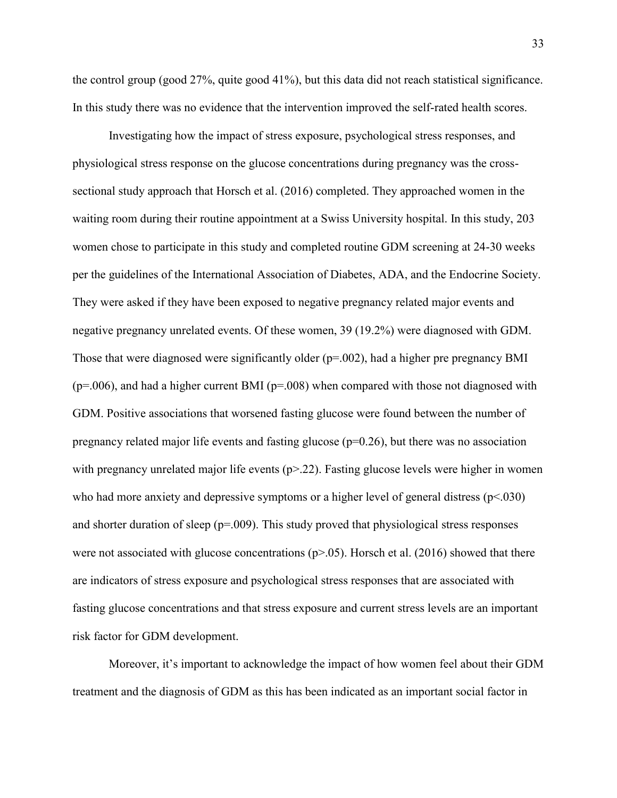the control group (good 27%, quite good 41%), but this data did not reach statistical significance. In this study there was no evidence that the intervention improved the self-rated health scores.

Investigating how the impact of stress exposure, psychological stress responses, and physiological stress response on the glucose concentrations during pregnancy was the crosssectional study approach that Horsch et al. (2016) completed. They approached women in the waiting room during their routine appointment at a Swiss University hospital. In this study, 203 women chose to participate in this study and completed routine GDM screening at 24-30 weeks per the guidelines of the International Association of Diabetes, ADA, and the Endocrine Society. They were asked if they have been exposed to negative pregnancy related major events and negative pregnancy unrelated events. Of these women, 39 (19.2%) were diagnosed with GDM. Those that were diagnosed were significantly older (p=.002), had a higher pre pregnancy BMI  $(p=0.006)$ , and had a higher current BMI ( $p=0.008$ ) when compared with those not diagnosed with GDM. Positive associations that worsened fasting glucose were found between the number of pregnancy related major life events and fasting glucose  $(p=0.26)$ , but there was no association with pregnancy unrelated major life events  $(p > 22)$ . Fasting glucose levels were higher in women who had more anxiety and depressive symptoms or a higher level of general distress  $(p<030)$ and shorter duration of sleep ( $p=009$ ). This study proved that physiological stress responses were not associated with glucose concentrations  $(p>0.05)$ . Horsch et al. (2016) showed that there are indicators of stress exposure and psychological stress responses that are associated with fasting glucose concentrations and that stress exposure and current stress levels are an important risk factor for GDM development.

Moreover, it's important to acknowledge the impact of how women feel about their GDM treatment and the diagnosis of GDM as this has been indicated as an important social factor in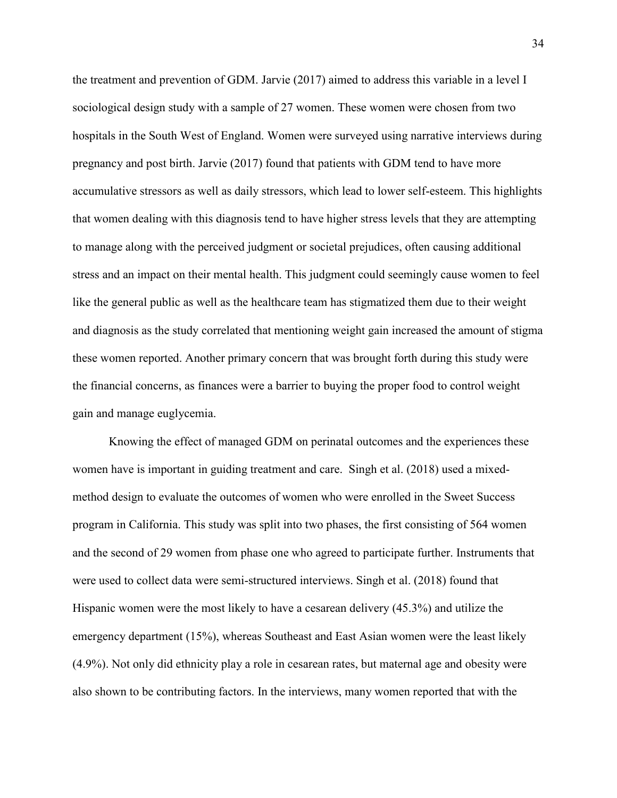the treatment and prevention of GDM. Jarvie (2017) aimed to address this variable in a level I sociological design study with a sample of 27 women. These women were chosen from two hospitals in the South West of England. Women were surveyed using narrative interviews during pregnancy and post birth. Jarvie (2017) found that patients with GDM tend to have more accumulative stressors as well as daily stressors, which lead to lower self-esteem. This highlights that women dealing with this diagnosis tend to have higher stress levels that they are attempting to manage along with the perceived judgment or societal prejudices, often causing additional stress and an impact on their mental health. This judgment could seemingly cause women to feel like the general public as well as the healthcare team has stigmatized them due to their weight and diagnosis as the study correlated that mentioning weight gain increased the amount of stigma these women reported. Another primary concern that was brought forth during this study were the financial concerns, as finances were a barrier to buying the proper food to control weight gain and manage euglycemia.

Knowing the effect of managed GDM on perinatal outcomes and the experiences these women have is important in guiding treatment and care. Singh et al. (2018) used a mixedmethod design to evaluate the outcomes of women who were enrolled in the Sweet Success program in California. This study was split into two phases, the first consisting of 564 women and the second of 29 women from phase one who agreed to participate further. Instruments that were used to collect data were semi-structured interviews. Singh et al. (2018) found that Hispanic women were the most likely to have a cesarean delivery (45.3%) and utilize the emergency department (15%), whereas Southeast and East Asian women were the least likely (4.9%). Not only did ethnicity play a role in cesarean rates, but maternal age and obesity were also shown to be contributing factors. In the interviews, many women reported that with the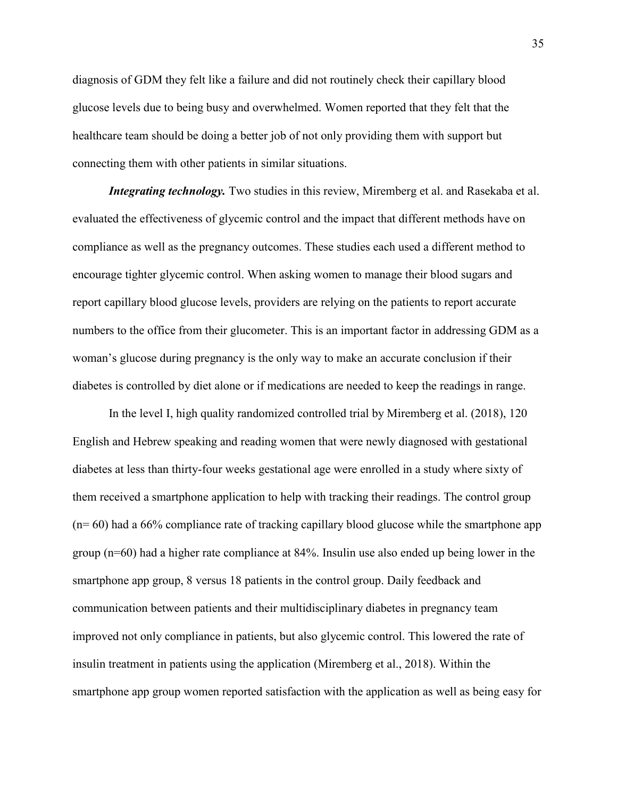diagnosis of GDM they felt like a failure and did not routinely check their capillary blood glucose levels due to being busy and overwhelmed. Women reported that they felt that the healthcare team should be doing a better job of not only providing them with support but connecting them with other patients in similar situations.

*Integrating technology*. Two studies in this review, Miremberg et al. and Rasekaba et al. evaluated the effectiveness of glycemic control and the impact that different methods have on compliance as well as the pregnancy outcomes. These studies each used a different method to encourage tighter glycemic control. When asking women to manage their blood sugars and report capillary blood glucose levels, providers are relying on the patients to report accurate numbers to the office from their glucometer. This is an important factor in addressing GDM as a woman's glucose during pregnancy is the only way to make an accurate conclusion if their diabetes is controlled by diet alone or if medications are needed to keep the readings in range.

In the level I, high quality randomized controlled trial by Miremberg et al. (2018), 120 English and Hebrew speaking and reading women that were newly diagnosed with gestational diabetes at less than thirty-four weeks gestational age were enrolled in a study where sixty of them received a smartphone application to help with tracking their readings. The control group (n= 60) had a 66% compliance rate of tracking capillary blood glucose while the smartphone app group (n=60) had a higher rate compliance at 84%. Insulin use also ended up being lower in the smartphone app group, 8 versus 18 patients in the control group. Daily feedback and communication between patients and their multidisciplinary diabetes in pregnancy team improved not only compliance in patients, but also glycemic control. This lowered the rate of insulin treatment in patients using the application (Miremberg et al., 2018). Within the smartphone app group women reported satisfaction with the application as well as being easy for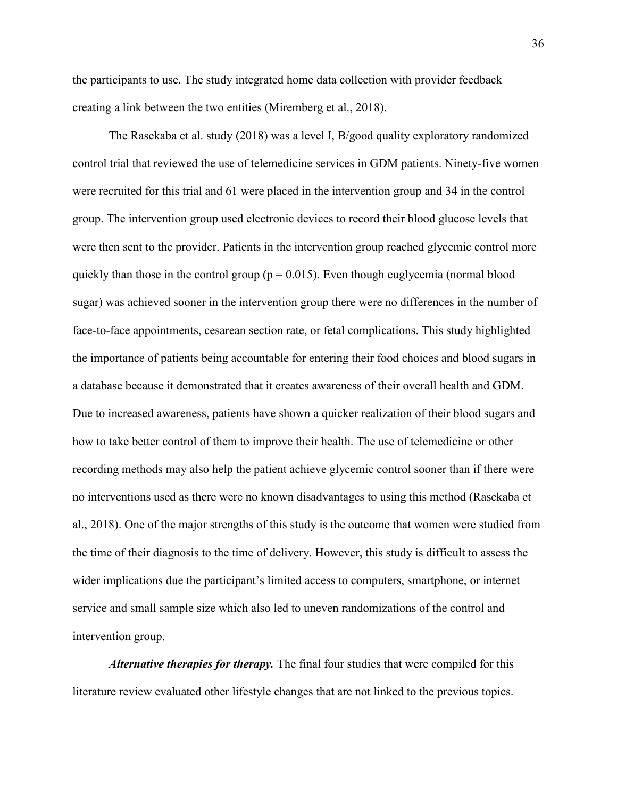the participants to use. The study integrated home data collection with provider feedback creating a link between the two entities (Miremberg et al., 2018).

The Rasekaba et al. study (2018) was a level I, B/good quality exploratory randomized control trial that reviewed the use of telemedicine services in GDM patients. Ninety-five women were recruited for this trial and 61 were placed in the intervention group and 34 in the control group. The intervention group used electronic devices to record their blood glucose levels that were then sent to the provider. Patients in the intervention group reached glycemic control more quickly than those in the control group ( $p = 0.015$ ). Even though euglycemia (normal blood sugar) was achieved sooner in the intervention group there were no differences in the number of face-to-face appointments, cesarean section rate, or fetal complications. This study highlighted the importance of patients being accountable for entering their food choices and blood sugars in a database because it demonstrated that it creates awareness of their overall health and GDM. Due to increased awareness, patients have shown a quicker realization of their blood sugars and how to take better control of them to improve their health. The use of telemedicine or other recording methods may also help the patient achieve glycemic control sooner than if there were no interventions used as there were no known disadvantages to using this method (Rasekaba et al., 2018). One of the major strengths of this study is the outcome that women were studied from the time of their diagnosis to the time of delivery. However, this study is difficult to assess the wider implications due the participant's limited access to computers, smartphone, or internet service and small sample size which also led to uneven randomizations of the control and intervention group.

*Alternative therapies for therapy.* The final four studies that were compiled for this literature review evaluated other lifestyle changes that are not linked to the previous topics.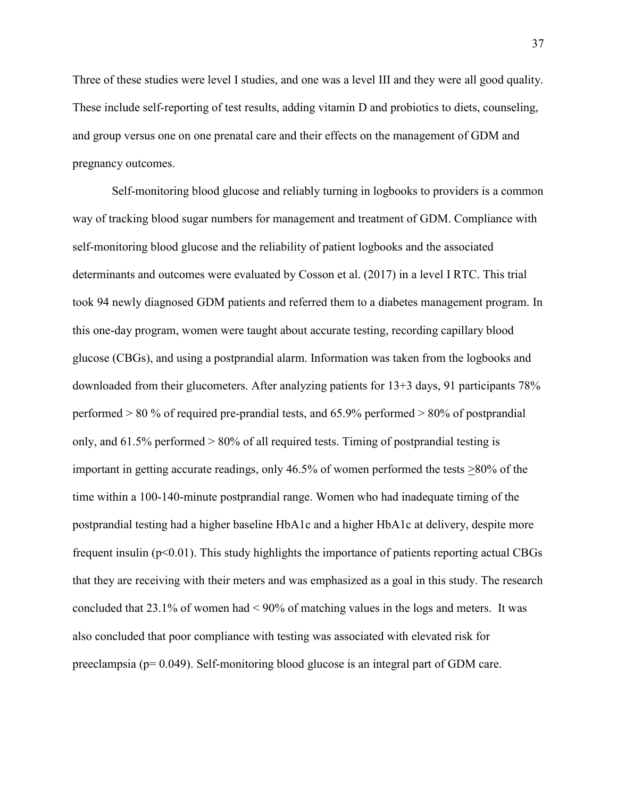Three of these studies were level I studies, and one was a level III and they were all good quality. These include self-reporting of test results, adding vitamin D and probiotics to diets, counseling, and group versus one on one prenatal care and their effects on the management of GDM and pregnancy outcomes.

Self-monitoring blood glucose and reliably turning in logbooks to providers is a common way of tracking blood sugar numbers for management and treatment of GDM. Compliance with self-monitoring blood glucose and the reliability of patient logbooks and the associated determinants and outcomes were evaluated by Cosson et al. (2017) in a level I RTC. This trial took 94 newly diagnosed GDM patients and referred them to a diabetes management program. In this one-day program, women were taught about accurate testing, recording capillary blood glucose (CBGs), and using a postprandial alarm. Information was taken from the logbooks and downloaded from their glucometers. After analyzing patients for 13+3 days, 91 participants 78% performed > 80 % of required pre-prandial tests, and 65.9% performed > 80% of postprandial only, and 61.5% performed > 80% of all required tests. Timing of postprandial testing is important in getting accurate readings, only 46.5% of women performed the tests >80% of the time within a 100-140-minute postprandial range. Women who had inadequate timing of the postprandial testing had a higher baseline HbA1c and a higher HbA1c at delivery, despite more frequent insulin (p<0.01). This study highlights the importance of patients reporting actual CBGs that they are receiving with their meters and was emphasized as a goal in this study. The research concluded that 23.1% of women had < 90% of matching values in the logs and meters. It was also concluded that poor compliance with testing was associated with elevated risk for preeclampsia (p= 0.049). Self-monitoring blood glucose is an integral part of GDM care.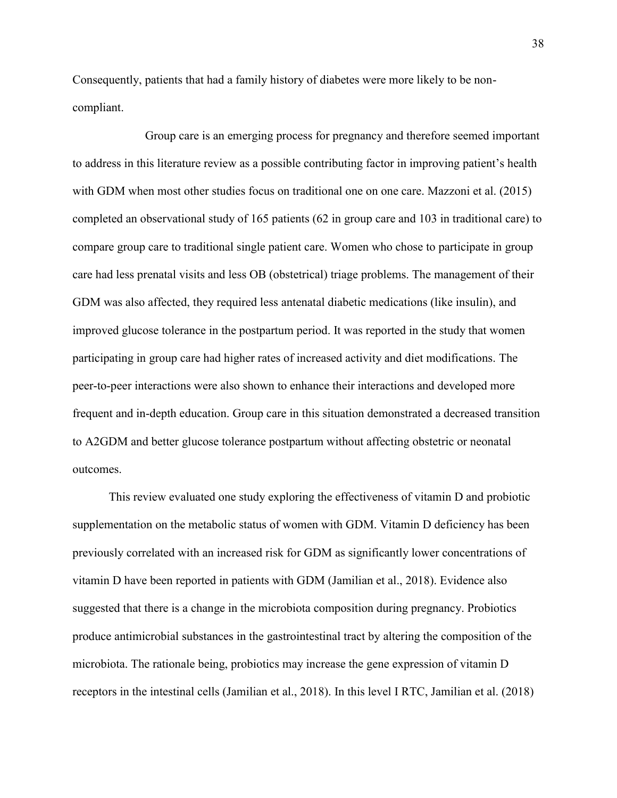Consequently, patients that had a family history of diabetes were more likely to be noncompliant.

Group care is an emerging process for pregnancy and therefore seemed important to address in this literature review as a possible contributing factor in improving patient's health with GDM when most other studies focus on traditional one on one care. Mazzoni et al. (2015) completed an observational study of 165 patients (62 in group care and 103 in traditional care) to compare group care to traditional single patient care. Women who chose to participate in group care had less prenatal visits and less OB (obstetrical) triage problems. The management of their GDM was also affected, they required less antenatal diabetic medications (like insulin), and improved glucose tolerance in the postpartum period. It was reported in the study that women participating in group care had higher rates of increased activity and diet modifications. The peer-to-peer interactions were also shown to enhance their interactions and developed more frequent and in-depth education. Group care in this situation demonstrated a decreased transition to A2GDM and better glucose tolerance postpartum without affecting obstetric or neonatal outcomes.

This review evaluated one study exploring the effectiveness of vitamin D and probiotic supplementation on the metabolic status of women with GDM. Vitamin D deficiency has been previously correlated with an increased risk for GDM as significantly lower concentrations of vitamin D have been reported in patients with GDM (Jamilian et al., 2018). Evidence also suggested that there is a change in the microbiota composition during pregnancy. Probiotics produce antimicrobial substances in the gastrointestinal tract by altering the composition of the microbiota. The rationale being, probiotics may increase the gene expression of vitamin D receptors in the intestinal cells (Jamilian et al., 2018). In this level I RTC, Jamilian et al. (2018)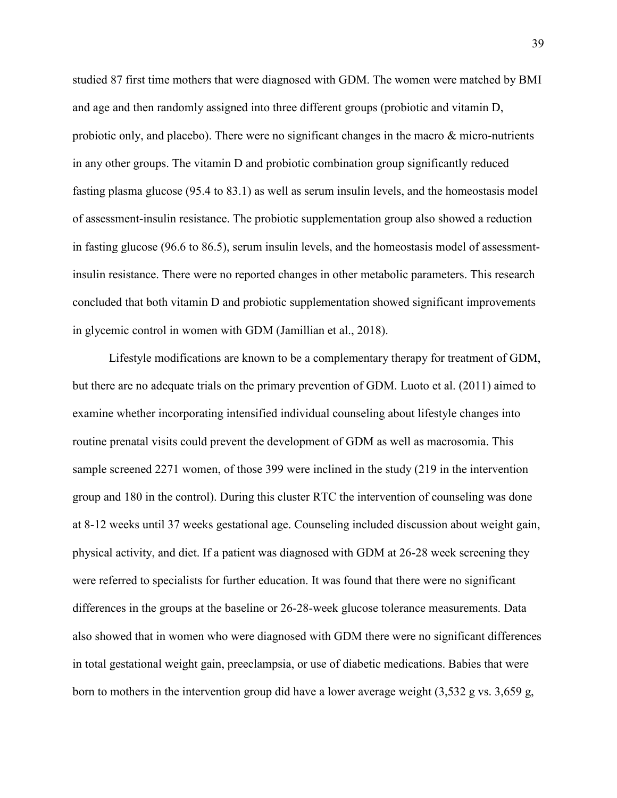studied 87 first time mothers that were diagnosed with GDM. The women were matched by BMI and age and then randomly assigned into three different groups (probiotic and vitamin D, probiotic only, and placebo). There were no significant changes in the macro  $\&$  micro-nutrients in any other groups. The vitamin D and probiotic combination group significantly reduced fasting plasma glucose (95.4 to 83.1) as well as serum insulin levels, and the homeostasis model of assessment-insulin resistance. The probiotic supplementation group also showed a reduction in fasting glucose (96.6 to 86.5), serum insulin levels, and the homeostasis model of assessmentinsulin resistance. There were no reported changes in other metabolic parameters. This research concluded that both vitamin D and probiotic supplementation showed significant improvements in glycemic control in women with GDM (Jamillian et al., 2018).

Lifestyle modifications are known to be a complementary therapy for treatment of GDM, but there are no adequate trials on the primary prevention of GDM. Luoto et al. (2011) aimed to examine whether incorporating intensified individual counseling about lifestyle changes into routine prenatal visits could prevent the development of GDM as well as macrosomia. This sample screened 2271 women, of those 399 were inclined in the study (219 in the intervention group and 180 in the control). During this cluster RTC the intervention of counseling was done at 8-12 weeks until 37 weeks gestational age. Counseling included discussion about weight gain, physical activity, and diet. If a patient was diagnosed with GDM at 26-28 week screening they were referred to specialists for further education. It was found that there were no significant differences in the groups at the baseline or 26-28-week glucose tolerance measurements. Data also showed that in women who were diagnosed with GDM there were no significant differences in total gestational weight gain, preeclampsia, or use of diabetic medications. Babies that were born to mothers in the intervention group did have a lower average weight (3,532 g vs. 3,659 g,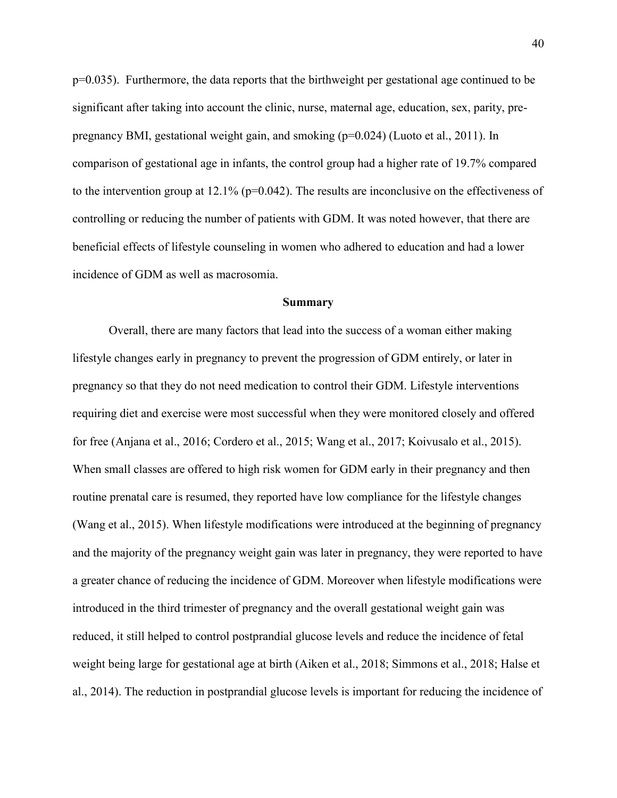p=0.035). Furthermore, the data reports that the birthweight per gestational age continued to be significant after taking into account the clinic, nurse, maternal age, education, sex, parity, prepregnancy BMI, gestational weight gain, and smoking (p=0.024) (Luoto et al., 2011). In comparison of gestational age in infants, the control group had a higher rate of 19.7% compared to the intervention group at 12.1% (p=0.042). The results are inconclusive on the effectiveness of controlling or reducing the number of patients with GDM. It was noted however, that there are beneficial effects of lifestyle counseling in women who adhered to education and had a lower incidence of GDM as well as macrosomia.

#### **Summary**

Overall, there are many factors that lead into the success of a woman either making lifestyle changes early in pregnancy to prevent the progression of GDM entirely, or later in pregnancy so that they do not need medication to control their GDM. Lifestyle interventions requiring diet and exercise were most successful when they were monitored closely and offered for free (Anjana et al., 2016; Cordero et al., 2015; Wang et al., 2017; Koivusalo et al., 2015). When small classes are offered to high risk women for GDM early in their pregnancy and then routine prenatal care is resumed, they reported have low compliance for the lifestyle changes (Wang et al., 2015). When lifestyle modifications were introduced at the beginning of pregnancy and the majority of the pregnancy weight gain was later in pregnancy, they were reported to have a greater chance of reducing the incidence of GDM. Moreover when lifestyle modifications were introduced in the third trimester of pregnancy and the overall gestational weight gain was reduced, it still helped to control postprandial glucose levels and reduce the incidence of fetal weight being large for gestational age at birth (Aiken et al., 2018; Simmons et al., 2018; Halse et al., 2014). The reduction in postprandial glucose levels is important for reducing the incidence of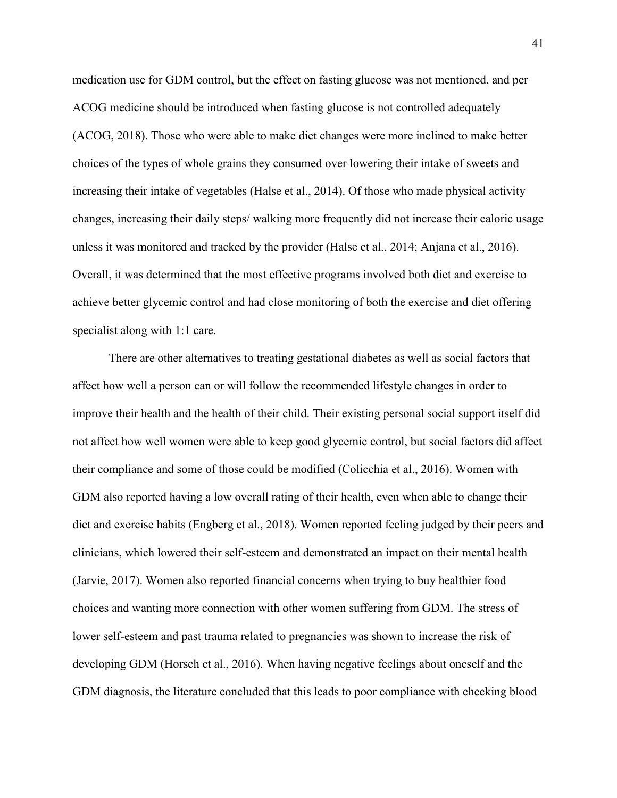medication use for GDM control, but the effect on fasting glucose was not mentioned, and per ACOG medicine should be introduced when fasting glucose is not controlled adequately (ACOG, 2018). Those who were able to make diet changes were more inclined to make better choices of the types of whole grains they consumed over lowering their intake of sweets and increasing their intake of vegetables (Halse et al., 2014). Of those who made physical activity changes, increasing their daily steps/ walking more frequently did not increase their caloric usage unless it was monitored and tracked by the provider (Halse et al., 2014; Anjana et al., 2016). Overall, it was determined that the most effective programs involved both diet and exercise to achieve better glycemic control and had close monitoring of both the exercise and diet offering specialist along with 1:1 care.

There are other alternatives to treating gestational diabetes as well as social factors that affect how well a person can or will follow the recommended lifestyle changes in order to improve their health and the health of their child. Their existing personal social support itself did not affect how well women were able to keep good glycemic control, but social factors did affect their compliance and some of those could be modified (Colicchia et al., 2016). Women with GDM also reported having a low overall rating of their health, even when able to change their diet and exercise habits (Engberg et al., 2018). Women reported feeling judged by their peers and clinicians, which lowered their self-esteem and demonstrated an impact on their mental health (Jarvie, 2017). Women also reported financial concerns when trying to buy healthier food choices and wanting more connection with other women suffering from GDM. The stress of lower self-esteem and past trauma related to pregnancies was shown to increase the risk of developing GDM (Horsch et al., 2016). When having negative feelings about oneself and the GDM diagnosis, the literature concluded that this leads to poor compliance with checking blood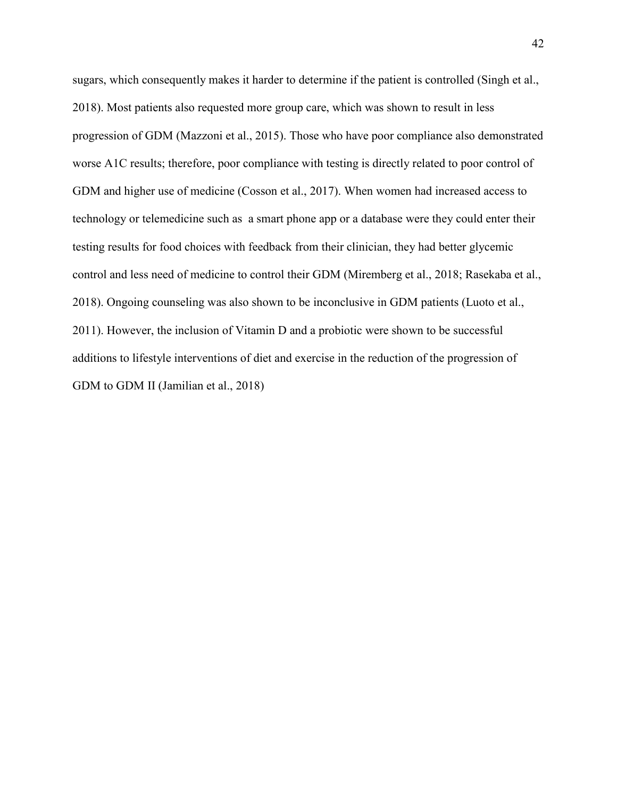sugars, which consequently makes it harder to determine if the patient is controlled (Singh et al., 2018). Most patients also requested more group care, which was shown to result in less progression of GDM (Mazzoni et al., 2015). Those who have poor compliance also demonstrated worse A1C results; therefore, poor compliance with testing is directly related to poor control of GDM and higher use of medicine (Cosson et al., 2017). When women had increased access to technology or telemedicine such as a smart phone app or a database were they could enter their testing results for food choices with feedback from their clinician, they had better glycemic control and less need of medicine to control their GDM (Miremberg et al., 2018; Rasekaba et al., 2018). Ongoing counseling was also shown to be inconclusive in GDM patients (Luoto et al., 2011). However, the inclusion of Vitamin D and a probiotic were shown to be successful additions to lifestyle interventions of diet and exercise in the reduction of the progression of GDM to GDM II (Jamilian et al., 2018)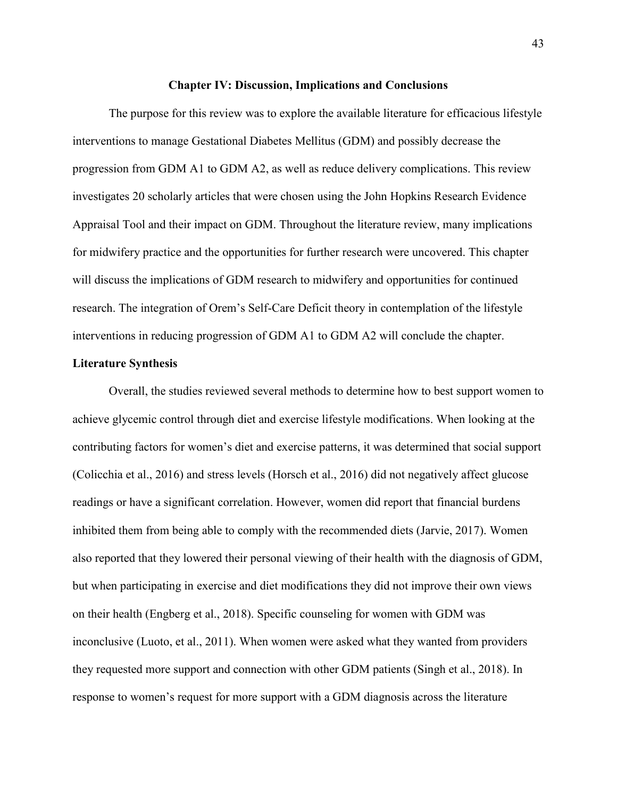#### **Chapter IV: Discussion, Implications and Conclusions**

The purpose for this review was to explore the available literature for efficacious lifestyle interventions to manage Gestational Diabetes Mellitus (GDM) and possibly decrease the progression from GDM A1 to GDM A2, as well as reduce delivery complications. This review investigates 20 scholarly articles that were chosen using the John Hopkins Research Evidence Appraisal Tool and their impact on GDM. Throughout the literature review, many implications for midwifery practice and the opportunities for further research were uncovered. This chapter will discuss the implications of GDM research to midwifery and opportunities for continued research. The integration of Orem's Self-Care Deficit theory in contemplation of the lifestyle interventions in reducing progression of GDM A1 to GDM A2 will conclude the chapter.

## **Literature Synthesis**

Overall, the studies reviewed several methods to determine how to best support women to achieve glycemic control through diet and exercise lifestyle modifications. When looking at the contributing factors for women's diet and exercise patterns, it was determined that social support (Colicchia et al., 2016) and stress levels (Horsch et al., 2016) did not negatively affect glucose readings or have a significant correlation. However, women did report that financial burdens inhibited them from being able to comply with the recommended diets (Jarvie, 2017). Women also reported that they lowered their personal viewing of their health with the diagnosis of GDM, but when participating in exercise and diet modifications they did not improve their own views on their health (Engberg et al., 2018). Specific counseling for women with GDM was inconclusive (Luoto, et al., 2011). When women were asked what they wanted from providers they requested more support and connection with other GDM patients (Singh et al., 2018). In response to women's request for more support with a GDM diagnosis across the literature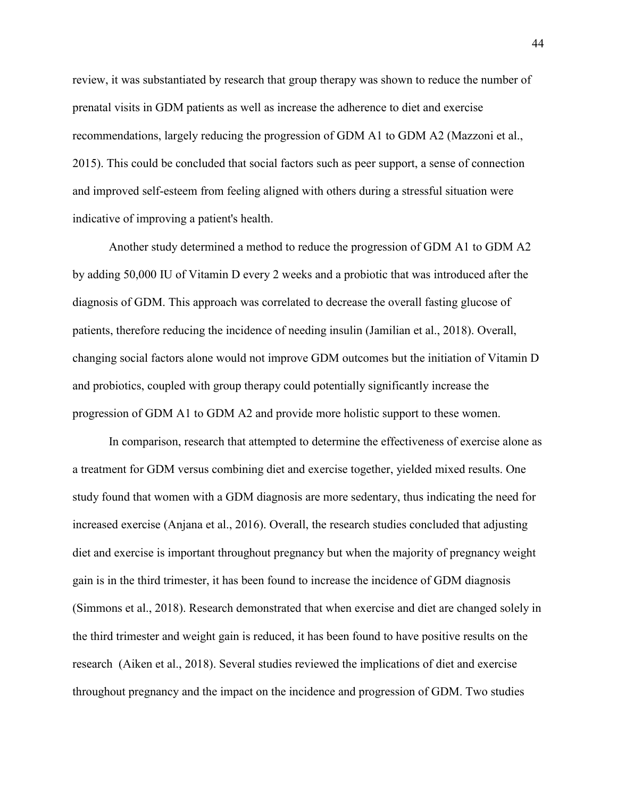review, it was substantiated by research that group therapy was shown to reduce the number of prenatal visits in GDM patients as well as increase the adherence to diet and exercise recommendations, largely reducing the progression of GDM A1 to GDM A2 (Mazzoni et al., 2015). This could be concluded that social factors such as peer support, a sense of connection and improved self-esteem from feeling aligned with others during a stressful situation were indicative of improving a patient's health.

Another study determined a method to reduce the progression of GDM A1 to GDM A2 by adding 50,000 IU of Vitamin D every 2 weeks and a probiotic that was introduced after the diagnosis of GDM. This approach was correlated to decrease the overall fasting glucose of patients, therefore reducing the incidence of needing insulin (Jamilian et al., 2018). Overall, changing social factors alone would not improve GDM outcomes but the initiation of Vitamin D and probiotics, coupled with group therapy could potentially significantly increase the progression of GDM A1 to GDM A2 and provide more holistic support to these women.

In comparison, research that attempted to determine the effectiveness of exercise alone as a treatment for GDM versus combining diet and exercise together, yielded mixed results. One study found that women with a GDM diagnosis are more sedentary, thus indicating the need for increased exercise (Anjana et al., 2016). Overall, the research studies concluded that adjusting diet and exercise is important throughout pregnancy but when the majority of pregnancy weight gain is in the third trimester, it has been found to increase the incidence of GDM diagnosis (Simmons et al., 2018). Research demonstrated that when exercise and diet are changed solely in the third trimester and weight gain is reduced, it has been found to have positive results on the research (Aiken et al., 2018). Several studies reviewed the implications of diet and exercise throughout pregnancy and the impact on the incidence and progression of GDM. Two studies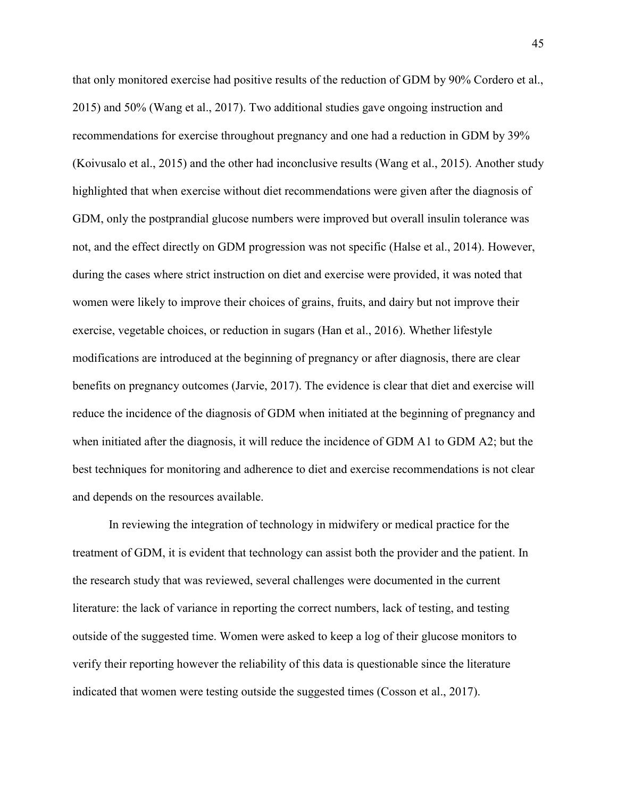that only monitored exercise had positive results of the reduction of GDM by 90% Cordero et al., 2015) and 50% (Wang et al., 2017). Two additional studies gave ongoing instruction and recommendations for exercise throughout pregnancy and one had a reduction in GDM by 39% (Koivusalo et al., 2015) and the other had inconclusive results (Wang et al., 2015). Another study highlighted that when exercise without diet recommendations were given after the diagnosis of GDM, only the postprandial glucose numbers were improved but overall insulin tolerance was not, and the effect directly on GDM progression was not specific (Halse et al., 2014). However, during the cases where strict instruction on diet and exercise were provided, it was noted that women were likely to improve their choices of grains, fruits, and dairy but not improve their exercise, vegetable choices, or reduction in sugars (Han et al., 2016). Whether lifestyle modifications are introduced at the beginning of pregnancy or after diagnosis, there are clear benefits on pregnancy outcomes (Jarvie, 2017). The evidence is clear that diet and exercise will reduce the incidence of the diagnosis of GDM when initiated at the beginning of pregnancy and when initiated after the diagnosis, it will reduce the incidence of GDM A1 to GDM A2; but the best techniques for monitoring and adherence to diet and exercise recommendations is not clear and depends on the resources available.

In reviewing the integration of technology in midwifery or medical practice for the treatment of GDM, it is evident that technology can assist both the provider and the patient. In the research study that was reviewed, several challenges were documented in the current literature: the lack of variance in reporting the correct numbers, lack of testing, and testing outside of the suggested time. Women were asked to keep a log of their glucose monitors to verify their reporting however the reliability of this data is questionable since the literature indicated that women were testing outside the suggested times (Cosson et al., 2017).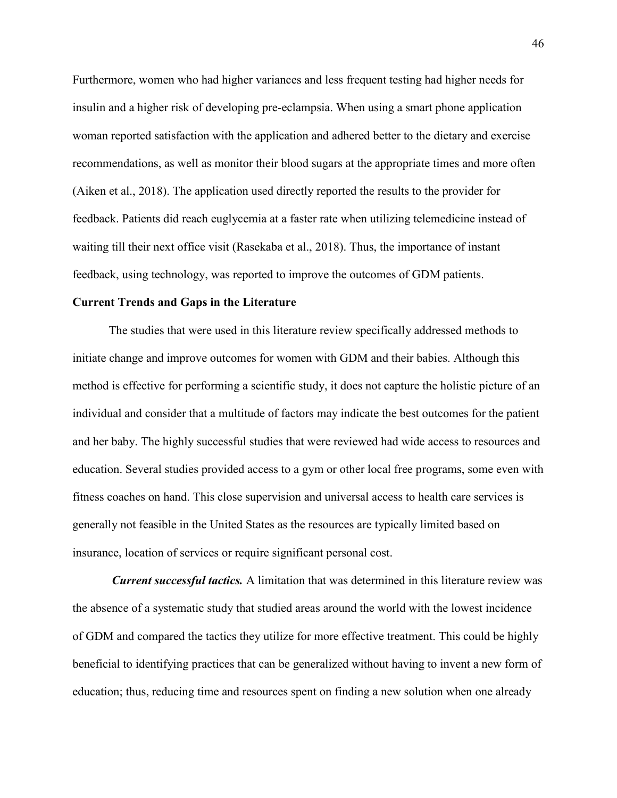Furthermore, women who had higher variances and less frequent testing had higher needs for insulin and a higher risk of developing pre-eclampsia. When using a smart phone application woman reported satisfaction with the application and adhered better to the dietary and exercise recommendations, as well as monitor their blood sugars at the appropriate times and more often (Aiken et al., 2018). The application used directly reported the results to the provider for feedback. Patients did reach euglycemia at a faster rate when utilizing telemedicine instead of waiting till their next office visit (Rasekaba et al., 2018). Thus, the importance of instant feedback, using technology, was reported to improve the outcomes of GDM patients.

#### **Current Trends and Gaps in the Literature**

The studies that were used in this literature review specifically addressed methods to initiate change and improve outcomes for women with GDM and their babies. Although this method is effective for performing a scientific study, it does not capture the holistic picture of an individual and consider that a multitude of factors may indicate the best outcomes for the patient and her baby. The highly successful studies that were reviewed had wide access to resources and education. Several studies provided access to a gym or other local free programs, some even with fitness coaches on hand. This close supervision and universal access to health care services is generally not feasible in the United States as the resources are typically limited based on insurance, location of services or require significant personal cost.

*Current successful tactics.* A limitation that was determined in this literature review was the absence of a systematic study that studied areas around the world with the lowest incidence of GDM and compared the tactics they utilize for more effective treatment. This could be highly beneficial to identifying practices that can be generalized without having to invent a new form of education; thus, reducing time and resources spent on finding a new solution when one already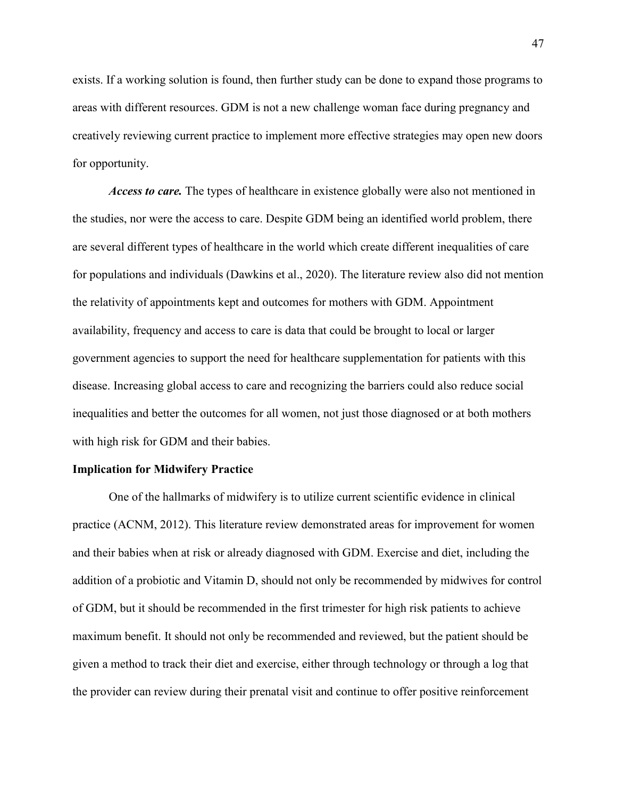exists. If a working solution is found, then further study can be done to expand those programs to areas with different resources. GDM is not a new challenge woman face during pregnancy and creatively reviewing current practice to implement more effective strategies may open new doors for opportunity.

*Access to care.* The types of healthcare in existence globally were also not mentioned in the studies, nor were the access to care. Despite GDM being an identified world problem, there are several different types of healthcare in the world which create different inequalities of care for populations and individuals (Dawkins et al., 2020). The literature review also did not mention the relativity of appointments kept and outcomes for mothers with GDM. Appointment availability, frequency and access to care is data that could be brought to local or larger government agencies to support the need for healthcare supplementation for patients with this disease. Increasing global access to care and recognizing the barriers could also reduce social inequalities and better the outcomes for all women, not just those diagnosed or at both mothers with high risk for GDM and their babies.

### **Implication for Midwifery Practice**

One of the hallmarks of midwifery is to utilize current scientific evidence in clinical practice (ACNM, 2012). This literature review demonstrated areas for improvement for women and their babies when at risk or already diagnosed with GDM. Exercise and diet, including the addition of a probiotic and Vitamin D, should not only be recommended by midwives for control of GDM, but it should be recommended in the first trimester for high risk patients to achieve maximum benefit. It should not only be recommended and reviewed, but the patient should be given a method to track their diet and exercise, either through technology or through a log that the provider can review during their prenatal visit and continue to offer positive reinforcement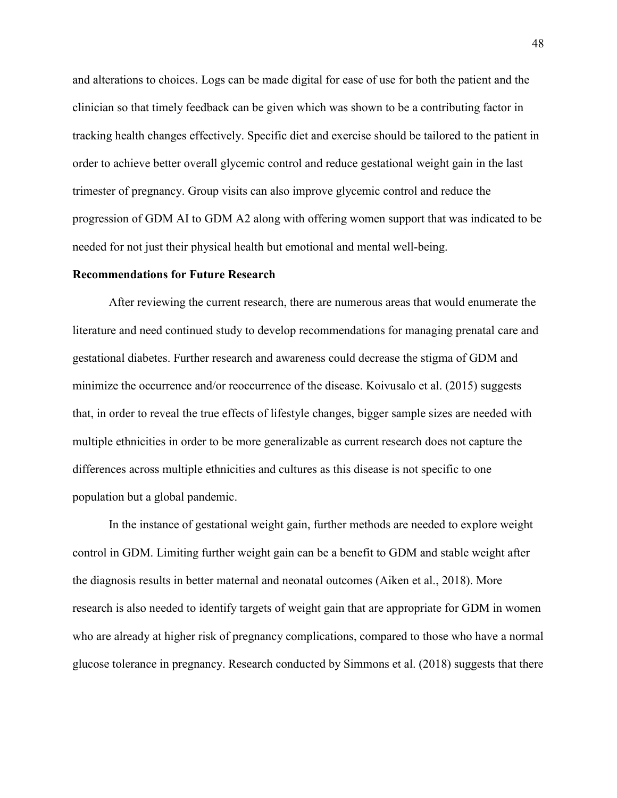and alterations to choices. Logs can be made digital for ease of use for both the patient and the clinician so that timely feedback can be given which was shown to be a contributing factor in tracking health changes effectively. Specific diet and exercise should be tailored to the patient in order to achieve better overall glycemic control and reduce gestational weight gain in the last trimester of pregnancy. Group visits can also improve glycemic control and reduce the progression of GDM AI to GDM A2 along with offering women support that was indicated to be needed for not just their physical health but emotional and mental well-being.

### **Recommendations for Future Research**

After reviewing the current research, there are numerous areas that would enumerate the literature and need continued study to develop recommendations for managing prenatal care and gestational diabetes. Further research and awareness could decrease the stigma of GDM and minimize the occurrence and/or reoccurrence of the disease. Koivusalo et al. (2015) suggests that, in order to reveal the true effects of lifestyle changes, bigger sample sizes are needed with multiple ethnicities in order to be more generalizable as current research does not capture the differences across multiple ethnicities and cultures as this disease is not specific to one population but a global pandemic.

In the instance of gestational weight gain, further methods are needed to explore weight control in GDM. Limiting further weight gain can be a benefit to GDM and stable weight after the diagnosis results in better maternal and neonatal outcomes (Aiken et al., 2018). More research is also needed to identify targets of weight gain that are appropriate for GDM in women who are already at higher risk of pregnancy complications, compared to those who have a normal glucose tolerance in pregnancy. Research conducted by Simmons et al. (2018) suggests that there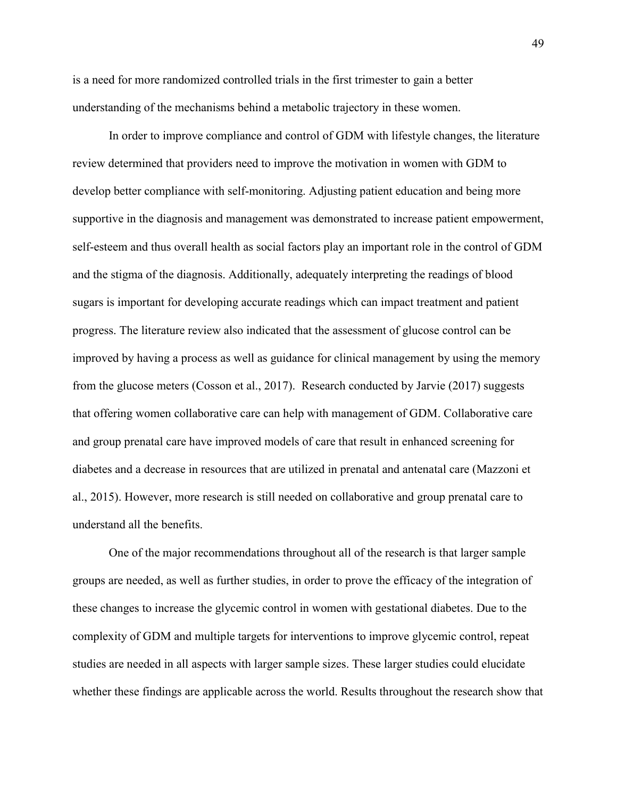is a need for more randomized controlled trials in the first trimester to gain a better understanding of the mechanisms behind a metabolic trajectory in these women.

In order to improve compliance and control of GDM with lifestyle changes, the literature review determined that providers need to improve the motivation in women with GDM to develop better compliance with self-monitoring. Adjusting patient education and being more supportive in the diagnosis and management was demonstrated to increase patient empowerment, self-esteem and thus overall health as social factors play an important role in the control of GDM and the stigma of the diagnosis. Additionally, adequately interpreting the readings of blood sugars is important for developing accurate readings which can impact treatment and patient progress. The literature review also indicated that the assessment of glucose control can be improved by having a process as well as guidance for clinical management by using the memory from the glucose meters (Cosson et al., 2017). Research conducted by Jarvie (2017) suggests that offering women collaborative care can help with management of GDM. Collaborative care and group prenatal care have improved models of care that result in enhanced screening for diabetes and a decrease in resources that are utilized in prenatal and antenatal care (Mazzoni et al., 2015). However, more research is still needed on collaborative and group prenatal care to understand all the benefits.

One of the major recommendations throughout all of the research is that larger sample groups are needed, as well as further studies, in order to prove the efficacy of the integration of these changes to increase the glycemic control in women with gestational diabetes. Due to the complexity of GDM and multiple targets for interventions to improve glycemic control, repeat studies are needed in all aspects with larger sample sizes. These larger studies could elucidate whether these findings are applicable across the world. Results throughout the research show that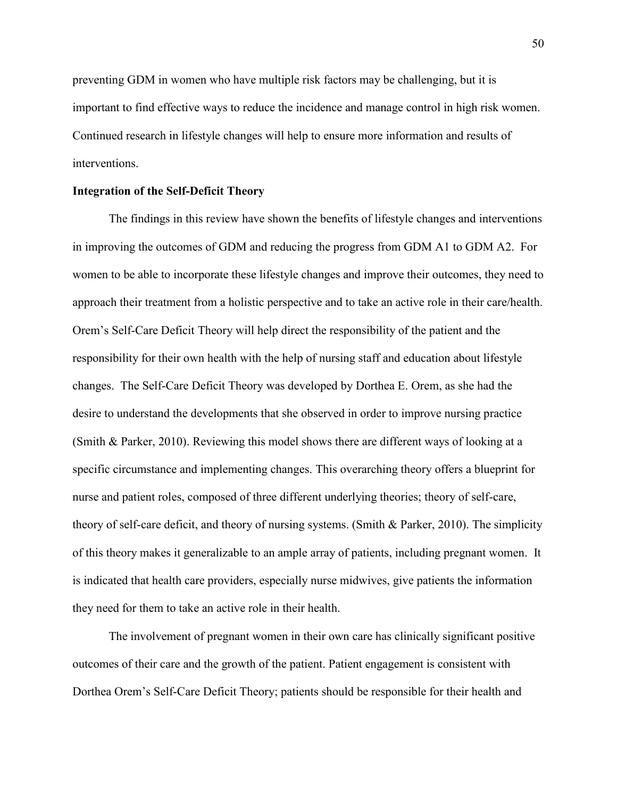preventing GDM in women who have multiple risk factors may be challenging, but it is important to find effective ways to reduce the incidence and manage control in high risk women. Continued research in lifestyle changes will help to ensure more information and results of interventions.

#### **Integration of the Self-Deficit Theory**

The findings in this review have shown the benefits of lifestyle changes and interventions in improving the outcomes of GDM and reducing the progress from GDM A1 to GDM A2. For women to be able to incorporate these lifestyle changes and improve their outcomes, they need to approach their treatment from a holistic perspective and to take an active role in their care/health. Orem's Self-Care Deficit Theory will help direct the responsibility of the patient and the responsibility for their own health with the help of nursing staff and education about lifestyle changes. The Self-Care Deficit Theory was developed by Dorthea E. Orem, as she had the desire to understand the developments that she observed in order to improve nursing practice (Smith & Parker, 2010). Reviewing this model shows there are different ways of looking at a specific circumstance and implementing changes. This overarching theory offers a blueprint for nurse and patient roles, composed of three different underlying theories; theory of self-care, theory of self-care deficit, and theory of nursing systems. (Smith & Parker, 2010). The simplicity of this theory makes it generalizable to an ample array of patients, including pregnant women. It is indicated that health care providers, especially nurse midwives, give patients the information they need for them to take an active role in their health.

The involvement of pregnant women in their own care has clinically significant positive outcomes of their care and the growth of the patient. Patient engagement is consistent with Dorthea Orem's Self-Care Deficit Theory; patients should be responsible for their health and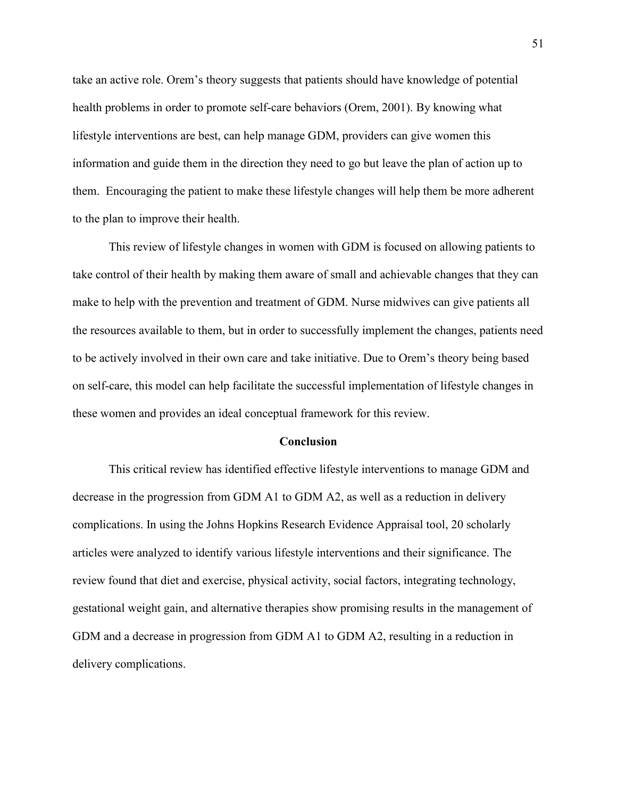take an active role. Orem's theory suggests that patients should have knowledge of potential health problems in order to promote self-care behaviors (Orem, 2001). By knowing what lifestyle interventions are best, can help manage GDM, providers can give women this information and guide them in the direction they need to go but leave the plan of action up to them. Encouraging the patient to make these lifestyle changes will help them be more adherent to the plan to improve their health.

This review of lifestyle changes in women with GDM is focused on allowing patients to take control of their health by making them aware of small and achievable changes that they can make to help with the prevention and treatment of GDM. Nurse midwives can give patients all the resources available to them, but in order to successfully implement the changes, patients need to be actively involved in their own care and take initiative. Due to Orem's theory being based on self-care, this model can help facilitate the successful implementation of lifestyle changes in these women and provides an ideal conceptual framework for this review.

#### **Conclusion**

This critical review has identified effective lifestyle interventions to manage GDM and decrease in the progression from GDM A1 to GDM A2, as well as a reduction in delivery complications. In using the Johns Hopkins Research Evidence Appraisal tool, 20 scholarly articles were analyzed to identify various lifestyle interventions and their significance. The review found that diet and exercise, physical activity, social factors, integrating technology, gestational weight gain, and alternative therapies show promising results in the management of GDM and a decrease in progression from GDM A1 to GDM A2, resulting in a reduction in delivery complications.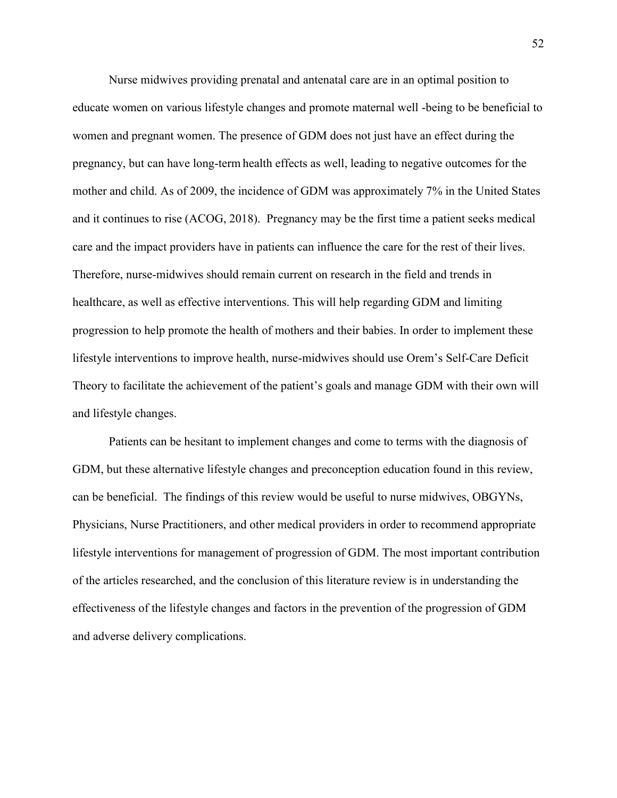Nurse midwives providing prenatal and antenatal care are in an optimal position to educate women on various lifestyle changes and promote maternal well -being to be beneficial to women and pregnant women. The presence of GDM does not just have an effect during the pregnancy, but can have long-term health effects as well, leading to negative outcomes for the mother and child. As of 2009, the incidence of GDM was approximately 7% in the United States and it continues to rise (ACOG, 2018). Pregnancy may be the first time a patient seeks medical care and the impact providers have in patients can influence the care for the rest of their lives. Therefore, nurse-midwives should remain current on research in the field and trends in healthcare, as well as effective interventions. This will help regarding GDM and limiting progression to help promote the health of mothers and their babies. In order to implement these lifestyle interventions to improve health, nurse-midwives should use Orem's Self-Care Deficit Theory to facilitate the achievement of the patient's goals and manage GDM with their own will and lifestyle changes.

Patients can be hesitant to implement changes and come to terms with the diagnosis of GDM, but these alternative lifestyle changes and preconception education found in this review, can be beneficial. The findings of this review would be useful to nurse midwives, OBGYNs, Physicians, Nurse Practitioners, and other medical providers in order to recommend appropriate lifestyle interventions for management of progression of GDM. The most important contribution of the articles researched, and the conclusion of this literature review is in understanding the effectiveness of the lifestyle changes and factors in the prevention of the progression of GDM and adverse delivery complications.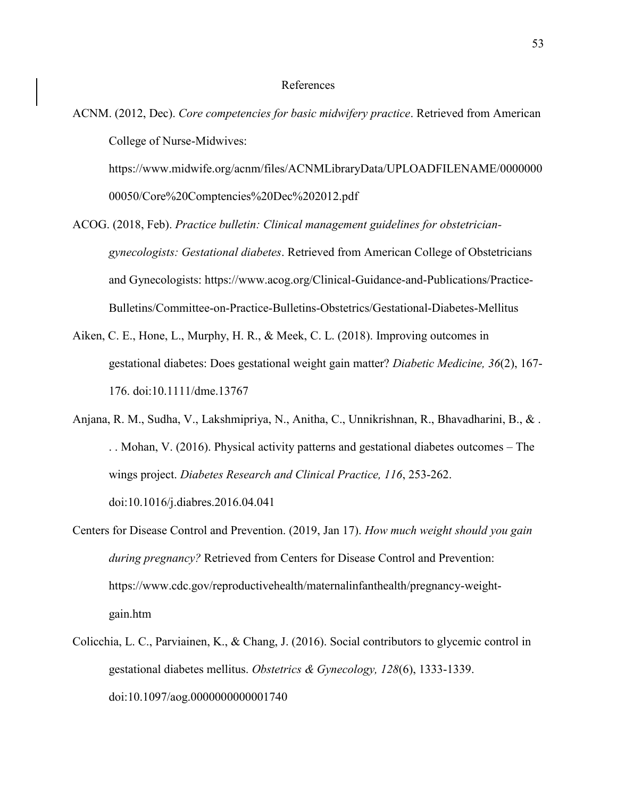ACNM. (2012, Dec). *Core competencies for basic midwifery practice*. Retrieved from American College of Nurse-Midwives:

https://www.midwife.org/acnm/files/ACNMLibraryData/UPLOADFILENAME/0000000 00050/Core%20Comptencies%20Dec%202012.pdf

- ACOG. (2018, Feb). *Practice bulletin: Clinical management guidelines for obstetriciangynecologists: Gestational diabetes*. Retrieved from American College of Obstetricians and Gynecologists: https://www.acog.org/Clinical-Guidance-and-Publications/Practice-Bulletins/Committee-on-Practice-Bulletins-Obstetrics/Gestational-Diabetes-Mellitus
- Aiken, C. E., Hone, L., Murphy, H. R., & Meek, C. L. (2018). Improving outcomes in gestational diabetes: Does gestational weight gain matter? *Diabetic Medicine, 36*(2), 167- 176. doi:10.1111/dme.13767
- Anjana, R. M., Sudha, V., Lakshmipriya, N., Anitha, C., Unnikrishnan, R., Bhavadharini, B., & . . . Mohan, V. (2016). Physical activity patterns and gestational diabetes outcomes  $-$  The wings project. *Diabetes Research and Clinical Practice, 116*, 253-262. doi:10.1016/j.diabres.2016.04.041
- Centers for Disease Control and Prevention. (2019, Jan 17). *How much weight should you gain during pregnancy?* Retrieved from Centers for Disease Control and Prevention: https://www.cdc.gov/reproductivehealth/maternalinfanthealth/pregnancy-weightgain.htm
- Colicchia, L. C., Parviainen, K., & Chang, J. (2016). Social contributors to glycemic control in gestational diabetes mellitus. *Obstetrics & Gynecology, 128*(6), 1333-1339. doi:10.1097/aog.0000000000001740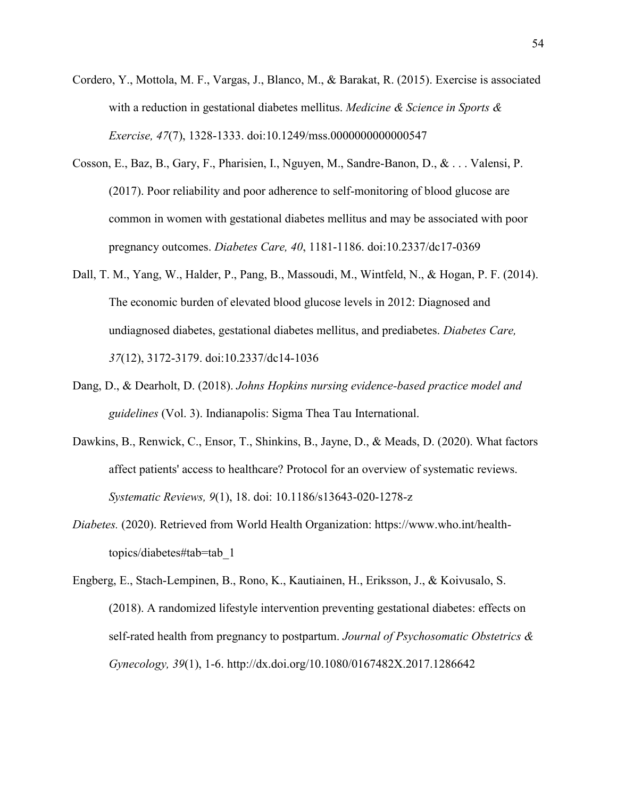- Cordero, Y., Mottola, M. F., Vargas, J., Blanco, M., & Barakat, R. (2015). Exercise is associated with a reduction in gestational diabetes mellitus. *Medicine & Science in Sports & Exercise, 47*(7), 1328-1333. doi:10.1249/mss.0000000000000547
- Cosson, E., Baz, B., Gary, F., Pharisien, I., Nguyen, M., Sandre-Banon, D., & . . . Valensi, P. (2017). Poor reliability and poor adherence to self-monitoring of blood glucose are common in women with gestational diabetes mellitus and may be associated with poor pregnancy outcomes. *Diabetes Care, 40*, 1181-1186. doi:10.2337/dc17-0369
- Dall, T. M., Yang, W., Halder, P., Pang, B., Massoudi, M., Wintfeld, N., & Hogan, P. F. (2014). The economic burden of elevated blood glucose levels in 2012: Diagnosed and undiagnosed diabetes, gestational diabetes mellitus, and prediabetes. *Diabetes Care, 37*(12), 3172-3179. doi:10.2337/dc14-1036
- Dang, D., & Dearholt, D. (2018). *Johns Hopkins nursing evidence-based practice model and guidelines* (Vol. 3). Indianapolis: Sigma Thea Tau International.
- Dawkins, B., Renwick, C., Ensor, T., Shinkins, B., Jayne, D., & Meads, D. (2020). What factors affect patients' access to healthcare? Protocol for an overview of systematic reviews. *Systematic Reviews, 9*(1), 18. doi: 10.1186/s13643-020-1278-z
- *Diabetes.* (2020). Retrieved from World Health Organization: https://www.who.int/healthtopics/diabetes#tab=tab\_1
- Engberg, E., Stach-Lempinen, B., Rono, K., Kautiainen, H., Eriksson, J., & Koivusalo, S. (2018). A randomized lifestyle intervention preventing gestational diabetes: effects on self-rated health from pregnancy to postpartum. *Journal of Psychosomatic Obstetrics & Gynecology, 39*(1), 1-6. http://dx.doi.org/10.1080/0167482X.2017.1286642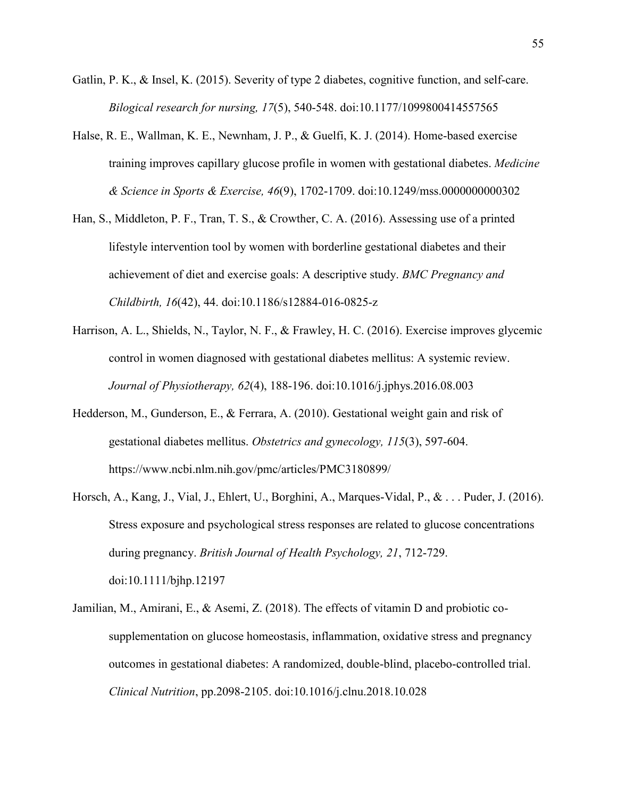- Gatlin, P. K., & Insel, K. (2015). Severity of type 2 diabetes, cognitive function, and self-care. *Bilogical research for nursing, 17*(5), 540-548. doi:10.1177/1099800414557565
- Halse, R. E., Wallman, K. E., Newnham, J. P., & Guelfi, K. J. (2014). Home-based exercise training improves capillary glucose profile in women with gestational diabetes. *Medicine & Science in Sports & Exercise, 46*(9), 1702-1709. doi:10.1249/mss.0000000000302
- Han, S., Middleton, P. F., Tran, T. S., & Crowther, C. A. (2016). Assessing use of a printed lifestyle intervention tool by women with borderline gestational diabetes and their achievement of diet and exercise goals: A descriptive study. *BMC Pregnancy and Childbirth, 16*(42), 44. doi:10.1186/s12884-016-0825-z
- Harrison, A. L., Shields, N., Taylor, N. F., & Frawley, H. C. (2016). Exercise improves glycemic control in women diagnosed with gestational diabetes mellitus: A systemic review. *Journal of Physiotherapy, 62*(4), 188-196. doi:10.1016/j.jphys.2016.08.003
- Hedderson, M., Gunderson, E., & Ferrara, A. (2010). Gestational weight gain and risk of gestational diabetes mellitus. *Obstetrics and gynecology, 115*(3), 597-604. https://www.ncbi.nlm.nih.gov/pmc/articles/PMC3180899/
- Horsch, A., Kang, J., Vial, J., Ehlert, U., Borghini, A., Marques-Vidal, P., & . . . Puder, J. (2016). Stress exposure and psychological stress responses are related to glucose concentrations during pregnancy. *British Journal of Health Psychology, 21*, 712-729. doi:10.1111/bjhp.12197
- Jamilian, M., Amirani, E., & Asemi, Z. (2018). The effects of vitamin D and probiotic cosupplementation on glucose homeostasis, inflammation, oxidative stress and pregnancy outcomes in gestational diabetes: A randomized, double-blind, placebo-controlled trial. *Clinical Nutrition*, pp.2098-2105. doi:10.1016/j.clnu.2018.10.028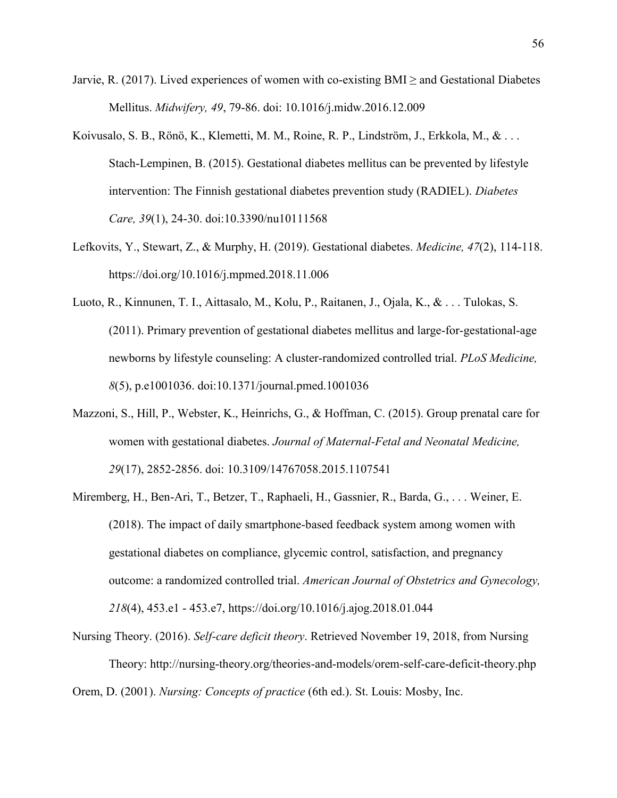- Jarvie, R. (2017). Lived experiences of women with co-existing BMI  $\geq$  and Gestational Diabetes Mellitus. *Midwifery, 49*, 79-86. doi: 10.1016/j.midw.2016.12.009
- Koivusalo, S. B., Rönö, K., Klemetti, M. M., Roine, R. P., Lindström, J., Erkkola, M., & . . . Stach-Lempinen, B. (2015). Gestational diabetes mellitus can be prevented by lifestyle intervention: The Finnish gestational diabetes prevention study (RADIEL). *Diabetes Care, 39*(1), 24-30. doi:10.3390/nu10111568
- Lefkovits, Y., Stewart, Z., & Murphy, H. (2019). Gestational diabetes. *Medicine, 47*(2), 114-118. https://doi.org/10.1016/j.mpmed.2018.11.006
- Luoto, R., Kinnunen, T. I., Aittasalo, M., Kolu, P., Raitanen, J., Ojala, K., & . . . Tulokas, S. (2011). Primary prevention of gestational diabetes mellitus and large-for-gestational-age newborns by lifestyle counseling: A cluster-randomized controlled trial. *PLoS Medicine, 8*(5), p.e1001036. doi:10.1371/journal.pmed.1001036
- Mazzoni, S., Hill, P., Webster, K., Heinrichs, G., & Hoffman, C. (2015). Group prenatal care for women with gestational diabetes. *Journal of Maternal-Fetal and Neonatal Medicine, 29*(17), 2852-2856. doi: 10.3109/14767058.2015.1107541
- Miremberg, H., Ben-Ari, T., Betzer, T., Raphaeli, H., Gassnier, R., Barda, G., . . . Weiner, E. (2018). The impact of daily smartphone-based feedback system among women with gestational diabetes on compliance, glycemic control, satisfaction, and pregnancy outcome: a randomized controlled trial. *American Journal of Obstetrics and Gynecology, 218*(4), 453.e1 - 453.e7, https://doi.org/10.1016/j.ajog.2018.01.044
- Nursing Theory. (2016). *Self-care deficit theory*. Retrieved November 19, 2018, from Nursing Theory: http://nursing-theory.org/theories-and-models/orem-self-care-deficit-theory.php Orem, D. (2001). *Nursing: Concepts of practice* (6th ed.). St. Louis: Mosby, Inc.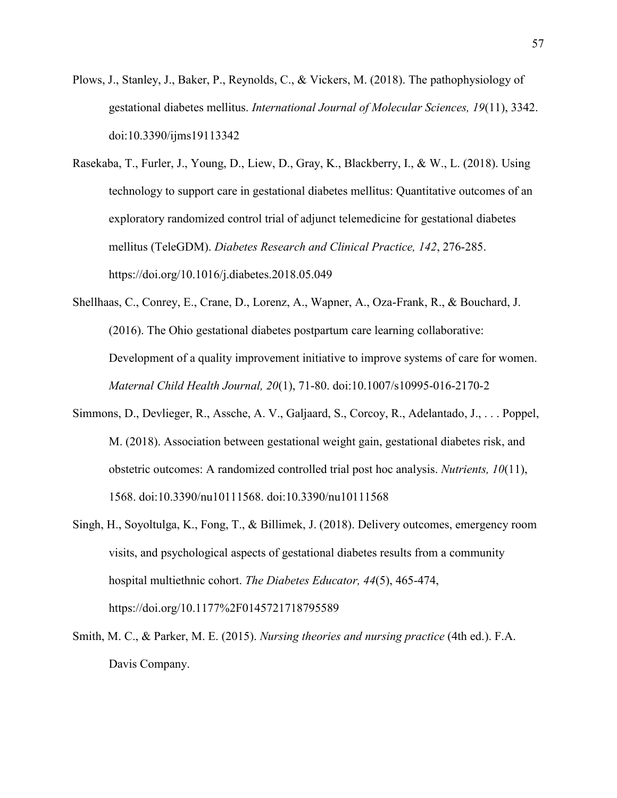- Plows, J., Stanley, J., Baker, P., Reynolds, C., & Vickers, M. (2018). The pathophysiology of gestational diabetes mellitus. *International Journal of Molecular Sciences, 19*(11), 3342. doi:10.3390/ijms19113342
- Rasekaba, T., Furler, J., Young, D., Liew, D., Gray, K., Blackberry, I., & W., L. (2018). Using technology to support care in gestational diabetes mellitus: Quantitative outcomes of an exploratory randomized control trial of adjunct telemedicine for gestational diabetes mellitus (TeleGDM). *Diabetes Research and Clinical Practice, 142*, 276-285. https://doi.org/10.1016/j.diabetes.2018.05.049
- Shellhaas, C., Conrey, E., Crane, D., Lorenz, A., Wapner, A., Oza-Frank, R., & Bouchard, J. (2016). The Ohio gestational diabetes postpartum care learning collaborative: Development of a quality improvement initiative to improve systems of care for women. *Maternal Child Health Journal, 20*(1), 71-80. doi:10.1007/s10995-016-2170-2
- Simmons, D., Devlieger, R., Assche, A. V., Galjaard, S., Corcoy, R., Adelantado, J., . . . Poppel, M. (2018). Association between gestational weight gain, gestational diabetes risk, and obstetric outcomes: A randomized controlled trial post hoc analysis. *Nutrients, 10*(11), 1568. doi:10.3390/nu10111568. doi:10.3390/nu10111568
- Singh, H., Soyoltulga, K., Fong, T., & Billimek, J. (2018). Delivery outcomes, emergency room visits, and psychological aspects of gestational diabetes results from a community hospital multiethnic cohort. *The Diabetes Educator, 44*(5), 465-474, https://doi.org/10.1177%2F0145721718795589
- Smith, M. C., & Parker, M. E. (2015). *Nursing theories and nursing practice* (4th ed.). F.A. Davis Company.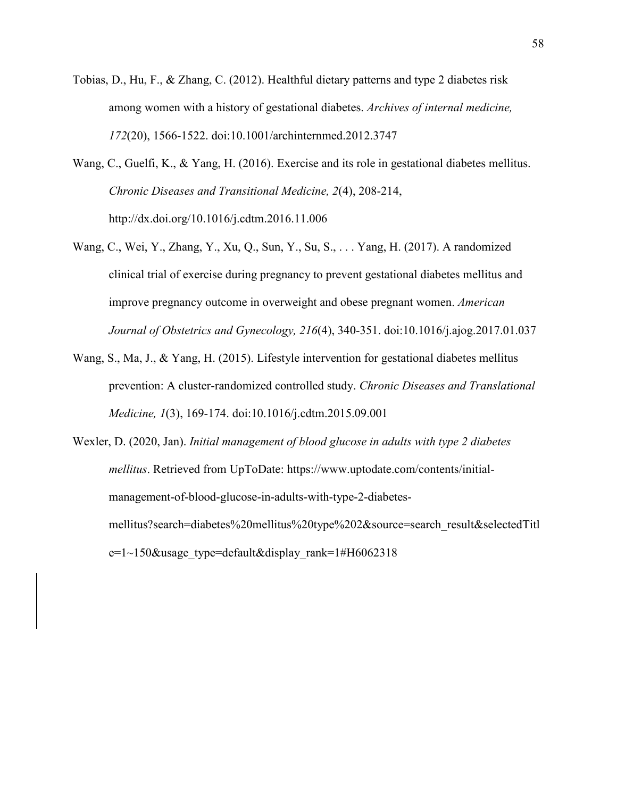- Tobias, D., Hu, F., & Zhang, C. (2012). Healthful dietary patterns and type 2 diabetes risk among women with a history of gestational diabetes. *Archives of internal medicine, 172*(20), 1566-1522. doi:10.1001/archinternmed.2012.3747
- Wang, C., Guelfi, K., & Yang, H. (2016). Exercise and its role in gestational diabetes mellitus. *Chronic Diseases and Transitional Medicine, 2*(4), 208-214, http://dx.doi.org/10.1016/j.cdtm.2016.11.006
- Wang, C., Wei, Y., Zhang, Y., Xu, Q., Sun, Y., Su, S., . . . Yang, H. (2017). A randomized clinical trial of exercise during pregnancy to prevent gestational diabetes mellitus and improve pregnancy outcome in overweight and obese pregnant women. *American Journal of Obstetrics and Gynecology, 216*(4), 340-351. doi:10.1016/j.ajog.2017.01.037
- Wang, S., Ma, J., & Yang, H. (2015). Lifestyle intervention for gestational diabetes mellitus prevention: A cluster-randomized controlled study. *Chronic Diseases and Translational Medicine, 1*(3), 169-174. doi:10.1016/j.cdtm.2015.09.001
- Wexler, D. (2020, Jan). *Initial management of blood glucose in adults with type 2 diabetes mellitus*. Retrieved from UpToDate: https://www.uptodate.com/contents/initialmanagement-of-blood-glucose-in-adults-with-type-2-diabetesmellitus?search=diabetes%20mellitus%20type%202&source=search\_result&selectedTitl  $e=1~150$ &usage type=default&display rank=1#H6062318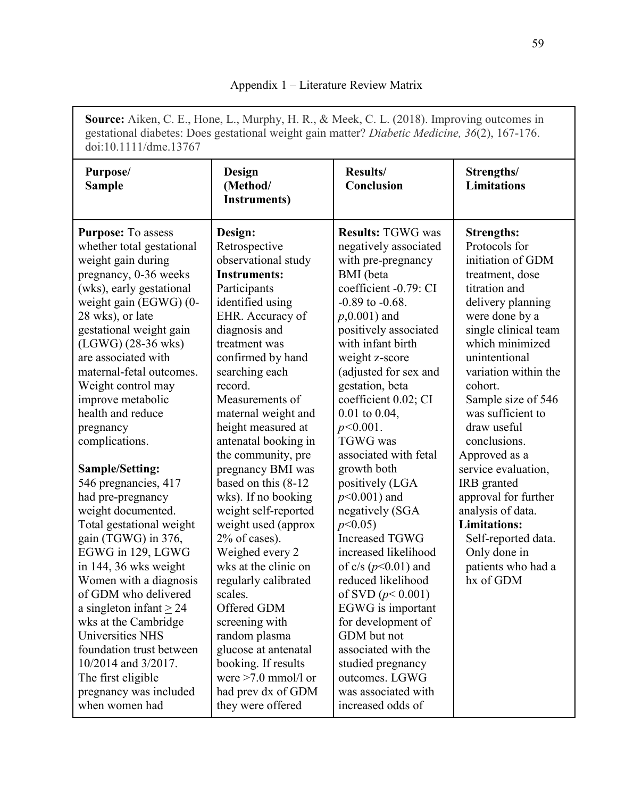**Source:** Aiken, C. E., Hone, L., Murphy, H. R., & Meek, C. L. (2018). Improving outcomes in gestational diabetes: Does gestational weight gain matter? *Diabetic Medicine, 36*(2), 167-176. doi:10.1111/dme.13767

| Purpose/<br><b>Sample</b>                                                                                                                                                                                                                                                                                                                                                                                                                                                                                                                                                                                                                                                                                                                                                  | Design<br>(Method/<br><b>Instruments)</b>                                                                                                                                                                                                                                                                                                                                                                                                                                                                                                                                                                                                              | Results/<br>Conclusion                                                                                                                                                                                                                                                                                                                                                                                                                                                                                                                                                                                                                                                                                  | Strengths/<br><b>Limitations</b>                                                                                                                                                                                                                                                                                                                                                                                                                                                                                 |  |
|----------------------------------------------------------------------------------------------------------------------------------------------------------------------------------------------------------------------------------------------------------------------------------------------------------------------------------------------------------------------------------------------------------------------------------------------------------------------------------------------------------------------------------------------------------------------------------------------------------------------------------------------------------------------------------------------------------------------------------------------------------------------------|--------------------------------------------------------------------------------------------------------------------------------------------------------------------------------------------------------------------------------------------------------------------------------------------------------------------------------------------------------------------------------------------------------------------------------------------------------------------------------------------------------------------------------------------------------------------------------------------------------------------------------------------------------|---------------------------------------------------------------------------------------------------------------------------------------------------------------------------------------------------------------------------------------------------------------------------------------------------------------------------------------------------------------------------------------------------------------------------------------------------------------------------------------------------------------------------------------------------------------------------------------------------------------------------------------------------------------------------------------------------------|------------------------------------------------------------------------------------------------------------------------------------------------------------------------------------------------------------------------------------------------------------------------------------------------------------------------------------------------------------------------------------------------------------------------------------------------------------------------------------------------------------------|--|
| <b>Purpose:</b> To assess<br>whether total gestational<br>weight gain during<br>pregnancy, 0-36 weeks<br>(wks), early gestational<br>weight gain (EGWG) (0-<br>28 wks), or late<br>gestational weight gain<br>$(LGWG)$ (28-36 wks)<br>are associated with<br>maternal-fetal outcomes.<br>Weight control may<br>improve metabolic<br>health and reduce<br>pregnancy<br>complications.<br><b>Sample/Setting:</b><br>546 pregnancies, 417<br>had pre-pregnancy<br>weight documented.<br>Total gestational weight<br>gain (TGWG) in 376,<br>EGWG in 129, LGWG<br>in 144, 36 wks weight<br>Women with a diagnosis<br>of GDM who delivered<br>a singleton infant $\geq$ 24<br>wks at the Cambridge<br><b>Universities NHS</b><br>foundation trust between<br>10/2014 and 3/2017. | Design:<br>Retrospective<br>observational study<br><b>Instruments:</b><br>Participants<br>identified using<br>EHR. Accuracy of<br>diagnosis and<br>treatment was<br>confirmed by hand<br>searching each<br>record.<br>Measurements of<br>maternal weight and<br>height measured at<br>antenatal booking in<br>the community, pre<br>pregnancy BMI was<br>based on this (8-12)<br>wks). If no booking<br>weight self-reported<br>weight used (approx<br>$2\%$ of cases).<br>Weighed every 2<br>wks at the clinic on<br>regularly calibrated<br>scales.<br>Offered GDM<br>screening with<br>random plasma<br>glucose at antenatal<br>booking. If results | <b>Results: TGWG was</b><br>negatively associated<br>with pre-pregnancy<br><b>BMI</b> (beta<br>coefficient -0.79: CI<br>$-0.89$ to $-0.68$ .<br>$p,0.001$ ) and<br>positively associated<br>with infant birth<br>weight z-score<br>(adjusted for sex and<br>gestation, beta<br>coefficient 0.02; CI<br>$0.01$ to $0.04$ ,<br>$p<0.001$ .<br><b>TGWG</b> was<br>associated with fetal<br>growth both<br>positively (LGA<br>$p<0.001$ ) and<br>negatively (SGA<br>p<0.05<br><b>Increased TGWG</b><br>increased likelihood<br>of $c/s$ ( $p<0.01$ ) and<br>reduced likelihood<br>of SVD $(p< 0.001)$<br>EGWG is important<br>for development of<br>GDM but not<br>associated with the<br>studied pregnancy | <b>Strengths:</b><br>Protocols for<br>initiation of GDM<br>treatment, dose<br>titration and<br>delivery planning<br>were done by a<br>single clinical team<br>which minimized<br>unintentional<br>variation within the<br>cohort.<br>Sample size of 546<br>was sufficient to<br>draw useful<br>conclusions.<br>Approved as a<br>service evaluation,<br>IRB granted<br>approval for further<br>analysis of data.<br><b>Limitations:</b><br>Self-reported data.<br>Only done in<br>patients who had a<br>hx of GDM |  |
| The first eligible<br>pregnancy was included<br>when women had                                                                                                                                                                                                                                                                                                                                                                                                                                                                                                                                                                                                                                                                                                             | were $>7.0$ mmol/l or<br>had prev dx of GDM<br>they were offered                                                                                                                                                                                                                                                                                                                                                                                                                                                                                                                                                                                       | outcomes. LGWG<br>was associated with<br>increased odds of                                                                                                                                                                                                                                                                                                                                                                                                                                                                                                                                                                                                                                              |                                                                                                                                                                                                                                                                                                                                                                                                                                                                                                                  |  |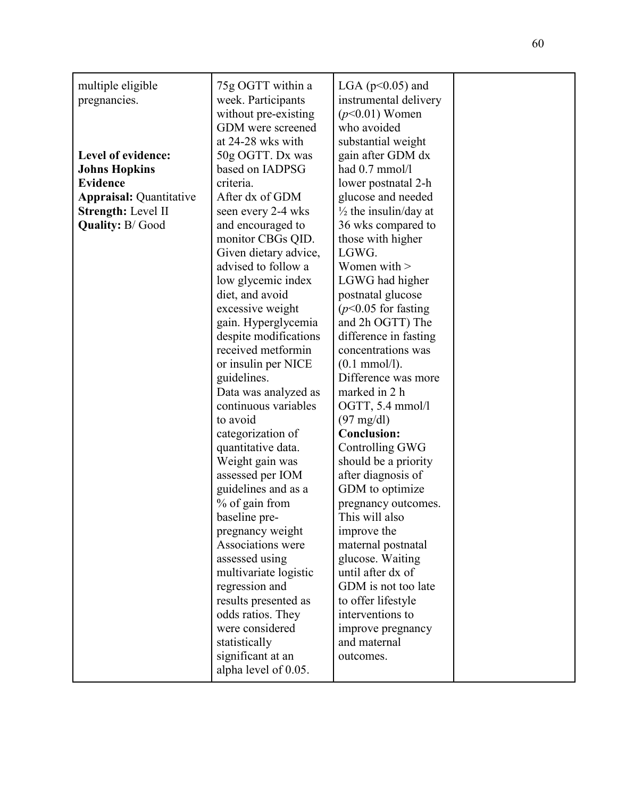| multiple eligible<br>pregnancies.                                                                                                               | 75g OGTT within a<br>week. Participants<br>without pre-existing<br>GDM were screened                                                                                                                                                                                                                                                                                                                                                                                                                                                                                                                                                                                                            | LGA ( $p<0.05$ ) and<br>instrumental delivery<br>$(p<0.01)$ Women<br>who avoided                                                                                                                                                                                                                                                                                                                                                                                                                                                                                                                                                                                                                                                   |  |
|-------------------------------------------------------------------------------------------------------------------------------------------------|-------------------------------------------------------------------------------------------------------------------------------------------------------------------------------------------------------------------------------------------------------------------------------------------------------------------------------------------------------------------------------------------------------------------------------------------------------------------------------------------------------------------------------------------------------------------------------------------------------------------------------------------------------------------------------------------------|------------------------------------------------------------------------------------------------------------------------------------------------------------------------------------------------------------------------------------------------------------------------------------------------------------------------------------------------------------------------------------------------------------------------------------------------------------------------------------------------------------------------------------------------------------------------------------------------------------------------------------------------------------------------------------------------------------------------------------|--|
| Level of evidence:<br><b>Johns Hopkins</b><br><b>Evidence</b><br><b>Appraisal: Quantitative</b><br>Strength: Level II<br><b>Quality: B/Good</b> | at 24-28 wks with<br>50g OGTT. Dx was<br>based on IADPSG<br>criteria.<br>After dx of GDM<br>seen every 2-4 wks<br>and encouraged to<br>monitor CBGs QID.<br>Given dietary advice,<br>advised to follow a<br>low glycemic index<br>diet, and avoid<br>excessive weight<br>gain. Hyperglycemia<br>despite modifications<br>received metformin<br>or insulin per NICE<br>guidelines.<br>Data was analyzed as<br>continuous variables<br>to avoid<br>categorization of<br>quantitative data.<br>Weight gain was<br>assessed per IOM<br>guidelines and as a<br>% of gain from<br>baseline pre-<br>pregnancy weight<br>Associations were<br>assessed using<br>multivariate logistic<br>regression and | substantial weight<br>gain after GDM dx<br>had 0.7 mmol/l<br>lower postnatal 2-h<br>glucose and needed<br>$\frac{1}{2}$ the insulin/day at<br>36 wks compared to<br>those with higher<br>LGWG.<br>Women with $>$<br>LGWG had higher<br>postnatal glucose<br>$(p<0.05$ for fasting<br>and 2h OGTT) The<br>difference in fasting<br>concentrations was<br>$(0.1 \text{ mmol/l}).$<br>Difference was more<br>marked in 2 h<br>OGTT, 5.4 mmol/l<br>$(97 \text{ mg/dl})$<br><b>Conclusion:</b><br><b>Controlling GWG</b><br>should be a priority<br>after diagnosis of<br>GDM to optimize<br>pregnancy outcomes.<br>This will also<br>improve the<br>maternal postnatal<br>glucose. Waiting<br>until after dx of<br>GDM is not too late |  |
|                                                                                                                                                 | results presented as<br>odds ratios. They<br>were considered<br>statistically<br>significant at an<br>alpha level of 0.05.                                                                                                                                                                                                                                                                                                                                                                                                                                                                                                                                                                      | to offer lifestyle<br>interventions to<br>improve pregnancy<br>and maternal<br>outcomes.                                                                                                                                                                                                                                                                                                                                                                                                                                                                                                                                                                                                                                           |  |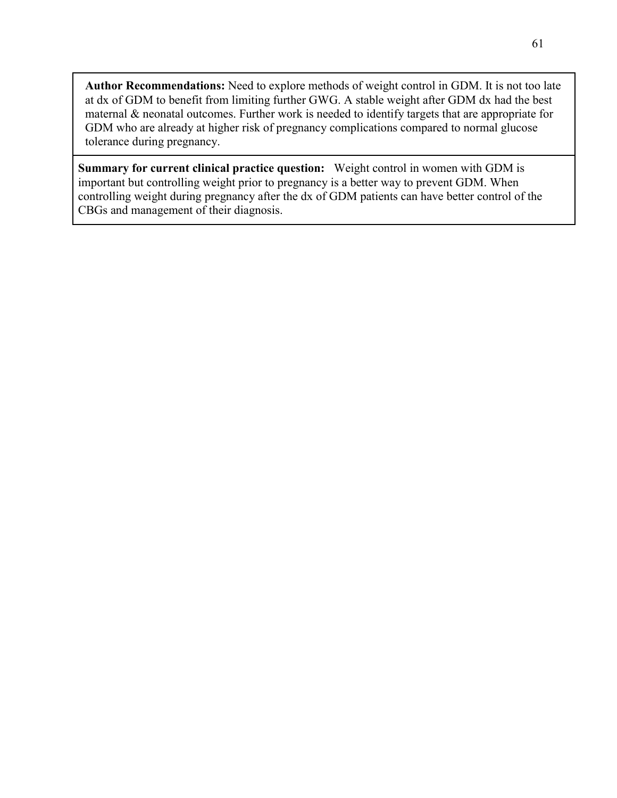**Author Recommendations:** Need to explore methods of weight control in GDM. It is not too late at dx of GDM to benefit from limiting further GWG. A stable weight after GDM dx had the best maternal & neonatal outcomes. Further work is needed to identify targets that are appropriate for GDM who are already at higher risk of pregnancy complications compared to normal glucose tolerance during pregnancy.

**Summary for current clinical practice question:** Weight control in women with GDM is important but controlling weight prior to pregnancy is a better way to prevent GDM. When controlling weight during pregnancy after the dx of GDM patients can have better control of the CBGs and management of their diagnosis.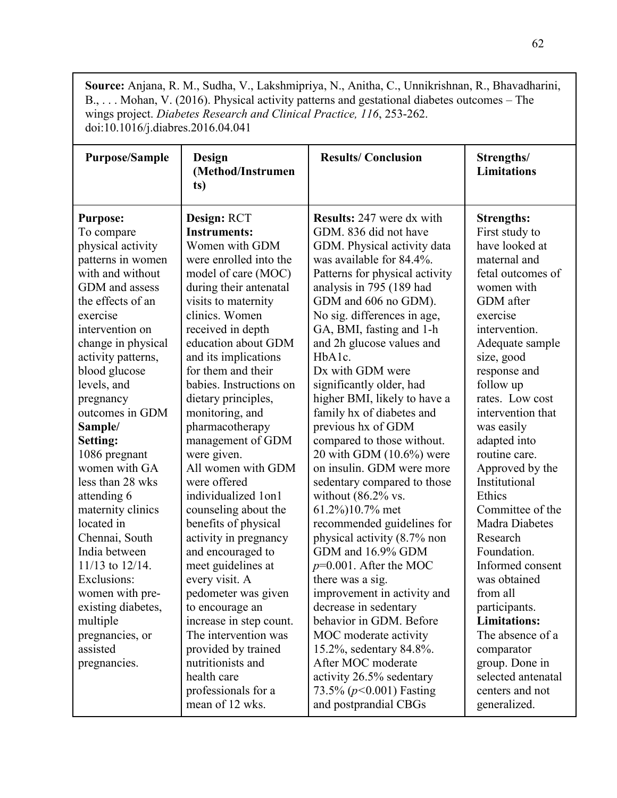**Source:** Anjana, R. M., Sudha, V., Lakshmipriya, N., Anitha, C., Unnikrishnan, R., Bhavadharini, B., ... Mohan, V. (2016). Physical activity patterns and gestational diabetes outcomes - The wings project. *Diabetes Research and Clinical Practice, 116*, 253-262. doi:10.1016/j.diabres.2016.04.041

| <b>Purpose/Sample</b>                                                                                                                                                                                                                                                                                                                                                                                                                                                                                                                                                                 | Design<br>(Method/Instrumen<br>ts)                                                                                                                                                                                                                                                                                                                                                                                                                                                                                                                                                                                                                                                                                                                                               | <b>Results/Conclusion</b>                                                                                                                                                                                                                                                                                                                                                                                                                                                                                                                                                                                                                                                                                                                                                                                                                                                                                                                                                               | Strengths/<br><b>Limitations</b>                                                                                                                                                                                                                                                                                                                                                                                                                                                                                                                                                                                   |
|---------------------------------------------------------------------------------------------------------------------------------------------------------------------------------------------------------------------------------------------------------------------------------------------------------------------------------------------------------------------------------------------------------------------------------------------------------------------------------------------------------------------------------------------------------------------------------------|----------------------------------------------------------------------------------------------------------------------------------------------------------------------------------------------------------------------------------------------------------------------------------------------------------------------------------------------------------------------------------------------------------------------------------------------------------------------------------------------------------------------------------------------------------------------------------------------------------------------------------------------------------------------------------------------------------------------------------------------------------------------------------|-----------------------------------------------------------------------------------------------------------------------------------------------------------------------------------------------------------------------------------------------------------------------------------------------------------------------------------------------------------------------------------------------------------------------------------------------------------------------------------------------------------------------------------------------------------------------------------------------------------------------------------------------------------------------------------------------------------------------------------------------------------------------------------------------------------------------------------------------------------------------------------------------------------------------------------------------------------------------------------------|--------------------------------------------------------------------------------------------------------------------------------------------------------------------------------------------------------------------------------------------------------------------------------------------------------------------------------------------------------------------------------------------------------------------------------------------------------------------------------------------------------------------------------------------------------------------------------------------------------------------|
| <b>Purpose:</b><br>To compare<br>physical activity<br>patterns in women<br>with and without<br>GDM and assess<br>the effects of an<br>exercise<br>intervention on<br>change in physical<br>activity patterns,<br>blood glucose<br>levels, and<br>pregnancy<br>outcomes in GDM<br>Sample/<br>Setting:<br>1086 pregnant<br>women with GA<br>less than 28 wks<br>attending 6<br>maternity clinics<br>located in<br>Chennai, South<br>India between<br>11/13 to 12/14.<br>Exclusions:<br>women with pre-<br>existing diabetes,<br>multiple<br>pregnancies, or<br>assisted<br>pregnancies. | Design: RCT<br><b>Instruments:</b><br>Women with GDM<br>were enrolled into the<br>model of care (MOC)<br>during their antenatal<br>visits to maternity<br>clinics. Women<br>received in depth<br>education about GDM<br>and its implications<br>for them and their<br>babies. Instructions on<br>dietary principles,<br>monitoring, and<br>pharmacotherapy<br>management of GDM<br>were given.<br>All women with GDM<br>were offered<br>individualized 1on1<br>counseling about the<br>benefits of physical<br>activity in pregnancy<br>and encouraged to<br>meet guidelines at<br>every visit. A<br>pedometer was given<br>to encourage an<br>increase in step count.<br>The intervention was<br>provided by trained<br>nutritionists and<br>health care<br>professionals for a | <b>Results: 247 were dx with</b><br>GDM. 836 did not have<br>GDM. Physical activity data<br>was available for 84.4%.<br>Patterns for physical activity<br>analysis in 795 (189 had<br>GDM and 606 no GDM).<br>No sig. differences in age,<br>GA, BMI, fasting and 1-h<br>and 2h glucose values and<br>HbA1c.<br>Dx with GDM were<br>significantly older, had<br>higher BMI, likely to have a<br>family hx of diabetes and<br>previous hx of GDM<br>compared to those without.<br>20 with GDM $(10.6\%)$ were<br>on insulin. GDM were more<br>sedentary compared to those<br>without $(86.2\% \text{ vs.}$<br>61.2%)10.7% met<br>recommended guidelines for<br>physical activity (8.7% non<br>GDM and 16.9% GDM<br>$p=0.001$ . After the MOC<br>there was a sig.<br>improvement in activity and<br>decrease in sedentary<br>behavior in GDM. Before<br>MOC moderate activity<br>15.2%, sedentary 84.8%.<br>After MOC moderate<br>activity 26.5% sedentary<br>73.5% ( $p$ <0.001) Fasting | <b>Strengths:</b><br>First study to<br>have looked at<br>maternal and<br>fetal outcomes of<br>women with<br>GDM after<br>exercise<br>intervention.<br>Adequate sample<br>size, good<br>response and<br>follow up<br>rates. Low cost<br>intervention that<br>was easily<br>adapted into<br>routine care.<br>Approved by the<br>Institutional<br>Ethics<br>Committee of the<br><b>Madra Diabetes</b><br>Research<br>Foundation.<br>Informed consent<br>was obtained<br>from all<br>participants.<br><b>Limitations:</b><br>The absence of a<br>comparator<br>group. Done in<br>selected antenatal<br>centers and not |
|                                                                                                                                                                                                                                                                                                                                                                                                                                                                                                                                                                                       | mean of 12 wks.                                                                                                                                                                                                                                                                                                                                                                                                                                                                                                                                                                                                                                                                                                                                                                  | and postprandial CBGs                                                                                                                                                                                                                                                                                                                                                                                                                                                                                                                                                                                                                                                                                                                                                                                                                                                                                                                                                                   | generalized.                                                                                                                                                                                                                                                                                                                                                                                                                                                                                                                                                                                                       |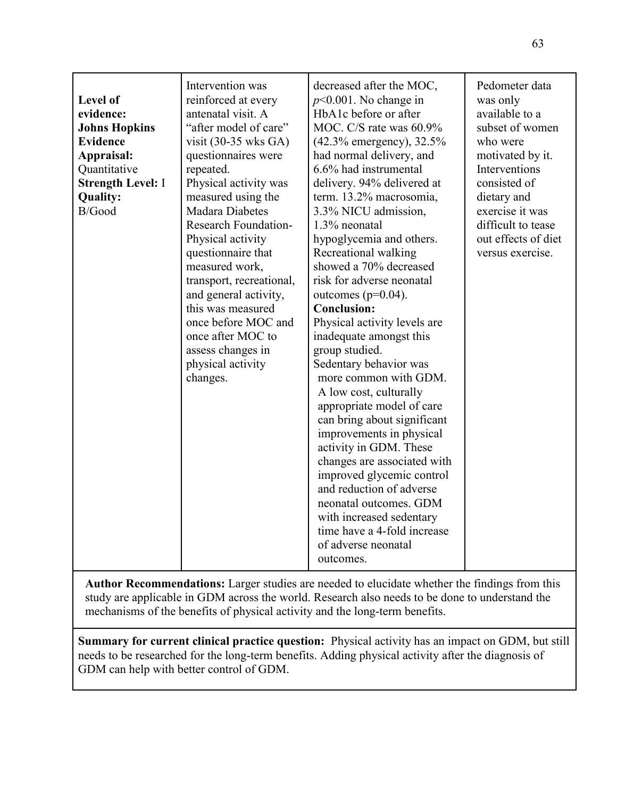| <b>Level of</b><br>evidence:<br><b>Johns Hopkins</b><br><b>Evidence</b><br>Appraisal:<br>Quantitative<br><b>Strength Level: I</b><br><b>Quality:</b><br>B/Good | Intervention was<br>reinforced at every<br>antenatal visit. A<br>"after model of care"<br>visit $(30-35 \text{ wks GA})$<br>questionnaires were<br>repeated.<br>Physical activity was<br>measured using the<br><b>Madara Diabetes</b><br><b>Research Foundation-</b><br>Physical activity<br>questionnaire that<br>measured work,<br>transport, recreational,<br>and general activity,<br>this was measured<br>once before MOC and<br>once after MOC to<br>assess changes in<br>physical activity<br>changes. | decreased after the MOC,<br>$p<0.001$ . No change in<br>HbA1c before or after<br>MOC. C/S rate was 60.9%<br>(42.3% emergency), 32.5%<br>had normal delivery, and<br>6.6% had instrumental<br>delivery. 94% delivered at<br>term. 13.2% macrosomia,<br>3.3% NICU admission,<br>1.3% neonatal<br>hypoglycemia and others.<br>Recreational walking<br>showed a 70% decreased<br>risk for adverse neonatal<br>outcomes ( $p=0.04$ ).<br><b>Conclusion:</b><br>Physical activity levels are<br>inadequate amongst this<br>group studied.<br>Sedentary behavior was<br>more common with GDM.<br>A low cost, culturally<br>appropriate model of care<br>can bring about significant<br>improvements in physical<br>activity in GDM. These<br>changes are associated with<br>improved glycemic control<br>and reduction of adverse<br>neonatal outcomes. GDM<br>with increased sedentary<br>time have a 4-fold increase<br>of adverse neonatal<br>outcomes. | Pedometer data<br>was only<br>available to a<br>subset of women<br>who were<br>motivated by it.<br>Interventions<br>consisted of<br>dietary and<br>exercise it was<br>difficult to tease<br>out effects of diet<br>versus exercise. |
|----------------------------------------------------------------------------------------------------------------------------------------------------------------|---------------------------------------------------------------------------------------------------------------------------------------------------------------------------------------------------------------------------------------------------------------------------------------------------------------------------------------------------------------------------------------------------------------------------------------------------------------------------------------------------------------|-----------------------------------------------------------------------------------------------------------------------------------------------------------------------------------------------------------------------------------------------------------------------------------------------------------------------------------------------------------------------------------------------------------------------------------------------------------------------------------------------------------------------------------------------------------------------------------------------------------------------------------------------------------------------------------------------------------------------------------------------------------------------------------------------------------------------------------------------------------------------------------------------------------------------------------------------------|-------------------------------------------------------------------------------------------------------------------------------------------------------------------------------------------------------------------------------------|
|----------------------------------------------------------------------------------------------------------------------------------------------------------------|---------------------------------------------------------------------------------------------------------------------------------------------------------------------------------------------------------------------------------------------------------------------------------------------------------------------------------------------------------------------------------------------------------------------------------------------------------------------------------------------------------------|-----------------------------------------------------------------------------------------------------------------------------------------------------------------------------------------------------------------------------------------------------------------------------------------------------------------------------------------------------------------------------------------------------------------------------------------------------------------------------------------------------------------------------------------------------------------------------------------------------------------------------------------------------------------------------------------------------------------------------------------------------------------------------------------------------------------------------------------------------------------------------------------------------------------------------------------------------|-------------------------------------------------------------------------------------------------------------------------------------------------------------------------------------------------------------------------------------|

**Author Recommendations:** Larger studies are needed to elucidate whether the findings from this study are applicable in GDM across the world. Research also needs to be done to understand the mechanisms of the benefits of physical activity and the long-term benefits.

**Summary for current clinical practice question:** Physical activity has an impact on GDM, but still needs to be researched for the long-term benefits. Adding physical activity after the diagnosis of GDM can help with better control of GDM.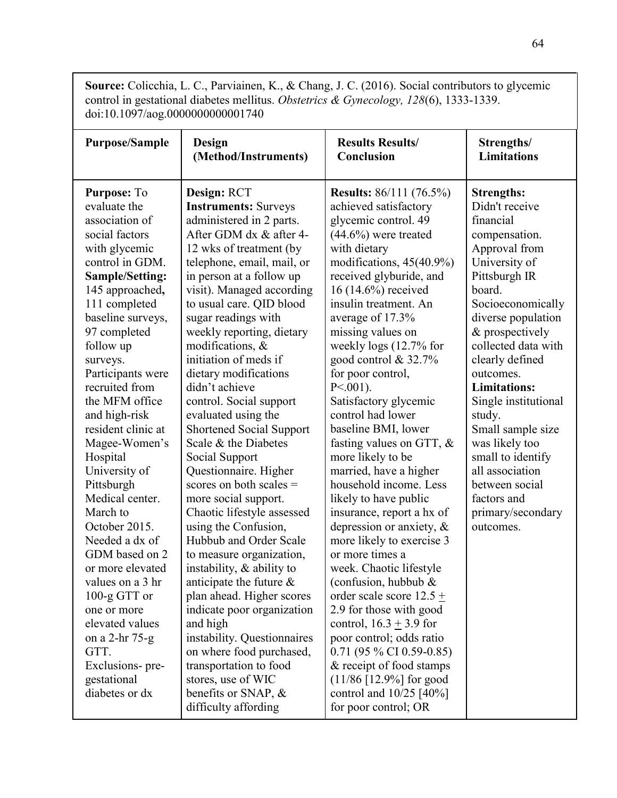**Source:** Colicchia, L. C., Parviainen, K., & Chang, J. C. (2016). Social contributors to glycemic control in gestational diabetes mellitus. *Obstetrics & Gynecology, 128*(6), 1333-1339. doi:10.1097/aog.0000000000001740

| <b>Purpose/Sample</b>                                                                                                                                                                                                                                                                                                                                                                                                                                                                                                                                                                                                                               | <b>Design</b>                                                                                                                                                                                                                                                                                                                                                                                                                                                                                                                                                                                                                                                                                                                                                                                                                                                                                                                                                                                                             | <b>Results Results/</b>                                                                                                                                                                                                                                                                                                                                                                                                                                                                                                                                                                                                                                                                                                                                                                                                                                                                                                                                                                                         | Strengths/                                                                                                                                                                                                                                                                                                                                                                                                                                                     |
|-----------------------------------------------------------------------------------------------------------------------------------------------------------------------------------------------------------------------------------------------------------------------------------------------------------------------------------------------------------------------------------------------------------------------------------------------------------------------------------------------------------------------------------------------------------------------------------------------------------------------------------------------------|---------------------------------------------------------------------------------------------------------------------------------------------------------------------------------------------------------------------------------------------------------------------------------------------------------------------------------------------------------------------------------------------------------------------------------------------------------------------------------------------------------------------------------------------------------------------------------------------------------------------------------------------------------------------------------------------------------------------------------------------------------------------------------------------------------------------------------------------------------------------------------------------------------------------------------------------------------------------------------------------------------------------------|-----------------------------------------------------------------------------------------------------------------------------------------------------------------------------------------------------------------------------------------------------------------------------------------------------------------------------------------------------------------------------------------------------------------------------------------------------------------------------------------------------------------------------------------------------------------------------------------------------------------------------------------------------------------------------------------------------------------------------------------------------------------------------------------------------------------------------------------------------------------------------------------------------------------------------------------------------------------------------------------------------------------|----------------------------------------------------------------------------------------------------------------------------------------------------------------------------------------------------------------------------------------------------------------------------------------------------------------------------------------------------------------------------------------------------------------------------------------------------------------|
|                                                                                                                                                                                                                                                                                                                                                                                                                                                                                                                                                                                                                                                     | (Method/Instruments)                                                                                                                                                                                                                                                                                                                                                                                                                                                                                                                                                                                                                                                                                                                                                                                                                                                                                                                                                                                                      | Conclusion                                                                                                                                                                                                                                                                                                                                                                                                                                                                                                                                                                                                                                                                                                                                                                                                                                                                                                                                                                                                      | <b>Limitations</b>                                                                                                                                                                                                                                                                                                                                                                                                                                             |
| Purpose: To<br>evaluate the<br>association of<br>social factors<br>with glycemic<br>control in GDM.<br>Sample/Setting:<br>145 approached,<br>111 completed<br>baseline surveys,<br>97 completed<br>follow up<br>surveys.<br>Participants were<br>recruited from<br>the MFM office<br>and high-risk<br>resident clinic at<br>Magee-Women's<br>Hospital<br>University of<br>Pittsburgh<br>Medical center.<br>March to<br>October 2015.<br>Needed a dx of<br>GDM based on 2<br>or more elevated<br>values on a 3 hr<br>$100-g$ GTT or<br>one or more<br>elevated values<br>on a 2-hr 75-g<br>GTT.<br>Exclusions- pre-<br>gestational<br>diabetes or dx | Design: RCT<br><b>Instruments: Surveys</b><br>administered in 2 parts.<br>After GDM dx & after 4-<br>12 wks of treatment (by<br>telephone, email, mail, or<br>in person at a follow up<br>visit). Managed according<br>to usual care. QID blood<br>sugar readings with<br>weekly reporting, dietary<br>modifications, $\&$<br>initiation of meds if<br>dietary modifications<br>didn't achieve<br>control. Social support<br>evaluated using the<br><b>Shortened Social Support</b><br>Scale & the Diabetes<br>Social Support<br>Questionnaire. Higher<br>scores on both scales $=$<br>more social support.<br>Chaotic lifestyle assessed<br>using the Confusion,<br>Hubbub and Order Scale<br>to measure organization,<br>instability, $\&$ ability to<br>anticipate the future $\&$<br>plan ahead. Higher scores<br>indicate poor organization<br>and high<br>instability. Questionnaires<br>on where food purchased,<br>transportation to food<br>stores, use of WIC<br>benefits or SNAP, $\&$<br>difficulty affording | <b>Results:</b> 86/111 (76.5%)<br>achieved satisfactory<br>glycemic control. 49<br>$(44.6\%)$ were treated<br>with dietary<br>modifications, 45(40.9%)<br>received glyburide, and<br>16 (14.6%) received<br>insulin treatment. An<br>average of 17.3%<br>missing values on<br>weekly logs (12.7% for<br>good control $& 32.7\%$<br>for poor control,<br>$P \le 001$ ).<br>Satisfactory glycemic<br>control had lower<br>baseline BMI, lower<br>fasting values on GTT, $\&$<br>more likely to be<br>married, have a higher<br>household income. Less<br>likely to have public<br>insurance, report a hx of<br>depression or anxiety, $\&$<br>more likely to exercise 3<br>or more times a<br>week. Chaotic lifestyle<br>(confusion, hubbub &<br>order scale score $12.5 \pm$<br>2.9 for those with good<br>control, $16.3 + 3.9$ for<br>poor control; odds ratio<br>$0.71$ (95 % CI 0.59-0.85)<br>& receipt of food stamps<br>$(11/86 \, [12.9\%]$ for good<br>control and $10/25$ [40%]<br>for poor control; OR | <b>Strengths:</b><br>Didn't receive<br>financial<br>compensation.<br>Approval from<br>University of<br>Pittsburgh IR<br>board.<br>Socioeconomically<br>diverse population<br>& prospectively<br>collected data with<br>clearly defined<br>outcomes.<br><b>Limitations:</b><br>Single institutional<br>study.<br>Small sample size<br>was likely too<br>small to identify<br>all association<br>between social<br>factors and<br>primary/secondary<br>outcomes. |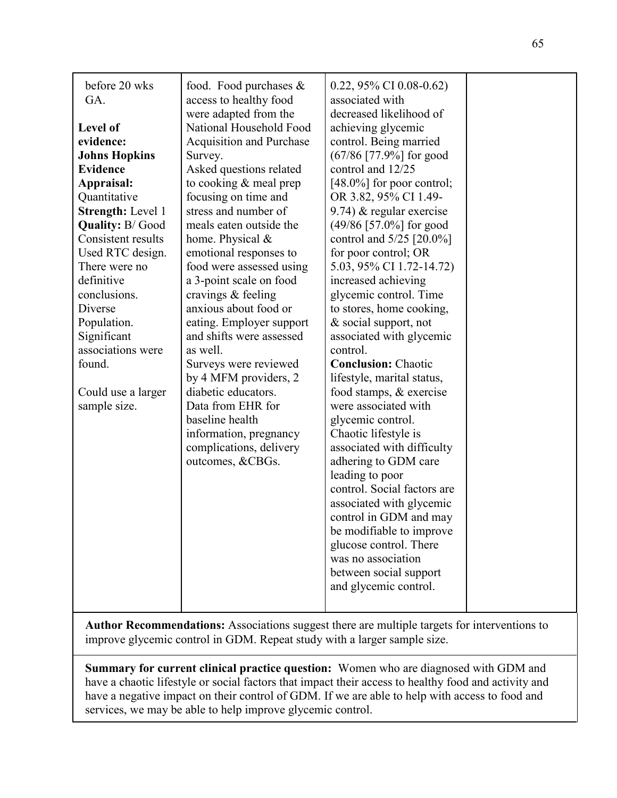| before 20 wks<br>GA.<br><b>Level of</b><br>evidence:<br><b>Johns Hopkins</b><br><b>Evidence</b><br>Appraisal:<br>Quantitative<br><b>Strength: Level 1</b><br><b>Quality: B/Good</b><br>Consistent results<br>Used RTC design.<br>There were no<br>definitive<br>conclusions.<br>Diverse<br>Population.<br>Significant<br>associations were<br>found.<br>Could use a larger<br>sample size. | food. Food purchases &<br>access to healthy food<br>were adapted from the<br>National Household Food<br><b>Acquisition and Purchase</b><br>Survey.<br>Asked questions related<br>to cooking $&$ meal prep<br>focusing on time and<br>stress and number of<br>meals eaten outside the<br>home. Physical &<br>emotional responses to<br>food were assessed using<br>a 3-point scale on food<br>cravings & feeling<br>anxious about food or<br>eating. Employer support<br>and shifts were assessed<br>as well.<br>Surveys were reviewed<br>by 4 MFM providers, 2<br>diabetic educators.<br>Data from EHR for<br>baseline health<br>information, pregnancy<br>complications, delivery<br>outcomes, &CBGs. | 0.22, 95% CI 0.08-0.62)<br>associated with<br>decreased likelihood of<br>achieving glycemic<br>control. Being married<br>$(67/86$ [77.9%] for good<br>control and 12/25<br>[48.0%] for poor control;<br>OR 3.82, 95% CI 1.49-<br>9.74) $&$ regular exercise<br>$(49/86)$ [57.0%] for good<br>control and 5/25 [20.0%]<br>for poor control; OR<br>5.03, 95% CI 1.72-14.72)<br>increased achieving<br>glycemic control. Time<br>to stores, home cooking,<br>& social support, not<br>associated with glycemic<br>control.<br><b>Conclusion: Chaotic</b><br>lifestyle, marital status,<br>food stamps, & exercise<br>were associated with<br>glycemic control.<br>Chaotic lifestyle is<br>associated with difficulty<br>adhering to GDM care<br>leading to poor<br>control. Social factors are<br>associated with glycemic<br>control in GDM and may<br>be modifiable to improve<br>glucose control. There<br>was no association<br>between social support<br>and glycemic control. |  |
|--------------------------------------------------------------------------------------------------------------------------------------------------------------------------------------------------------------------------------------------------------------------------------------------------------------------------------------------------------------------------------------------|--------------------------------------------------------------------------------------------------------------------------------------------------------------------------------------------------------------------------------------------------------------------------------------------------------------------------------------------------------------------------------------------------------------------------------------------------------------------------------------------------------------------------------------------------------------------------------------------------------------------------------------------------------------------------------------------------------|----------------------------------------------------------------------------------------------------------------------------------------------------------------------------------------------------------------------------------------------------------------------------------------------------------------------------------------------------------------------------------------------------------------------------------------------------------------------------------------------------------------------------------------------------------------------------------------------------------------------------------------------------------------------------------------------------------------------------------------------------------------------------------------------------------------------------------------------------------------------------------------------------------------------------------------------------------------------------------|--|
|--------------------------------------------------------------------------------------------------------------------------------------------------------------------------------------------------------------------------------------------------------------------------------------------------------------------------------------------------------------------------------------------|--------------------------------------------------------------------------------------------------------------------------------------------------------------------------------------------------------------------------------------------------------------------------------------------------------------------------------------------------------------------------------------------------------------------------------------------------------------------------------------------------------------------------------------------------------------------------------------------------------------------------------------------------------------------------------------------------------|----------------------------------------------------------------------------------------------------------------------------------------------------------------------------------------------------------------------------------------------------------------------------------------------------------------------------------------------------------------------------------------------------------------------------------------------------------------------------------------------------------------------------------------------------------------------------------------------------------------------------------------------------------------------------------------------------------------------------------------------------------------------------------------------------------------------------------------------------------------------------------------------------------------------------------------------------------------------------------|--|

**Author Recommendations:** Associations suggest there are multiple targets for interventions to improve glycemic control in GDM. Repeat study with a larger sample size.

**Summary for current clinical practice question:** Women who are diagnosed with GDM and have a chaotic lifestyle or social factors that impact their access to healthy food and activity and have a negative impact on their control of GDM. If we are able to help with access to food and services, we may be able to help improve glycemic control.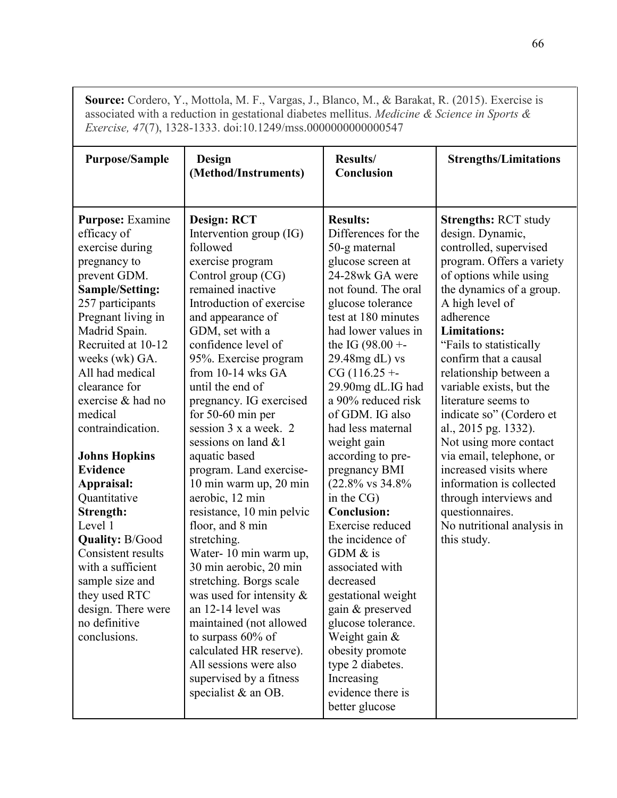**Source:** Cordero, Y., Mottola, M. F., Vargas, J., Blanco, M., & Barakat, R. (2015). Exercise is associated with a reduction in gestational diabetes mellitus. *Medicine & Science in Sports & Exercise, 47*(7), 1328-1333. doi:10.1249/mss.0000000000000547

| <b>Purpose/Sample</b>   | Design                          | Results/                               | <b>Strengths/Limitations</b>              |
|-------------------------|---------------------------------|----------------------------------------|-------------------------------------------|
|                         | (Method/Instruments)            | Conclusion                             |                                           |
|                         |                                 |                                        |                                           |
| <b>Purpose:</b> Examine | <b>Design: RCT</b>              | <b>Results:</b>                        | <b>Strengths: RCT study</b>               |
| efficacy of             | Intervention group (IG)         | Differences for the                    | design. Dynamic,                          |
| exercise during         | followed                        | 50-g maternal                          | controlled, supervised                    |
| pregnancy to            | exercise program                | glucose screen at                      | program. Offers a variety                 |
| prevent GDM.            | Control group (CG)              | 24-28wk GA were                        | of options while using                    |
| <b>Sample/Setting:</b>  | remained inactive               | not found. The oral                    | the dynamics of a group.                  |
| 257 participants        | Introduction of exercise        | glucose tolerance                      | A high level of                           |
| Pregnant living in      | and appearance of               | test at 180 minutes                    | adherence                                 |
| Madrid Spain.           | GDM, set with a                 | had lower values in                    | <b>Limitations:</b>                       |
| Recruited at 10-12      | confidence level of             | the IG $(98.00 + -$                    | "Fails to statistically                   |
| weeks (wk) GA.          | 95%. Exercise program           | 29.48mg dL) vs                         | confirm that a causal                     |
| All had medical         | from $10-14$ wks GA             | $CG (116.25 + -$                       | relationship between a                    |
| clearance for           | until the end of                | 29.90mg dL.IG had                      | variable exists, but the                  |
| exercise & had no       | pregnancy. IG exercised         | a 90% reduced risk                     | literature seems to                       |
| medical                 | for $50-60$ min per             | of GDM. IG also                        | indicate so" (Cordero et                  |
| contraindication.       | session 3 x a week. 2           | had less maternal                      | al., 2015 pg. 1332).                      |
|                         | sessions on land &1             | weight gain                            | Not using more contact                    |
| <b>Johns Hopkins</b>    | aquatic based                   | according to pre-                      | via email, telephone, or                  |
| <b>Evidence</b>         | program. Land exercise-         | pregnancy BMI                          | increased visits where                    |
| Appraisal:              | 10 min warm up, 20 min          | $(22.8\% \text{ vs } 34.8\%$           | information is collected                  |
| Quantitative            | aerobic, 12 min                 | in the CG)                             | through interviews and                    |
| Strength:<br>Level 1    | resistance, 10 min pelvic       | <b>Conclusion:</b><br>Exercise reduced | questionnaires.                           |
| <b>Quality: B/Good</b>  | floor, and 8 min<br>stretching. | the incidence of                       | No nutritional analysis in<br>this study. |
| Consistent results      | Water-10 min warm up,           | GDM $&$ is                             |                                           |
| with a sufficient       | 30 min aerobic, 20 min          | associated with                        |                                           |
| sample size and         | stretching. Borgs scale         | decreased                              |                                           |
| they used RTC           | was used for intensity $\&$     | gestational weight                     |                                           |
| design. There were      | an 12-14 level was              | gain & preserved                       |                                           |
| no definitive           | maintained (not allowed         | glucose tolerance.                     |                                           |
| conclusions.            | to surpass $60\%$ of            | Weight gain $\&$                       |                                           |
|                         | calculated HR reserve).         | obesity promote                        |                                           |
|                         | All sessions were also          | type 2 diabetes.                       |                                           |
|                         | supervised by a fitness         | Increasing                             |                                           |
|                         | specialist & an OB.             | evidence there is                      |                                           |
|                         |                                 | better glucose                         |                                           |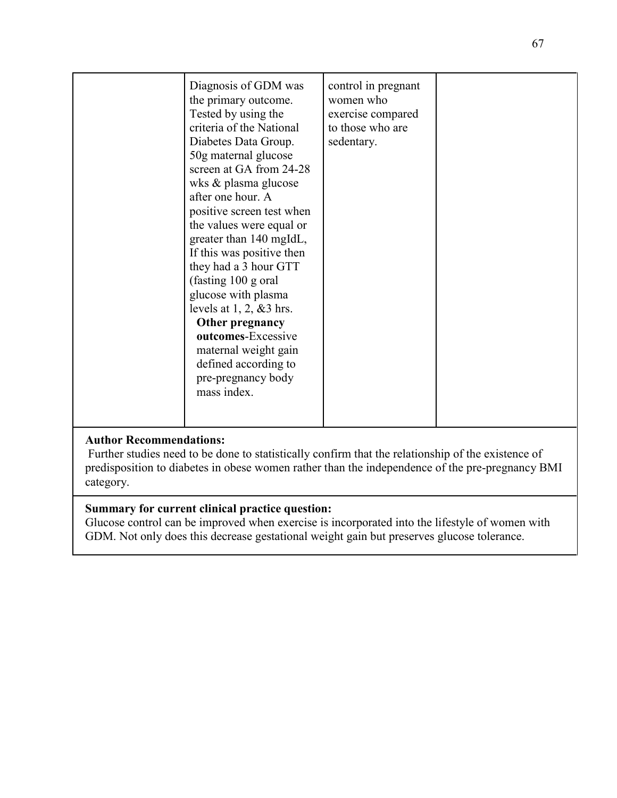| Diagnosis of GDM was<br>the primary outcome.<br>Tested by using the<br>criteria of the National<br>Diabetes Data Group.<br>50g maternal glucose<br>screen at GA from 24-28<br>wks & plasma glucose<br>after one hour. A<br>positive screen test when<br>the values were equal or<br>greater than 140 mgIdL,<br>If this was positive then<br>they had a 3 hour GTT<br>(fasting 100 g oral<br>glucose with plasma<br>levels at $1, 2, \& 3$ hrs.<br>Other pregnancy<br>outcomes-Excessive<br>maternal weight gain<br>defined according to<br>pre-pregnancy body<br>mass index. | control in pregnant<br>women who<br>exercise compared<br>to those who are<br>sedentary. |  |
|------------------------------------------------------------------------------------------------------------------------------------------------------------------------------------------------------------------------------------------------------------------------------------------------------------------------------------------------------------------------------------------------------------------------------------------------------------------------------------------------------------------------------------------------------------------------------|-----------------------------------------------------------------------------------------|--|

## **Author Recommendations:**

 Further studies need to be done to statistically confirm that the relationship of the existence of predisposition to diabetes in obese women rather than the independence of the pre-pregnancy BMI category.

# **Summary for current clinical practice question:**

Glucose control can be improved when exercise is incorporated into the lifestyle of women with GDM. Not only does this decrease gestational weight gain but preserves glucose tolerance.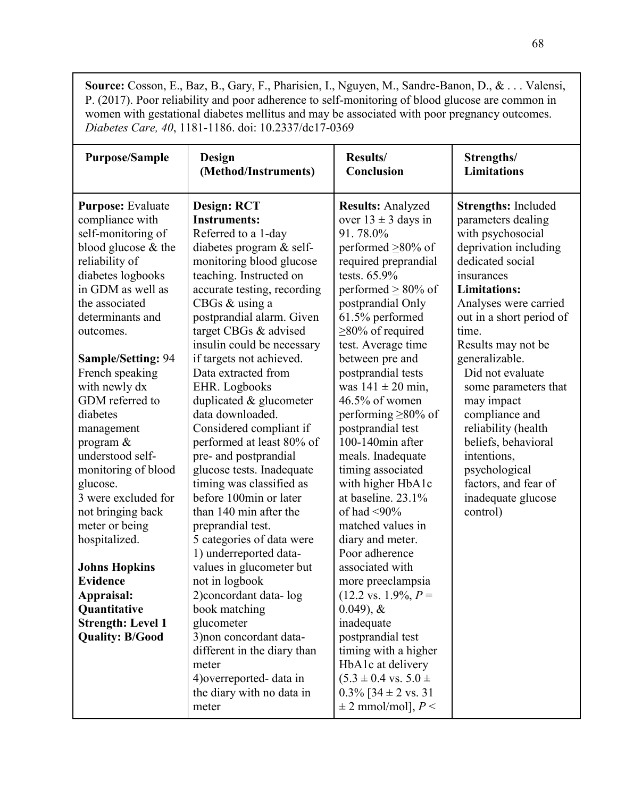**Source:** Cosson, E., Baz, B., Gary, F., Pharisien, I., Nguyen, M., Sandre-Banon, D., & . . . Valensi, P. (2017). Poor reliability and poor adherence to self-monitoring of blood glucose are common in women with gestational diabetes mellitus and may be associated with poor pregnancy outcomes. *Diabetes Care, 40*, 1181-1186. doi: 10.2337/dc17-0369

| <b>Purpose/Sample</b>                                                                                                                                                                                                                                                                                                                                                                                                                                                                                                                                                                                      | Design                                                                                                                                                                                                                                                                                                                                                                                                                                                                                                                                                                                                                                                                                                                                                                                                                                                                                                                           | Results/                                                                                                                                                                                                                                                                                                                                                                                                                                                                                                                                                                                                                                                                                                                                                                                                                                                               | Strengths/                                                                                                                                                                                                                                                                                                                                                                                                                                                                        |
|------------------------------------------------------------------------------------------------------------------------------------------------------------------------------------------------------------------------------------------------------------------------------------------------------------------------------------------------------------------------------------------------------------------------------------------------------------------------------------------------------------------------------------------------------------------------------------------------------------|----------------------------------------------------------------------------------------------------------------------------------------------------------------------------------------------------------------------------------------------------------------------------------------------------------------------------------------------------------------------------------------------------------------------------------------------------------------------------------------------------------------------------------------------------------------------------------------------------------------------------------------------------------------------------------------------------------------------------------------------------------------------------------------------------------------------------------------------------------------------------------------------------------------------------------|------------------------------------------------------------------------------------------------------------------------------------------------------------------------------------------------------------------------------------------------------------------------------------------------------------------------------------------------------------------------------------------------------------------------------------------------------------------------------------------------------------------------------------------------------------------------------------------------------------------------------------------------------------------------------------------------------------------------------------------------------------------------------------------------------------------------------------------------------------------------|-----------------------------------------------------------------------------------------------------------------------------------------------------------------------------------------------------------------------------------------------------------------------------------------------------------------------------------------------------------------------------------------------------------------------------------------------------------------------------------|
|                                                                                                                                                                                                                                                                                                                                                                                                                                                                                                                                                                                                            | (Method/Instruments)                                                                                                                                                                                                                                                                                                                                                                                                                                                                                                                                                                                                                                                                                                                                                                                                                                                                                                             | Conclusion                                                                                                                                                                                                                                                                                                                                                                                                                                                                                                                                                                                                                                                                                                                                                                                                                                                             | <b>Limitations</b>                                                                                                                                                                                                                                                                                                                                                                                                                                                                |
| <b>Purpose:</b> Evaluate<br>compliance with<br>self-monitoring of<br>blood glucose & the<br>reliability of<br>diabetes logbooks<br>in GDM as well as<br>the associated<br>determinants and<br>outcomes.<br><b>Sample/Setting: 94</b><br>French speaking<br>with newly dx<br>GDM referred to<br>diabetes<br>management<br>program $\&$<br>understood self-<br>monitoring of blood<br>glucose.<br>3 were excluded for<br>not bringing back<br>meter or being<br>hospitalized.<br><b>Johns Hopkins</b><br><b>Evidence</b><br>Appraisal:<br>Quantitative<br><b>Strength: Level 1</b><br><b>Quality: B/Good</b> | <b>Design: RCT</b><br><b>Instruments:</b><br>Referred to a 1-day<br>diabetes program & self-<br>monitoring blood glucose<br>teaching. Instructed on<br>accurate testing, recording<br>CBGs & using a<br>postprandial alarm. Given<br>target CBGs & advised<br>insulin could be necessary<br>if targets not achieved.<br>Data extracted from<br>EHR. Logbooks<br>duplicated & glucometer<br>data downloaded.<br>Considered compliant if<br>performed at least 80% of<br>pre- and postprandial<br>glucose tests. Inadequate<br>timing was classified as<br>before 100min or later<br>than 140 min after the<br>preprandial test.<br>5 categories of data were<br>1) underreported data-<br>values in glucometer but<br>not in logbook<br>2) concordant data-log<br>book matching<br>glucometer<br>3) non concordant data-<br>different in the diary than<br>meter<br>4) overreported-data in<br>the diary with no data in<br>meter | <b>Results: Analyzed</b><br>over $13 \pm 3$ days in<br>91.78.0%<br>performed $\geq 80\%$ of<br>required preprandial<br>tests. 65.9%<br>performed $\geq 80\%$ of<br>postprandial Only<br>61.5% performed<br>$\geq$ 80% of required<br>test. Average time<br>between pre and<br>postprandial tests<br>was $141 \pm 20$ min,<br>$46.5\%$ of women<br>performing $\geq 80\%$ of<br>postprandial test<br>100-140min after<br>meals. Inadequate<br>timing associated<br>with higher HbA1c<br>at baseline. 23.1%<br>of had $\leq 90\%$<br>matched values in<br>diary and meter.<br>Poor adherence<br>associated with<br>more preeclampsia<br>$(12.2 \text{ vs. } 1.9\%, P=$<br>$(0.049)$ , &<br>inadequate<br>postprandial test<br>timing with a higher<br>HbA1c at delivery<br>$(5.3 \pm 0.4 \text{ vs. } 5.0 \pm$<br>$0.3\%$ [34 $\pm$ 2 vs. 31<br>$\pm$ 2 mmol/mol], $P$ < | <b>Strengths: Included</b><br>parameters dealing<br>with psychosocial<br>deprivation including<br>dedicated social<br>insurances<br><b>Limitations:</b><br>Analyses were carried<br>out in a short period of<br>time.<br>Results may not be<br>generalizable.<br>Did not evaluate<br>some parameters that<br>may impact<br>compliance and<br>reliability (health<br>beliefs, behavioral<br>intentions,<br>psychological<br>factors, and fear of<br>inadequate glucose<br>control) |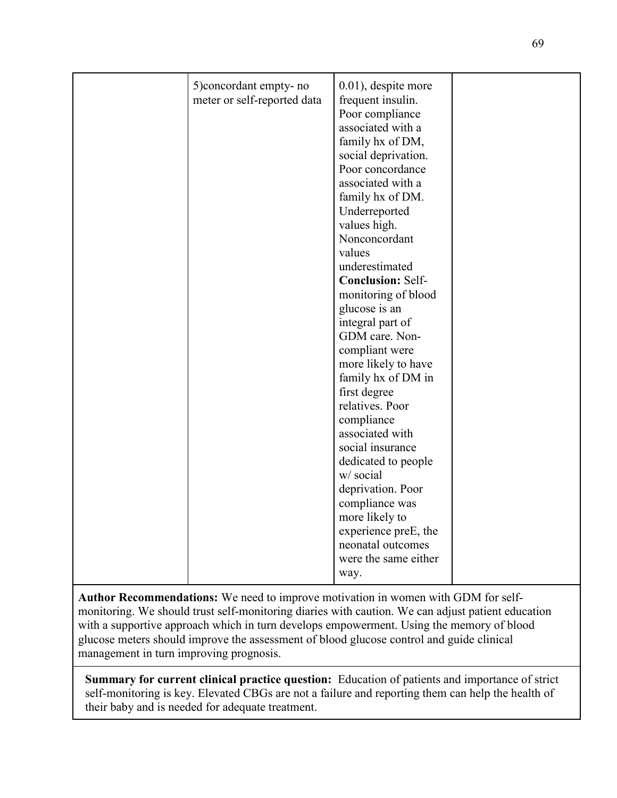| 5) concordant empty- no     | 0.01), despite more      |  |
|-----------------------------|--------------------------|--|
| meter or self-reported data | frequent insulin.        |  |
|                             | Poor compliance          |  |
|                             | associated with a        |  |
|                             | family hx of DM,         |  |
|                             | social deprivation.      |  |
|                             | Poor concordance         |  |
|                             | associated with a        |  |
|                             | family hx of DM.         |  |
|                             | Underreported            |  |
|                             | values high.             |  |
|                             | Nonconcordant            |  |
|                             | values                   |  |
|                             | underestimated           |  |
|                             | <b>Conclusion: Self-</b> |  |
|                             | monitoring of blood      |  |
|                             | glucose is an            |  |
|                             | integral part of         |  |
|                             | GDM care. Non-           |  |
|                             | compliant were           |  |
|                             | more likely to have      |  |
|                             | family hx of DM in       |  |
|                             | first degree             |  |
|                             | relatives. Poor          |  |
|                             | compliance               |  |
|                             | associated with          |  |
|                             | social insurance         |  |
|                             | dedicated to people      |  |
|                             | w/ social                |  |
|                             | deprivation. Poor        |  |
|                             | compliance was           |  |
|                             | more likely to           |  |
|                             | experience preE, the     |  |
|                             | neonatal outcomes        |  |
|                             | were the same either     |  |
|                             | way.                     |  |
|                             |                          |  |

**Author Recommendations:** We need to improve motivation in women with GDM for selfmonitoring. We should trust self-monitoring diaries with caution. We can adjust patient education with a supportive approach which in turn develops empowerment. Using the memory of blood glucose meters should improve the assessment of blood glucose control and guide clinical management in turn improving prognosis.

**Summary for current clinical practice question:** Education of patients and importance of strict self-monitoring is key. Elevated CBGs are not a failure and reporting them can help the health of their baby and is needed for adequate treatment.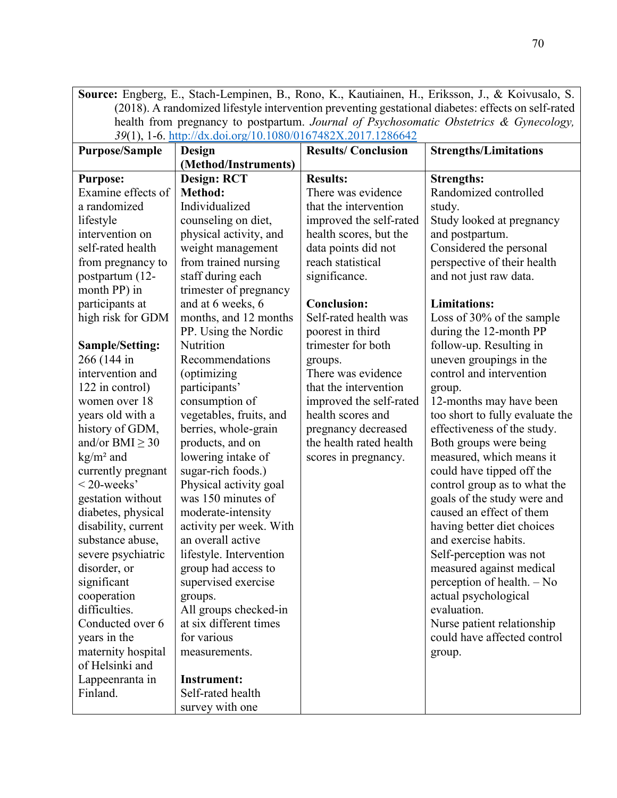**Source:** Engberg, E., Stach-Lempinen, B., Rono, K., Kautiainen, H., Eriksson, J., & Koivusalo, S. (2018). A randomized lifestyle intervention preventing gestational diabetes: effects on self-rated health from pregnancy to postpartum. *Journal of Psychosomatic Obstetrics & Gynecology, 39*(1), 1-6. http://dx.doi.org/10.1080/0167482X.2017.1286642

| <b>Purpose/Sample</b> | Design                  | <b>Results/Conclusion</b> | <b>Strengths/Limitations</b>    |
|-----------------------|-------------------------|---------------------------|---------------------------------|
|                       | (Method/Instruments)    |                           |                                 |
| <b>Purpose:</b>       | <b>Design: RCT</b>      | <b>Results:</b>           | <b>Strengths:</b>               |
| Examine effects of    | <b>Method:</b>          | There was evidence        | Randomized controlled           |
| a randomized          | Individualized          | that the intervention     | study.                          |
| lifestyle             | counseling on diet,     | improved the self-rated   | Study looked at pregnancy       |
| intervention on       | physical activity, and  | health scores, but the    | and postpartum.                 |
| self-rated health     | weight management       | data points did not       | Considered the personal         |
| from pregnancy to     | from trained nursing    | reach statistical         | perspective of their health     |
| postpartum (12-       | staff during each       | significance.             | and not just raw data.          |
| month PP) in          | trimester of pregnancy  |                           |                                 |
| participants at       | and at 6 weeks, 6       | <b>Conclusion:</b>        | <b>Limitations:</b>             |
| high risk for GDM     | months, and 12 months   | Self-rated health was     | Loss of 30% of the sample       |
|                       | PP. Using the Nordic    | poorest in third          | during the 12-month PP          |
| Sample/Setting:       | Nutrition               | trimester for both        | follow-up. Resulting in         |
| 266 (144 in           | Recommendations         | groups.                   | uneven groupings in the         |
| intervention and      | (optimizing             | There was evidence        | control and intervention        |
| 122 in control)       | participants'           | that the intervention     | group.                          |
| women over 18         | consumption of          | improved the self-rated   | 12-months may have been         |
| years old with a      | vegetables, fruits, and | health scores and         | too short to fully evaluate the |
| history of GDM,       | berries, whole-grain    | pregnancy decreased       | effectiveness of the study.     |
| and/or BMI $\geq$ 30  | products, and on        | the health rated health   | Both groups were being          |
| $kg/m2$ and           | lowering intake of      | scores in pregnancy.      | measured, which means it        |
| currently pregnant    | sugar-rich foods.)      |                           | could have tipped off the       |
| $<$ 20-weeks'         | Physical activity goal  |                           | control group as to what the    |
| gestation without     | was 150 minutes of      |                           | goals of the study were and     |
| diabetes, physical    | moderate-intensity      |                           | caused an effect of them        |
| disability, current   | activity per week. With |                           | having better diet choices      |
| substance abuse,      | an overall active       |                           | and exercise habits.            |
| severe psychiatric    | lifestyle. Intervention |                           | Self-perception was not         |
| disorder, or          | group had access to     |                           | measured against medical        |
| significant           | supervised exercise     |                           | perception of health. - No      |
| cooperation           | groups.                 |                           | actual psychological            |
| difficulties.         | All groups checked-in   |                           | evaluation.                     |
| Conducted over 6      | at six different times  |                           | Nurse patient relationship      |
| years in the          | for various             |                           | could have affected control     |
| maternity hospital    | measurements.           |                           | group.                          |
| of Helsinki and       |                         |                           |                                 |
| Lappeenranta in       | <b>Instrument:</b>      |                           |                                 |
| Finland.              | Self-rated health       |                           |                                 |
|                       | survey with one         |                           |                                 |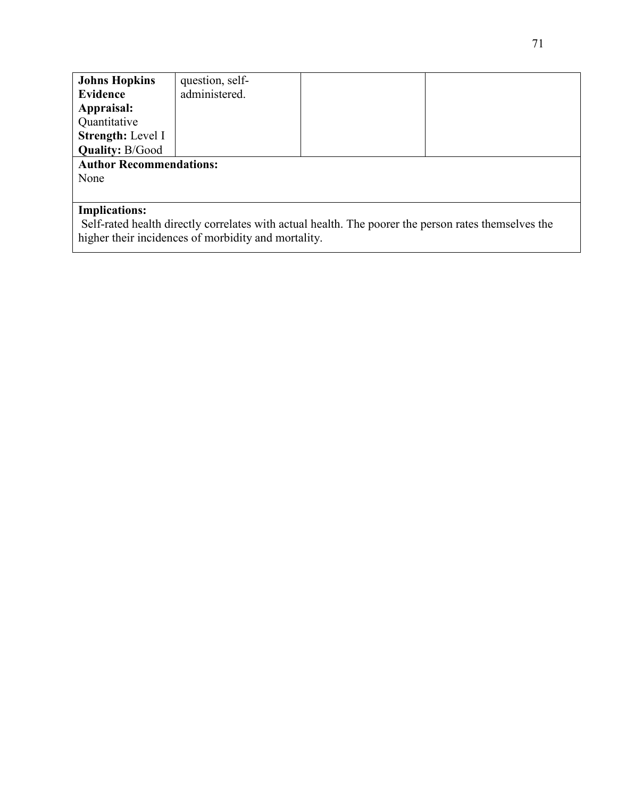| <b>Johns Hopkins</b>                                                                                 | question, self- |  |  |
|------------------------------------------------------------------------------------------------------|-----------------|--|--|
| Evidence                                                                                             | administered.   |  |  |
| Appraisal:                                                                                           |                 |  |  |
| Quantitative                                                                                         |                 |  |  |
| Strength: Level I                                                                                    |                 |  |  |
| <b>Quality: B/Good</b>                                                                               |                 |  |  |
| <b>Author Recommendations:</b>                                                                       |                 |  |  |
| None                                                                                                 |                 |  |  |
|                                                                                                      |                 |  |  |
| <b>Implications:</b>                                                                                 |                 |  |  |
| Self-rated health directly correlates with actual health. The poorer the person rates themselves the |                 |  |  |

higher their incidences of morbidity and mortality.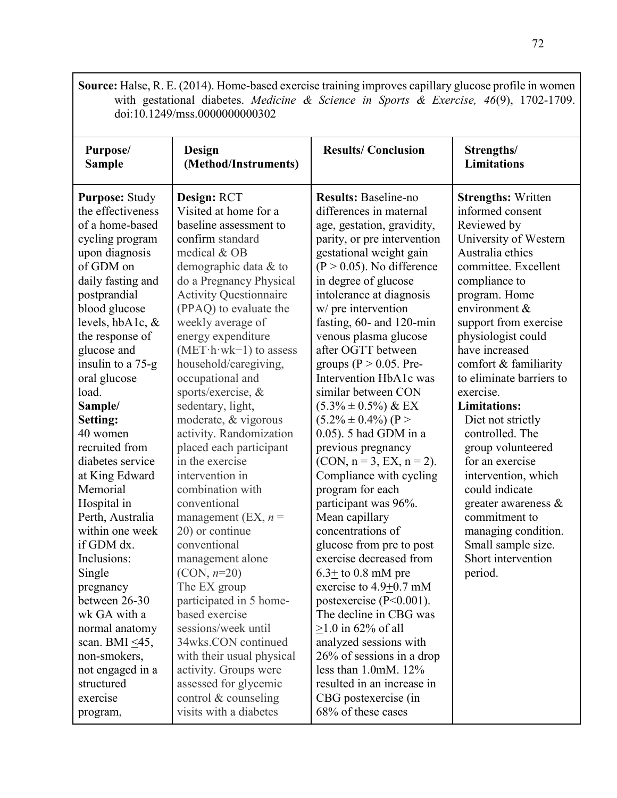**Source:** Halse, R. E. (2014). Home-based exercise training improves capillary glucose profile in women with gestational diabetes. *Medicine & Science in Sports & Exercise, 46*(9), 1702-1709. doi:10.1249/mss.0000000000302

| Purpose/<br><b>Sample</b>                                                                                                                                                                                                                                                                                                                                                                                                                                                                                                                                                                    | Design<br>(Method/Instruments)                                                                                                                                                                                                                                                                                                                                                                                                                                                                                                                                                                                                                                                                                                                                                                | <b>Results/Conclusion</b>                                                                                                                                                                                                                                                                                                                                                                                                                                                                                                                                                                                                                                                                                                                                                                                                                                                                                                        | Strengths/<br><b>Limitations</b>                                                                                                                                                                                                                                                                                                                                                                                                                                                                                                                                                              |
|----------------------------------------------------------------------------------------------------------------------------------------------------------------------------------------------------------------------------------------------------------------------------------------------------------------------------------------------------------------------------------------------------------------------------------------------------------------------------------------------------------------------------------------------------------------------------------------------|-----------------------------------------------------------------------------------------------------------------------------------------------------------------------------------------------------------------------------------------------------------------------------------------------------------------------------------------------------------------------------------------------------------------------------------------------------------------------------------------------------------------------------------------------------------------------------------------------------------------------------------------------------------------------------------------------------------------------------------------------------------------------------------------------|----------------------------------------------------------------------------------------------------------------------------------------------------------------------------------------------------------------------------------------------------------------------------------------------------------------------------------------------------------------------------------------------------------------------------------------------------------------------------------------------------------------------------------------------------------------------------------------------------------------------------------------------------------------------------------------------------------------------------------------------------------------------------------------------------------------------------------------------------------------------------------------------------------------------------------|-----------------------------------------------------------------------------------------------------------------------------------------------------------------------------------------------------------------------------------------------------------------------------------------------------------------------------------------------------------------------------------------------------------------------------------------------------------------------------------------------------------------------------------------------------------------------------------------------|
| <b>Purpose: Study</b><br>the effectiveness<br>of a home-based<br>cycling program<br>upon diagnosis<br>of GDM on<br>daily fasting and<br>postprandial<br>blood glucose<br>levels, hbA1c, &<br>the response of<br>glucose and<br>insulin to a 75-g<br>oral glucose<br>load.<br>Sample/<br><b>Setting:</b><br>40 women<br>recruited from<br>diabetes service<br>at King Edward<br>Memorial<br>Hospital in<br>Perth, Australia<br>within one week<br>if GDM dx.<br>Inclusions:<br>Single<br>pregnancy<br>between 26-30<br>wk GA with a<br>normal anatomy<br>scan. BMI $\leq$ 45,<br>non-smokers, | Design: RCT<br>Visited at home for a<br>baseline assessment to<br>confirm standard<br>medical & OB<br>demographic data & to<br>do a Pregnancy Physical<br><b>Activity Questionnaire</b><br>(PPAQ) to evaluate the<br>weekly average of<br>energy expenditure<br>$(MET \cdot h \cdot wk-1)$ to assess<br>household/caregiving,<br>occupational and<br>sports/exercise, &<br>sedentary, light,<br>moderate, & vigorous<br>activity. Randomization<br>placed each participant<br>in the exercise<br>intervention in<br>combination with<br>conventional<br>management (EX, $n =$<br>20) or continue<br>conventional<br>management alone<br>$(CON, n=20)$<br>The EX group<br>participated in 5 home-<br>based exercise<br>sessions/week until<br>34wks.CON continued<br>with their usual physical | <b>Results: Baseline-no</b><br>differences in maternal<br>age, gestation, gravidity,<br>parity, or pre intervention<br>gestational weight gain<br>$(P > 0.05)$ . No difference<br>in degree of glucose<br>intolerance at diagnosis<br>w/ pre intervention<br>fasting, 60- and 120-min<br>venous plasma glucose<br>after OGTT between<br>groups ( $P > 0.05$ . Pre-<br>Intervention HbA1c was<br>similar between CON<br>$(5.3\% \pm 0.5\%) \& EX$<br>$(5.2\% \pm 0.4\%)$ (P ><br>0.05). 5 had GDM in a<br>previous pregnancy<br>$(CON, n = 3, EX, n = 2).$<br>Compliance with cycling<br>program for each<br>participant was 96%.<br>Mean capillary<br>concentrations of<br>glucose from pre to post<br>exercise decreased from<br>$6.3 \pm$ to 0.8 mM pre<br>exercise to $4.9 \pm 0.7$ mM<br>postexercise $(P<0.001)$ .<br>The decline in CBG was<br>$>1.0$ in 62% of all<br>analyzed sessions with<br>26% of sessions in a drop | <b>Strengths: Written</b><br>informed consent<br>Reviewed by<br>University of Western<br>Australia ethics<br>committee. Excellent<br>compliance to<br>program. Home<br>environment &<br>support from exercise<br>physiologist could<br>have increased<br>comfort & familiarity<br>to eliminate barriers to<br>exercise.<br><b>Limitations:</b><br>Diet not strictly<br>controlled. The<br>group volunteered<br>for an exercise<br>intervention, which<br>could indicate<br>greater awareness &<br>commitment to<br>managing condition.<br>Small sample size.<br>Short intervention<br>period. |
| not engaged in a<br>structured<br>exercise                                                                                                                                                                                                                                                                                                                                                                                                                                                                                                                                                   | activity. Groups were<br>assessed for glycemic<br>control $&$ counseling                                                                                                                                                                                                                                                                                                                                                                                                                                                                                                                                                                                                                                                                                                                      | less than $1.0$ mM. $12\%$<br>resulted in an increase in<br>CBG postexercise (in                                                                                                                                                                                                                                                                                                                                                                                                                                                                                                                                                                                                                                                                                                                                                                                                                                                 |                                                                                                                                                                                                                                                                                                                                                                                                                                                                                                                                                                                               |
| program,                                                                                                                                                                                                                                                                                                                                                                                                                                                                                                                                                                                     | visits with a diabetes                                                                                                                                                                                                                                                                                                                                                                                                                                                                                                                                                                                                                                                                                                                                                                        | 68% of these cases                                                                                                                                                                                                                                                                                                                                                                                                                                                                                                                                                                                                                                                                                                                                                                                                                                                                                                               |                                                                                                                                                                                                                                                                                                                                                                                                                                                                                                                                                                                               |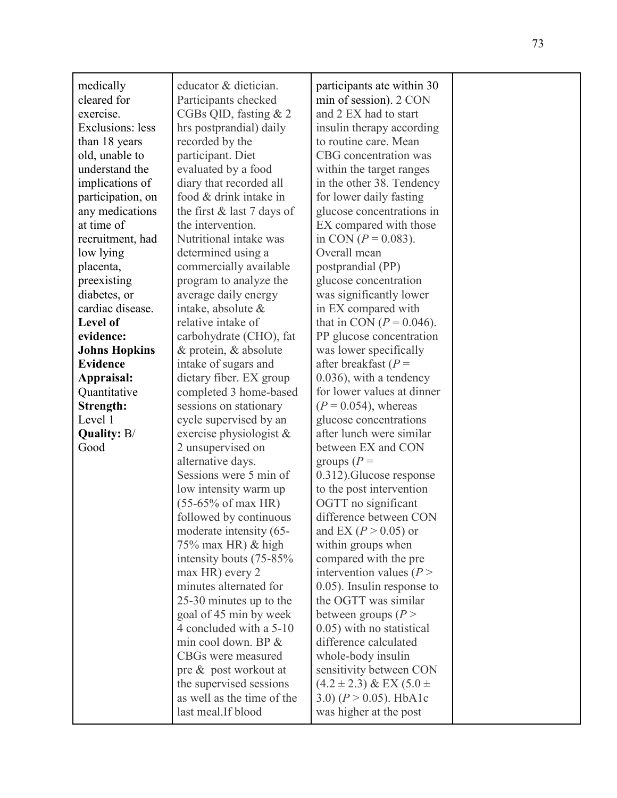| medically            | educator & dietician.        | participants ate within 30      |  |
|----------------------|------------------------------|---------------------------------|--|
| cleared for          | Participants checked         | min of session). 2 CON          |  |
| exercise.            | CGBs QID, fasting $& 2$      | and 2 EX had to start           |  |
| Exclusions: less     | hrs postprandial) daily      | insulin therapy according       |  |
| than 18 years        | recorded by the              | to routine care. Mean           |  |
| old, unable to       | participant. Diet            | CBG concentration was           |  |
| understand the       | evaluated by a food          | within the target ranges        |  |
| implications of      | diary that recorded all      | in the other 38. Tendency       |  |
| participation, on    | food & drink intake in       | for lower daily fasting         |  |
| any medications      | the first $&$ last 7 days of | glucose concentrations in       |  |
| at time of           | the intervention.            | EX compared with those          |  |
| recruitment, had     | Nutritional intake was       | in CON ( $P = 0.083$ ).         |  |
| low lying            | determined using a           | Overall mean                    |  |
| placenta,            | commercially available       | postprandial (PP)               |  |
| preexisting          | program to analyze the       | glucose concentration           |  |
| diabetes, or         | average daily energy         | was significantly lower         |  |
| cardiac disease.     | intake, absolute &           | in EX compared with             |  |
| Level of             | relative intake of           | that in CON ( $P = 0.046$ ).    |  |
| evidence:            | carbohydrate (CHO), fat      | PP glucose concentration        |  |
| <b>Johns Hopkins</b> | & protein, & absolute        | was lower specifically          |  |
| <b>Evidence</b>      | intake of sugars and         | after breakfast ( $P =$         |  |
| Appraisal:           | dietary fiber. EX group      | $0.036$ , with a tendency       |  |
| Quantitative         | completed 3 home-based       | for lower values at dinner      |  |
| Strength:            | sessions on stationary       | $(P = 0.054)$ , whereas         |  |
| Level 1              | cycle supervised by an       | glucose concentrations          |  |
| <b>Quality: B/</b>   | exercise physiologist $\&$   | after lunch were similar        |  |
| Good                 | 2 unsupervised on            | between EX and CON              |  |
|                      | alternative days.            | groups $(P =$                   |  |
|                      | Sessions were 5 min of       | 0.312). Glucose response        |  |
|                      | low intensity warm up        | to the post intervention        |  |
|                      | $(55-65% \text{ of max HR})$ | OGTT no significant             |  |
|                      | followed by continuous       | difference between CON          |  |
|                      | moderate intensity (65-      | and EX ( $P > 0.05$ ) or        |  |
|                      | 75% max HR) & high           | within groups when              |  |
|                      | intensity bouts (75-85%)     | compared with the pre           |  |
|                      | max HR) every 2              | intervention values ( $P >$     |  |
|                      | minutes alternated for       | $(0.05)$ . Insulin response to  |  |
|                      | 25-30 minutes up to the      | the OGTT was similar            |  |
|                      | goal of 45 min by week       | between groups ( $P >$          |  |
|                      | 4 concluded with a 5-10      | 0.05) with no statistical       |  |
|                      | min cool down. BP &          | difference calculated           |  |
|                      | CBGs were measured           | whole-body insulin              |  |
|                      | pre & post workout at        | sensitivity between CON         |  |
|                      | the supervised sessions      | $(4.2 \pm 2.3)$ & EX $(5.0 \pm$ |  |
|                      | as well as the time of the   | 3.0) $(P > 0.05)$ . HbA1c       |  |
|                      | last meal. If blood          | was higher at the post          |  |
|                      |                              |                                 |  |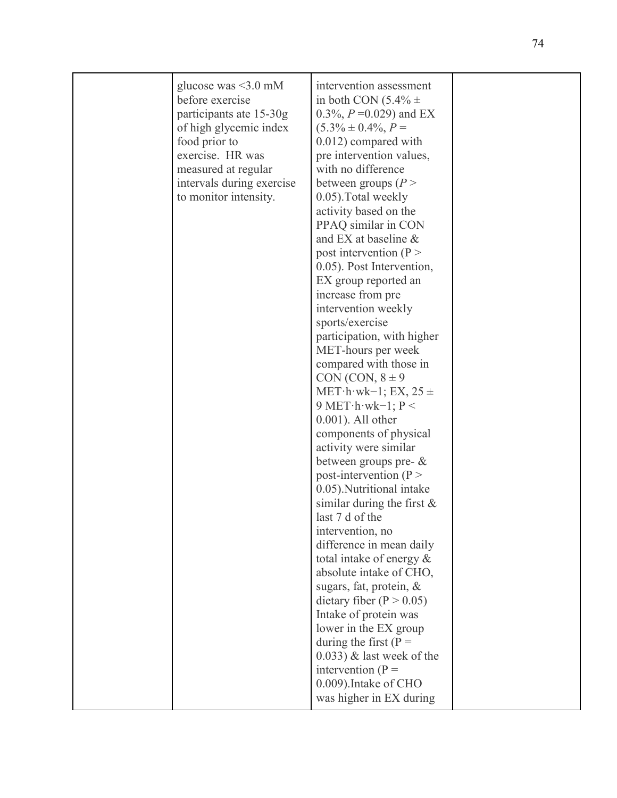| glucose was $\leq$ 3.0 mM<br>before exercise<br>participants ate 15-30g<br>of high glycemic index<br>food prior to<br>exercise. HR was<br>measured at regular<br>intervals during exercise<br>to monitor intensity. | intervention assessment<br>in both CON $(5.4\% \pm$<br>0.3%, $P = 0.029$ and EX<br>$(5.3\% \pm 0.4\%, P =$<br>0.012) compared with<br>pre intervention values,<br>with no difference<br>between groups $(P >$<br>0.05). Total weekly<br>activity based on the<br>PPAQ similar in CON<br>and EX at baseline $\&$                                                                                                                                                                                                                                                                                                                                                                                                                                                                                                                                                                                                                  |  |
|---------------------------------------------------------------------------------------------------------------------------------------------------------------------------------------------------------------------|----------------------------------------------------------------------------------------------------------------------------------------------------------------------------------------------------------------------------------------------------------------------------------------------------------------------------------------------------------------------------------------------------------------------------------------------------------------------------------------------------------------------------------------------------------------------------------------------------------------------------------------------------------------------------------------------------------------------------------------------------------------------------------------------------------------------------------------------------------------------------------------------------------------------------------|--|
|                                                                                                                                                                                                                     | post intervention ( $P >$<br>0.05). Post Intervention,<br>EX group reported an<br>increase from pre<br>intervention weekly<br>sports/exercise<br>participation, with higher<br>MET-hours per week<br>compared with those in<br>CON (CON, $8 \pm 9$ )<br>MET $\cdot$ h $\cdot$ wk $-1$ ; EX, 25 $\pm$<br>9 MET $\cdot$ h $\cdot$ wk $-1$ ; P <<br>$0.001$ ). All other<br>components of physical<br>activity were similar<br>between groups pre- $\&$<br>post-intervention ( $P >$<br>0.05). Nutritional intake<br>similar during the first $\&$<br>last 7 d of the<br>intervention, no<br>difference in mean daily<br>total intake of energy $\&$<br>absolute intake of CHO,<br>sugars, fat, protein, &<br>dietary fiber ( $P > 0.05$ )<br>Intake of protein was<br>lower in the EX group<br>during the first ( $P =$<br>$(0.033)$ & last week of the<br>intervention $(P =$<br>0.009). Intake of CHO<br>was higher in EX during |  |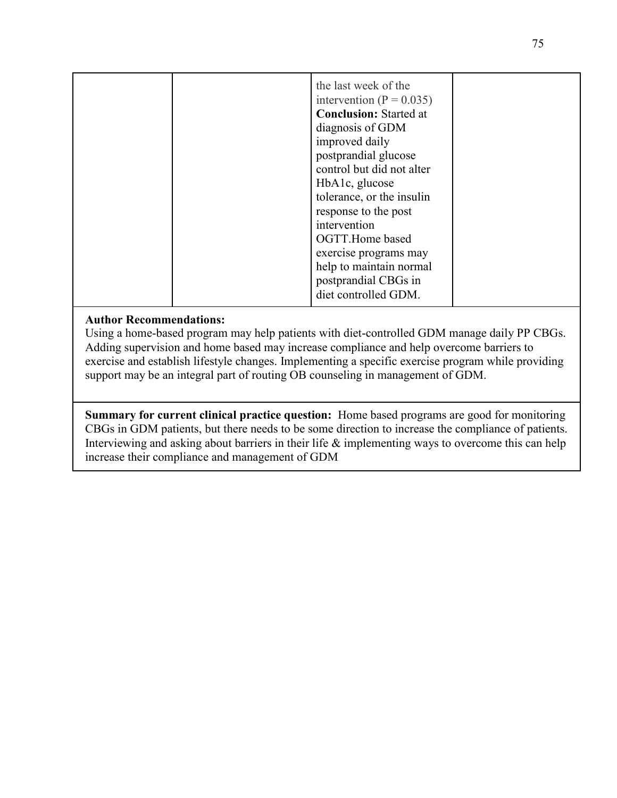|  | the last week of the<br>intervention ( $P = 0.035$ )<br><b>Conclusion:</b> Started at<br>diagnosis of GDM<br>improved daily<br>postprandial glucose<br>control but did not alter<br>HbA1c, glucose<br>tolerance, or the insulin<br>response to the post<br>intervention<br>OGTT.Home based<br>exercise programs may<br>help to maintain normal<br>postprandial CBGs in<br>diet controlled GDM. |
|--|------------------------------------------------------------------------------------------------------------------------------------------------------------------------------------------------------------------------------------------------------------------------------------------------------------------------------------------------------------------------------------------------|
|--|------------------------------------------------------------------------------------------------------------------------------------------------------------------------------------------------------------------------------------------------------------------------------------------------------------------------------------------------------------------------------------------------|

Using a home-based program may help patients with diet-controlled GDM manage daily PP CBGs. Adding supervision and home based may increase compliance and help overcome barriers to exercise and establish lifestyle changes. Implementing a specific exercise program while providing support may be an integral part of routing OB counseling in management of GDM.

**Summary for current clinical practice question:** Home based programs are good for monitoring CBGs in GDM patients, but there needs to be some direction to increase the compliance of patients. Interviewing and asking about barriers in their life  $\&$  implementing ways to overcome this can help increase their compliance and management of GDM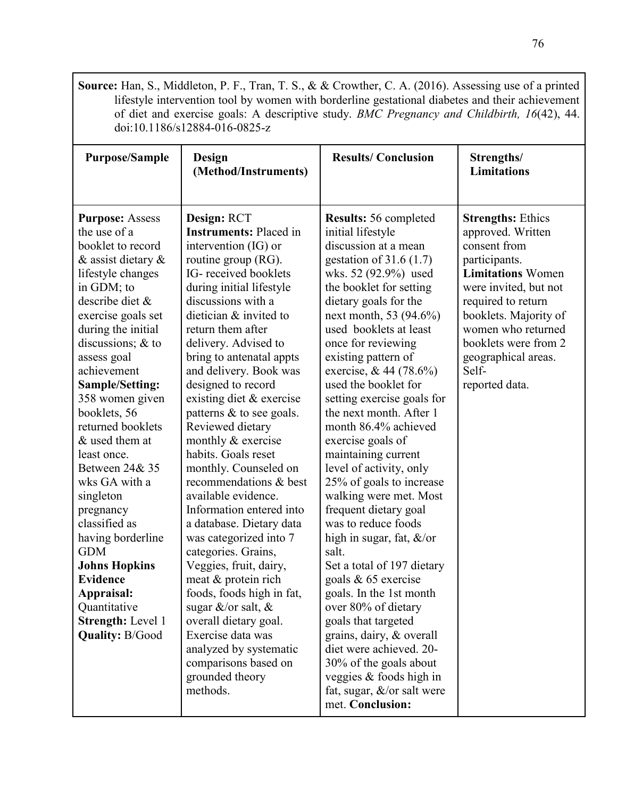**Source:** Han, S., Middleton, P. F., Tran, T. S., & & Crowther, C. A. (2016). Assessing use of a printed lifestyle intervention tool by women with borderline gestational diabetes and their achievement of diet and exercise goals: A descriptive study. *BMC Pregnancy and Childbirth, 16*(42), 44. doi:10.1186/s12884-016-0825-z

| <b>Purpose/Sample</b>                                                                                                                                                                                                                                                                                                                                                                                                                                                                                                                                                                                     | <b>Design</b><br>(Method/Instruments)                                                                                                                                                                                                                                                                                                                                                                                                                                                                                                                                                                                                                                                                                                                                                                                                                                      | <b>Results/Conclusion</b>                                                                                                                                                                                                                                                                                                                                                                                                                                                                                                                                                                                                                                                                                                                                                                                                                                                                                                                     | Strengths/<br><b>Limitations</b>                                                                                                                                                                                                                                                   |
|-----------------------------------------------------------------------------------------------------------------------------------------------------------------------------------------------------------------------------------------------------------------------------------------------------------------------------------------------------------------------------------------------------------------------------------------------------------------------------------------------------------------------------------------------------------------------------------------------------------|----------------------------------------------------------------------------------------------------------------------------------------------------------------------------------------------------------------------------------------------------------------------------------------------------------------------------------------------------------------------------------------------------------------------------------------------------------------------------------------------------------------------------------------------------------------------------------------------------------------------------------------------------------------------------------------------------------------------------------------------------------------------------------------------------------------------------------------------------------------------------|-----------------------------------------------------------------------------------------------------------------------------------------------------------------------------------------------------------------------------------------------------------------------------------------------------------------------------------------------------------------------------------------------------------------------------------------------------------------------------------------------------------------------------------------------------------------------------------------------------------------------------------------------------------------------------------------------------------------------------------------------------------------------------------------------------------------------------------------------------------------------------------------------------------------------------------------------|------------------------------------------------------------------------------------------------------------------------------------------------------------------------------------------------------------------------------------------------------------------------------------|
| <b>Purpose: Assess</b><br>the use of a<br>booklet to record<br>& assist dietary &<br>lifestyle changes<br>in GDM; to<br>describe diet &<br>exercise goals set<br>during the initial<br>discussions; & to<br>assess goal<br>achievement<br><b>Sample/Setting:</b><br>358 women given<br>booklets, 56<br>returned booklets<br>& used them at<br>least once.<br>Between 24& 35<br>wks GA with a<br>singleton<br>pregnancy<br>classified as<br>having borderline<br><b>GDM</b><br><b>Johns Hopkins</b><br><b>Evidence</b><br>Appraisal:<br>Quantitative<br><b>Strength: Level 1</b><br><b>Quality: B/Good</b> | Design: RCT<br><b>Instruments: Placed in</b><br>intervention (IG) or<br>routine group (RG).<br>IG-received booklets<br>during initial lifestyle<br>discussions with a<br>dietician & invited to<br>return them after<br>delivery. Advised to<br>bring to antenatal appts<br>and delivery. Book was<br>designed to record<br>existing diet & exercise<br>patterns & to see goals.<br>Reviewed dietary<br>monthly & exercise<br>habits. Goals reset<br>monthly. Counseled on<br>recommendations & best<br>available evidence.<br>Information entered into<br>a database. Dietary data<br>was categorized into 7<br>categories. Grains,<br>Veggies, fruit, dairy,<br>meat & protein rich<br>foods, foods high in fat,<br>sugar &/or salt, $\&$<br>overall dietary goal.<br>Exercise data was<br>analyzed by systematic<br>comparisons based on<br>grounded theory<br>methods. | <b>Results: 56 completed</b><br>initial lifestyle<br>discussion at a mean<br>gestation of $31.6(1.7)$<br>wks. 52 (92.9%) used<br>the booklet for setting<br>dietary goals for the<br>next month, 53 (94.6%)<br>used booklets at least<br>once for reviewing<br>existing pattern of<br>exercise, & 44 (78.6%)<br>used the booklet for<br>setting exercise goals for<br>the next month. After 1<br>month 86.4% achieved<br>exercise goals of<br>maintaining current<br>level of activity, only<br>25% of goals to increase<br>walking were met. Most<br>frequent dietary goal<br>was to reduce foods<br>high in sugar, fat, $\&$ /or<br>salt.<br>Set a total of 197 dietary<br>goals & 65 exercise<br>goals. In the 1st month<br>over 80% of dietary<br>goals that targeted<br>grains, dairy, & overall<br>diet were achieved. 20-<br>30% of the goals about<br>veggies $&$ foods high in<br>fat, sugar, $\&$ /or salt were<br>met. Conclusion: | <b>Strengths: Ethics</b><br>approved. Written<br>consent from<br>participants.<br><b>Limitations Women</b><br>were invited, but not<br>required to return<br>booklets. Majority of<br>women who returned<br>booklets were from 2<br>geographical areas.<br>Self-<br>reported data. |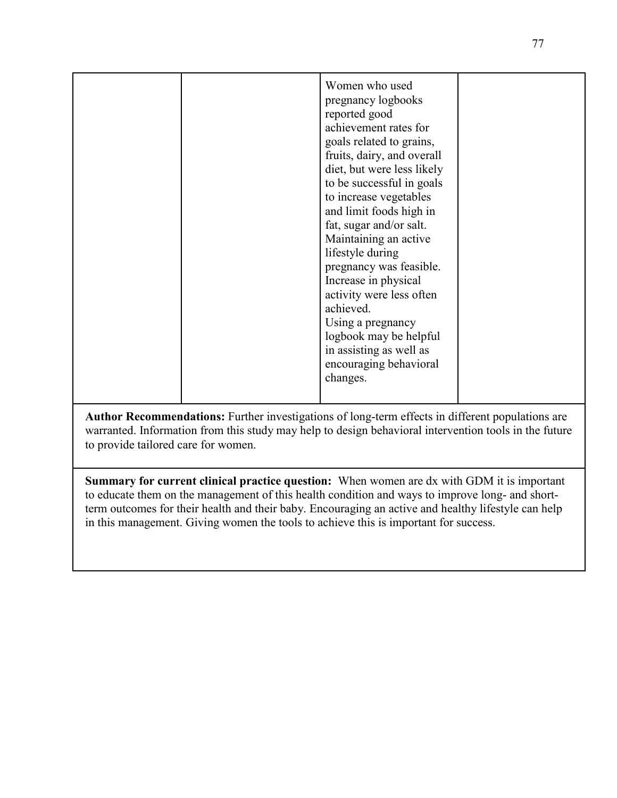|  | Women who used<br>pregnancy logbooks<br>reported good<br>achievement rates for<br>goals related to grains,<br>fruits, dairy, and overall<br>diet, but were less likely<br>to be successful in goals<br>to increase vegetables<br>and limit foods high in<br>fat, sugar and/or salt.<br>Maintaining an active<br>lifestyle during<br>pregnancy was feasible.<br>Increase in physical<br>activity were less often<br>achieved.<br>Using a pregnancy<br>logbook may be helpful<br>in assisting as well as<br>encouraging behavioral<br>changes. |  |
|--|----------------------------------------------------------------------------------------------------------------------------------------------------------------------------------------------------------------------------------------------------------------------------------------------------------------------------------------------------------------------------------------------------------------------------------------------------------------------------------------------------------------------------------------------|--|

**Author Recommendations:** Further investigations of long-term effects in different populations are warranted. Information from this study may help to design behavioral intervention tools in the future to provide tailored care for women.

**Summary for current clinical practice question:** When women are dx with GDM it is important to educate them on the management of this health condition and ways to improve long- and shortterm outcomes for their health and their baby. Encouraging an active and healthy lifestyle can help in this management. Giving women the tools to achieve this is important for success.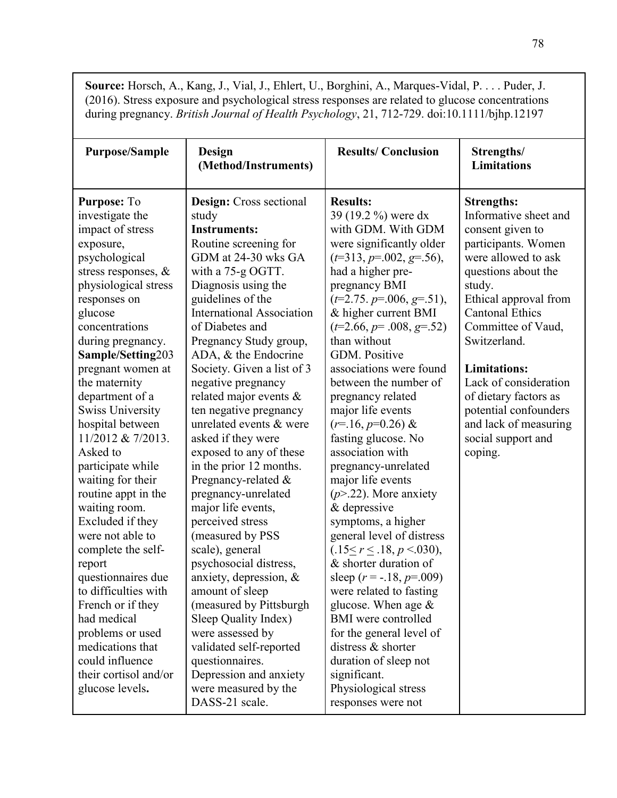**Source:** Horsch, A., Kang, J., Vial, J., Ehlert, U., Borghini, A., Marques-Vidal, P. . . . Puder, J. (2016). Stress exposure and psychological stress responses are related to glucose concentrations during pregnancy. *British Journal of Health Psychology*, 21, 712-729. doi:10.1111/bjhp.12197

| <b>Purpose/Sample</b>   | <b>Design</b><br>(Method/Instruments) | <b>Results/Conclusion</b>          | Strengths/<br><b>Limitations</b> |
|-------------------------|---------------------------------------|------------------------------------|----------------------------------|
| Purpose: To             | Design: Cross sectional               | <b>Results:</b>                    | <b>Strengths:</b>                |
| investigate the         | study                                 | 39 (19.2 %) were dx                | Informative sheet and            |
| impact of stress        | <b>Instruments:</b>                   | with GDM. With GDM                 | consent given to                 |
| exposure,               | Routine screening for                 | were significantly older           | participants. Women              |
| psychological           | GDM at 24-30 wks GA                   | $(t=313, p=.002, g=.56),$          | were allowed to ask              |
| stress responses, $\&$  | with a 75-g OGTT.                     | had a higher pre-                  | questions about the              |
| physiological stress    | Diagnosis using the                   | pregnancy BMI                      | study.                           |
| responses on            | guidelines of the                     | $(t=2.75. p=.006, g=.51),$         | Ethical approval from            |
| glucose                 | <b>International Association</b>      | & higher current BMI               | <b>Cantonal Ethics</b>           |
| concentrations          | of Diabetes and                       | $(t=2.66, p=.008, g=.52)$          | Committee of Vaud,               |
| during pregnancy.       | Pregnancy Study group,                | than without                       | Switzerland.                     |
| Sample/Setting203       | ADA, & the Endocrine                  | <b>GDM.</b> Positive               |                                  |
| pregnant women at       | Society. Given a list of 3            | associations were found            | <b>Limitations:</b>              |
| the maternity           | negative pregnancy                    | between the number of              | Lack of consideration            |
| department of a         | related major events $\&$             | pregnancy related                  | of dietary factors as            |
| <b>Swiss University</b> | ten negative pregnancy                | major life events                  | potential confounders            |
| hospital between        | unrelated events & were               | $(r=16, p=0.26)$ &                 | and lack of measuring            |
| 11/2012 & 7/2013.       | asked if they were                    | fasting glucose. No                | social support and               |
| Asked to                | exposed to any of these               | association with                   | coping.                          |
| participate while       | in the prior 12 months.               | pregnancy-unrelated                |                                  |
| waiting for their       | Pregnancy-related &                   | major life events                  |                                  |
| routine appt in the     | pregnancy-unrelated                   | $(p > 22)$ . More anxiety          |                                  |
| waiting room.           | major life events,                    | & depressive                       |                                  |
| Excluded if they        | perceived stress                      | symptoms, a higher                 |                                  |
| were not able to        | (measured by PSS                      | general level of distress          |                                  |
| complete the self-      | scale), general                       | $(.15 \le r \le .18, p \le .030),$ |                                  |
| report                  | psychosocial distress,                | & shorter duration of              |                                  |
| questionnaires due      | anxiety, depression, &                | sleep ( $r = -.18$ , $p = .009$ )  |                                  |
| to difficulties with    | amount of sleep                       | were related to fasting            |                                  |
| French or if they       | (measured by Pittsburgh               | glucose. When age $\&$             |                                  |
| had medical             | Sleep Quality Index)                  | <b>BMI</b> were controlled         |                                  |
| problems or used        | were assessed by                      | for the general level of           |                                  |
| medications that        | validated self-reported               | distress & shorter                 |                                  |
| could influence         | questionnaires.                       | duration of sleep not              |                                  |
| their cortisol and/or   | Depression and anxiety                | significant.                       |                                  |
| glucose levels.         | were measured by the                  | Physiological stress               |                                  |
|                         | DASS-21 scale.                        | responses were not                 |                                  |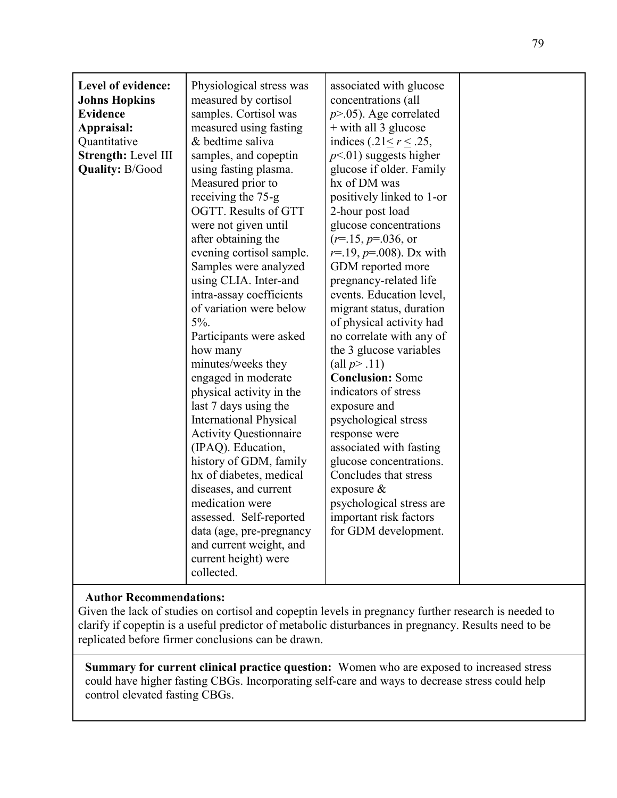| Level of evidence:<br><b>Johns Hopkins</b><br><b>Evidence</b><br>Appraisal:<br>Quantitative<br>Strength: Level III<br><b>Quality: B/Good</b> | Physiological stress was<br>measured by cortisol<br>samples. Cortisol was<br>measured using fasting<br>& bedtime saliva<br>samples, and copeptin<br>using fasting plasma.<br>Measured prior to<br>receiving the 75-g<br>OGTT. Results of GTT<br>were not given until<br>after obtaining the<br>evening cortisol sample.<br>Samples were analyzed<br>using CLIA. Inter-and<br>intra-assay coefficients<br>of variation were below<br>$5\%$ .<br>Participants were asked<br>how many<br>minutes/weeks they<br>engaged in moderate<br>physical activity in the<br>last 7 days using the<br><b>International Physical</b><br><b>Activity Questionnaire</b><br>(IPAQ). Education,<br>history of GDM, family<br>hx of diabetes, medical<br>diseases, and current<br>medication were<br>assessed. Self-reported<br>data (age, pre-pregnancy<br>and current weight, and<br>current height) were<br>collected. | associated with glucose<br>concentrations (all<br>$p > 0.05$ ). Age correlated<br>$+$ with all 3 glucose<br>indices $(.21 \le r \le .25,$<br>$p<01$ ) suggests higher<br>glucose if older. Family<br>hx of DM was<br>positively linked to 1-or<br>2-hour post load<br>glucose concentrations<br>$(r=15, p=0.036,$ or<br>$r=19, p=.008$ ). Dx with<br>GDM reported more<br>pregnancy-related life<br>events. Education level,<br>migrant status, duration<br>of physical activity had<br>no correlate with any of<br>the 3 glucose variables<br>(all $p > .11$ )<br><b>Conclusion: Some</b><br>indicators of stress<br>exposure and<br>psychological stress<br>response were<br>associated with fasting<br>glucose concentrations.<br>Concludes that stress<br>exposure $\&$<br>psychological stress are<br>important risk factors<br>for GDM development. |  |
|----------------------------------------------------------------------------------------------------------------------------------------------|-------------------------------------------------------------------------------------------------------------------------------------------------------------------------------------------------------------------------------------------------------------------------------------------------------------------------------------------------------------------------------------------------------------------------------------------------------------------------------------------------------------------------------------------------------------------------------------------------------------------------------------------------------------------------------------------------------------------------------------------------------------------------------------------------------------------------------------------------------------------------------------------------------|-----------------------------------------------------------------------------------------------------------------------------------------------------------------------------------------------------------------------------------------------------------------------------------------------------------------------------------------------------------------------------------------------------------------------------------------------------------------------------------------------------------------------------------------------------------------------------------------------------------------------------------------------------------------------------------------------------------------------------------------------------------------------------------------------------------------------------------------------------------|--|
|----------------------------------------------------------------------------------------------------------------------------------------------|-------------------------------------------------------------------------------------------------------------------------------------------------------------------------------------------------------------------------------------------------------------------------------------------------------------------------------------------------------------------------------------------------------------------------------------------------------------------------------------------------------------------------------------------------------------------------------------------------------------------------------------------------------------------------------------------------------------------------------------------------------------------------------------------------------------------------------------------------------------------------------------------------------|-----------------------------------------------------------------------------------------------------------------------------------------------------------------------------------------------------------------------------------------------------------------------------------------------------------------------------------------------------------------------------------------------------------------------------------------------------------------------------------------------------------------------------------------------------------------------------------------------------------------------------------------------------------------------------------------------------------------------------------------------------------------------------------------------------------------------------------------------------------|--|

Given the lack of studies on cortisol and copeptin levels in pregnancy further research is needed to clarify if copeptin is a useful predictor of metabolic disturbances in pregnancy. Results need to be replicated before firmer conclusions can be drawn.

**Summary for current clinical practice question:** Women who are exposed to increased stress could have higher fasting CBGs. Incorporating self-care and ways to decrease stress could help control elevated fasting CBGs.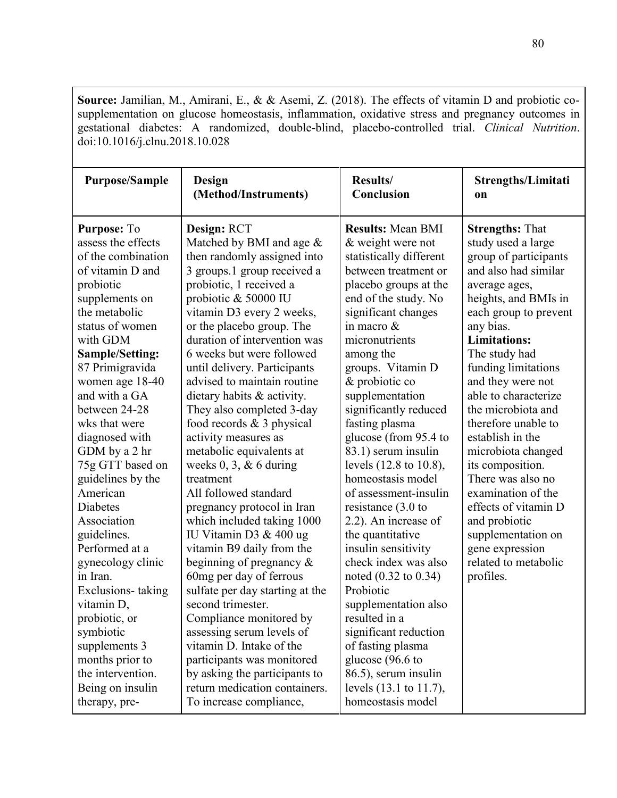**Source:** Jamilian, M., Amirani, E., & & Asemi, Z. (2018). The effects of vitamin D and probiotic cosupplementation on glucose homeostasis, inflammation, oxidative stress and pregnancy outcomes in gestational diabetes: A randomized, double-blind, placebo-controlled trial. *Clinical Nutrition*. doi:10.1016/j.clnu.2018.10.028

| <b>Purpose/Sample</b>  | Design                          | Results/                 | Strengths/Limitati     |
|------------------------|---------------------------------|--------------------------|------------------------|
|                        | (Method/Instruments)            | Conclusion               | <sub>on</sub>          |
| <b>Purpose: To</b>     | Design: RCT                     | <b>Results: Mean BMI</b> | <b>Strengths: That</b> |
| assess the effects     | Matched by BMI and age $\&$     | & weight were not        | study used a large     |
| of the combination     | then randomly assigned into     | statistically different  | group of participants  |
| of vitamin D and       | 3 groups.1 group received a     | between treatment or     | and also had similar   |
| probiotic              | probiotic, 1 received a         | placebo groups at the    | average ages,          |
| supplements on         | probiotic & 50000 IU            | end of the study. No     | heights, and BMIs in   |
| the metabolic          | vitamin D3 every 2 weeks,       | significant changes      | each group to prevent  |
| status of women        | or the placebo group. The       | in macro &               | any bias.              |
| with GDM               | duration of intervention was    | micronutrients           | <b>Limitations:</b>    |
| <b>Sample/Setting:</b> | 6 weeks but were followed       | among the                | The study had          |
| 87 Primigravida        | until delivery. Participants    | groups. Vitamin D        | funding limitations    |
| women age 18-40        | advised to maintain routine     | & probiotic co           | and they were not      |
| and with a GA          | dietary habits & activity.      | supplementation          | able to characterize   |
| between 24-28          | They also completed 3-day       | significantly reduced    | the microbiota and     |
| wks that were          | food records $& 3$ physical     | fasting plasma           | therefore unable to    |
| diagnosed with         | activity measures as            | glucose (from 95.4 to    | establish in the       |
| GDM by a 2 hr          | metabolic equivalents at        | 83.1) serum insulin      | microbiota changed     |
| 75g GTT based on       | weeks $0, 3, \& 6$ during       | levels (12.8 to 10.8),   | its composition.       |
| guidelines by the      | treatment                       | homeostasis model        | There was also no      |
| American               | All followed standard           | of assessment-insulin    | examination of the     |
| Diabetes               | pregnancy protocol in Iran      | resistance $(3.0)$ to    | effects of vitamin D   |
| Association            | which included taking 1000      | 2.2). An increase of     | and probiotic          |
| guidelines.            | IU Vitamin D3 & 400 ug          | the quantitative         | supplementation on     |
| Performed at a         | vitamin B9 daily from the       | insulin sensitivity      | gene expression        |
| gynecology clinic      | beginning of pregnancy $\&$     | check index was also     | related to metabolic   |
| in Iran.               | 60mg per day of ferrous         | noted (0.32 to 0.34)     | profiles.              |
| Exclusions-taking      | sulfate per day starting at the | Probiotic                |                        |
| vitamin D,             | second trimester.               | supplementation also     |                        |
| probiotic, or          | Compliance monitored by         | resulted in a            |                        |
| symbiotic              | assessing serum levels of       | significant reduction    |                        |
| supplements 3          | vitamin D. Intake of the        | of fasting plasma        |                        |
| months prior to        | participants was monitored      | glucose (96.6 to         |                        |
| the intervention.      | by asking the participants to   | 86.5), serum insulin     |                        |
| Being on insulin       | return medication containers.   | levels (13.1 to 11.7),   |                        |
| therapy, pre-          | To increase compliance,         | homeostasis model        |                        |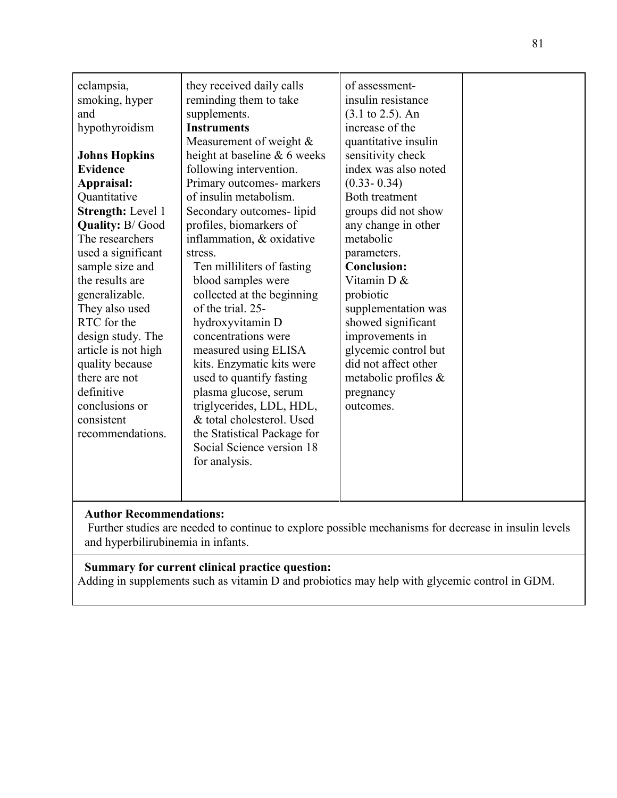| eclampsia,               | they received daily calls    | of assessment-               |  |
|--------------------------|------------------------------|------------------------------|--|
| smoking, hyper           | reminding them to take       | insulin resistance           |  |
| and                      | supplements.                 | $(3.1 \text{ to } 2.5)$ . An |  |
| hypothyroidism           | <b>Instruments</b>           | increase of the              |  |
|                          | Measurement of weight $\&$   | quantitative insulin         |  |
| <b>Johns Hopkins</b>     | height at baseline & 6 weeks | sensitivity check            |  |
| <b>Evidence</b>          | following intervention.      | index was also noted         |  |
| Appraisal:               | Primary outcomes- markers    | $(0.33 - 0.34)$              |  |
| Quantitative             | of insulin metabolism.       | Both treatment               |  |
| <b>Strength: Level 1</b> | Secondary outcomes-lipid     | groups did not show          |  |
| <b>Quality: B/Good</b>   | profiles, biomarkers of      | any change in other          |  |
| The researchers          | inflammation, & oxidative    | metabolic                    |  |
| used a significant       | stress.                      | parameters.                  |  |
| sample size and          | Ten milliliters of fasting   | <b>Conclusion:</b>           |  |
| the results are          | blood samples were           | Vitamin D &                  |  |
| generalizable.           | collected at the beginning   | probiotic                    |  |
| They also used           | of the trial. 25-            | supplementation was          |  |
| RTC for the              | hydroxyvitamin D             | showed significant           |  |
| design study. The        | concentrations were          | improvements in              |  |
| article is not high      | measured using ELISA         | glycemic control but         |  |
| quality because          | kits. Enzymatic kits were    | did not affect other         |  |
| there are not            | used to quantify fasting     | metabolic profiles &         |  |
| definitive               | plasma glucose, serum        | pregnancy                    |  |
| conclusions or           | triglycerides, LDL, HDL,     | outcomes.                    |  |
| consistent               | & total cholesterol. Used    |                              |  |
| recommendations.         | the Statistical Package for  |                              |  |
|                          | Social Science version 18    |                              |  |
|                          | for analysis.                |                              |  |
|                          |                              |                              |  |
|                          |                              |                              |  |

 Further studies are needed to continue to explore possible mechanisms for decrease in insulin levels and hyperbilirubinemia in infants.

# **Summary for current clinical practice question:**

Adding in supplements such as vitamin D and probiotics may help with glycemic control in GDM.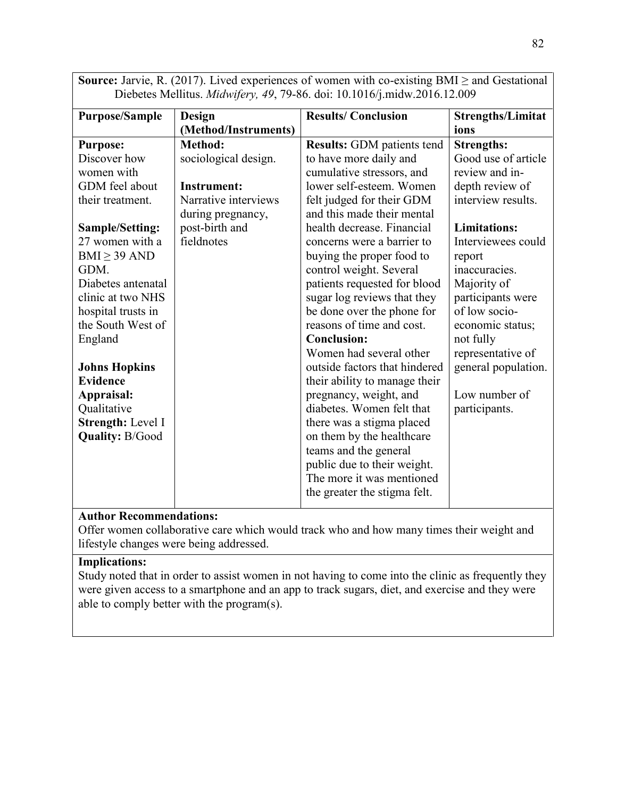| Diebetes Mellitus. Midwifery, 49, 79-86. doi: 10.1016/j.midw.2016.12.009 |                      |                                   |                          |
|--------------------------------------------------------------------------|----------------------|-----------------------------------|--------------------------|
| <b>Purpose/Sample</b>                                                    | <b>Design</b>        | <b>Results/Conclusion</b>         | <b>Strengths/Limitat</b> |
|                                                                          | (Method/Instruments) |                                   | ions                     |
| <b>Purpose:</b>                                                          | Method:              | <b>Results:</b> GDM patients tend | <b>Strengths:</b>        |
| Discover how                                                             | sociological design. | to have more daily and            | Good use of article      |
| women with                                                               |                      | cumulative stressors, and         | review and in-           |
| GDM feel about                                                           | <b>Instrument:</b>   | lower self-esteem. Women          | depth review of          |
| their treatment.                                                         | Narrative interviews | felt judged for their GDM         | interview results.       |
|                                                                          | during pregnancy,    | and this made their mental        |                          |
| <b>Sample/Setting:</b>                                                   | post-birth and       | health decrease. Financial        | <b>Limitations:</b>      |
| 27 women with a                                                          | fieldnotes           | concerns were a barrier to        | Interviewees could       |
| $BMI \geq 39 AND$                                                        |                      | buying the proper food to         | report                   |
| GDM.                                                                     |                      | control weight. Several           | inaccuracies.            |
| Diabetes antenatal                                                       |                      | patients requested for blood      | Majority of              |
| clinic at two NHS                                                        |                      | sugar log reviews that they       | participants were        |
| hospital trusts in                                                       |                      | be done over the phone for        | of low socio-            |
| the South West of                                                        |                      | reasons of time and cost.         | economic status;         |
| England                                                                  |                      | <b>Conclusion:</b>                | not fully                |
|                                                                          |                      | Women had several other           | representative of        |
| <b>Johns Hopkins</b>                                                     |                      | outside factors that hindered     | general population.      |
| <b>Evidence</b>                                                          |                      | their ability to manage their     |                          |
| Appraisal:                                                               |                      | pregnancy, weight, and            | Low number of            |
| Qualitative                                                              |                      | diabetes. Women felt that         | participants.            |
| Strength: Level I                                                        |                      | there was a stigma placed         |                          |
| <b>Quality: B/Good</b>                                                   |                      | on them by the healthcare         |                          |
|                                                                          |                      | teams and the general             |                          |
|                                                                          |                      | public due to their weight.       |                          |
|                                                                          |                      | The more it was mentioned         |                          |
|                                                                          |                      | the greater the stigma felt.      |                          |
|                                                                          |                      |                                   |                          |

**Source:** Jarvie, R. (2017). Lived experiences of women with co-existing BMI  $\geq$  and Gestational Diebetes Mellitus. *Midwifery, 49*, 79-86. doi: 10.1016/j.midw.2016.12.009

### **Author Recommendations:**

Offer women collaborative care which would track who and how many times their weight and lifestyle changes were being addressed.

### **Implications:**

Study noted that in order to assist women in not having to come into the clinic as frequently they were given access to a smartphone and an app to track sugars, diet, and exercise and they were able to comply better with the program(s).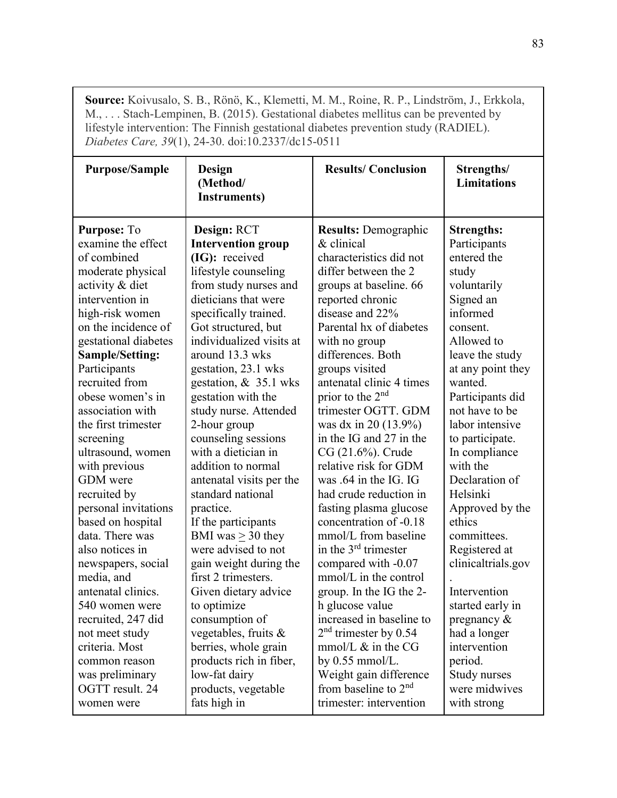**Source:** Koivusalo, S. B., Rönö, K., Klemetti, M. M., Roine, R. P., Lindström, J., Erkkola, M., . . . Stach-Lempinen, B. (2015). Gestational diabetes mellitus can be prevented by lifestyle intervention: The Finnish gestational diabetes prevention study (RADIEL). *Diabetes Care, 39*(1), 24-30. doi:10.2337/dc15-0511

| <b>Purpose/Sample</b>                                                                                                                                                                                                                                                                                                                                       | Design<br>(Method/<br><b>Instruments</b> )                                                                                                                                                                                                                                                                                                                                                                              | <b>Results/Conclusion</b>                                                                                                                                                                                                                                                                                                                                                                                                                         | Strengths/<br><b>Limitations</b>                                                                                                                                                                                                                                                        |
|-------------------------------------------------------------------------------------------------------------------------------------------------------------------------------------------------------------------------------------------------------------------------------------------------------------------------------------------------------------|-------------------------------------------------------------------------------------------------------------------------------------------------------------------------------------------------------------------------------------------------------------------------------------------------------------------------------------------------------------------------------------------------------------------------|---------------------------------------------------------------------------------------------------------------------------------------------------------------------------------------------------------------------------------------------------------------------------------------------------------------------------------------------------------------------------------------------------------------------------------------------------|-----------------------------------------------------------------------------------------------------------------------------------------------------------------------------------------------------------------------------------------------------------------------------------------|
| <b>Purpose: To</b><br>examine the effect<br>of combined<br>moderate physical<br>activity & diet<br>intervention in<br>high-risk women<br>on the incidence of<br>gestational diabetes<br>Sample/Setting:<br>Participants<br>recruited from<br>obese women's in<br>association with<br>the first trimester<br>screening<br>ultrasound, women<br>with previous | Design: RCT<br><b>Intervention group</b><br>(IG): received<br>lifestyle counseling<br>from study nurses and<br>dieticians that were<br>specifically trained.<br>Got structured, but<br>individualized visits at<br>around 13.3 wks<br>gestation, 23.1 wks<br>gestation, $& 35.1$ wks<br>gestation with the<br>study nurse. Attended<br>2-hour group<br>counseling sessions<br>with a dietician in<br>addition to normal | <b>Results:</b> Demographic<br>& clinical<br>characteristics did not<br>differ between the 2<br>groups at baseline. 66<br>reported chronic<br>disease and 22%<br>Parental hx of diabetes<br>with no group<br>differences. Both<br>groups visited<br>antenatal clinic 4 times<br>prior to the 2 <sup>nd</sup><br>trimester OGTT. GDM<br>was dx in 20 (13.9%)<br>in the IG and 27 in the<br>CG (21.6%). Crude<br>relative risk for GDM              | <b>Strengths:</b><br>Participants<br>entered the<br>study<br>voluntarily<br>Signed an<br>informed<br>consent.<br>Allowed to<br>leave the study<br>at any point they<br>wanted.<br>Participants did<br>not have to be<br>labor intensive<br>to participate.<br>In compliance<br>with the |
| <b>GDM</b> were<br>recruited by<br>personal invitations<br>based on hospital<br>data. There was<br>also notices in<br>newspapers, social<br>media, and<br>antenatal clinics.<br>540 women were<br>recruited, 247 did<br>not meet study<br>criteria. Most<br>common reason<br>was preliminary<br>OGTT result. 24<br>women were                               | antenatal visits per the<br>standard national<br>practice.<br>If the participants<br>BMI was $\geq$ 30 they<br>were advised to not<br>gain weight during the<br>first 2 trimesters.<br>Given dietary advice<br>to optimize<br>consumption of<br>vegetables, fruits &<br>berries, whole grain<br>products rich in fiber,<br>low-fat dairy<br>products, vegetable<br>fats high in                                         | was .64 in the IG. IG<br>had crude reduction in<br>fasting plasma glucose<br>concentration of -0.18<br>mmol/L from baseline<br>in the $3rd$ trimester<br>compared with -0.07<br>mmol/L in the control<br>group. In the IG the 2-<br>h glucose value<br>increased in baseline to<br>$2nd$ trimester by 0.54<br>mmol/L $\&$ in the CG<br>by $0.55$ mmol/L.<br>Weight gain difference<br>from baseline to 2 <sup>nd</sup><br>trimester: intervention | Declaration of<br>Helsinki<br>Approved by the<br>ethics<br>committees.<br>Registered at<br>clinicaltrials.gov<br>Intervention<br>started early in<br>pregnancy $\&$<br>had a longer<br>intervention<br>period.<br>Study nurses<br>were midwives<br>with strong                          |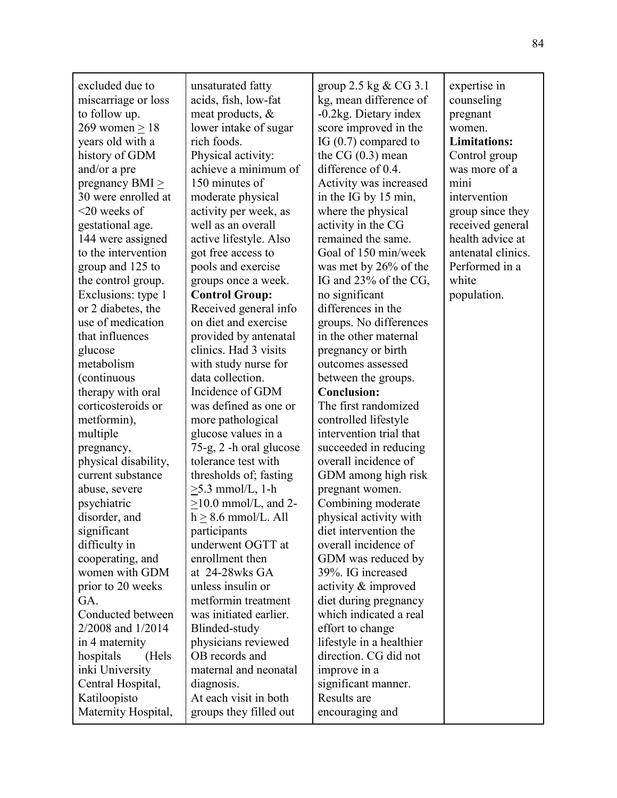| excluded due to<br>miscarriage or loss<br>to follow up.<br>$269$ women $> 18$<br>years old with a<br>history of GDM<br>and/or a pre<br>pregnancy BMI $\geq$<br>30 were enrolled at<br>$<$ 20 weeks of<br>gestational age.<br>144 were assigned<br>to the intervention<br>group and 125 to<br>the control group.<br>Exclusions: type 1<br>or 2 diabetes, the<br>use of medication<br>that influences<br>glucose<br>metabolism<br>(continuous<br>therapy with oral<br>corticosteroids or<br>metformin),<br>multiple<br>pregnancy,<br>physical disability,<br>current substance<br>abuse, severe<br>psychiatric<br>disorder, and<br>significant<br>difficulty in<br>cooperating, and<br>women with GDM<br>prior to 20 weeks<br>GA.<br>Conducted between<br>2/2008 and 1/2014 | unsaturated fatty<br>acids, fish, low-fat<br>meat products, $\&$<br>lower intake of sugar<br>rich foods.<br>Physical activity:<br>achieve a minimum of<br>150 minutes of<br>moderate physical<br>activity per week, as<br>well as an overall<br>active lifestyle. Also<br>got free access to<br>pools and exercise<br>groups once a week.<br><b>Control Group:</b><br>Received general info<br>on diet and exercise<br>provided by antenatal<br>clinics. Had 3 visits<br>with study nurse for<br>data collection.<br>Incidence of GDM<br>was defined as one or<br>more pathological<br>glucose values in a<br>75-g, 2 -h oral glucose<br>tolerance test with<br>thresholds of; fasting<br>$\geq$ 5.3 mmol/L, 1-h<br>$>10.0$ mmol/L, and 2-<br>$h > 8.6$ mmol/L. All<br>participants<br>underwent OGTT at<br>enrollment then<br>at 24-28wks GA<br>unless insulin or<br>metformin treatment<br>was initiated earlier.<br>Blinded-study | group 2.5 kg $& CG$ 3.1<br>kg, mean difference of<br>-0.2kg. Dietary index<br>score improved in the<br>IG (0.7) compared to<br>the $CG(0.3)$ mean<br>difference of 0.4.<br>Activity was increased<br>in the IG by 15 min,<br>where the physical<br>activity in the CG<br>remained the same.<br>Goal of 150 min/week<br>was met by 26% of the<br>IG and 23% of the CG,<br>no significant<br>differences in the<br>groups. No differences<br>in the other maternal<br>pregnancy or birth<br>outcomes assessed<br>between the groups.<br><b>Conclusion:</b><br>The first randomized<br>controlled lifestyle<br>intervention trial that<br>succeeded in reducing<br>overall incidence of<br>GDM among high risk<br>pregnant women.<br>Combining moderate<br>physical activity with<br>diet intervention the<br>overall incidence of<br>GDM was reduced by<br>39%. IG increased<br>activity & improved<br>diet during pregnancy<br>which indicated a real<br>effort to change | expertise in<br>counseling<br>pregnant<br>women.<br><b>Limitations:</b><br>Control group<br>was more of a<br>mini<br>intervention<br>group since they<br>received general<br>health advice at<br>antenatal clinics.<br>Performed in a<br>white<br>population. |
|---------------------------------------------------------------------------------------------------------------------------------------------------------------------------------------------------------------------------------------------------------------------------------------------------------------------------------------------------------------------------------------------------------------------------------------------------------------------------------------------------------------------------------------------------------------------------------------------------------------------------------------------------------------------------------------------------------------------------------------------------------------------------|--------------------------------------------------------------------------------------------------------------------------------------------------------------------------------------------------------------------------------------------------------------------------------------------------------------------------------------------------------------------------------------------------------------------------------------------------------------------------------------------------------------------------------------------------------------------------------------------------------------------------------------------------------------------------------------------------------------------------------------------------------------------------------------------------------------------------------------------------------------------------------------------------------------------------------------|--------------------------------------------------------------------------------------------------------------------------------------------------------------------------------------------------------------------------------------------------------------------------------------------------------------------------------------------------------------------------------------------------------------------------------------------------------------------------------------------------------------------------------------------------------------------------------------------------------------------------------------------------------------------------------------------------------------------------------------------------------------------------------------------------------------------------------------------------------------------------------------------------------------------------------------------------------------------------|---------------------------------------------------------------------------------------------------------------------------------------------------------------------------------------------------------------------------------------------------------------|
|                                                                                                                                                                                                                                                                                                                                                                                                                                                                                                                                                                                                                                                                                                                                                                           |                                                                                                                                                                                                                                                                                                                                                                                                                                                                                                                                                                                                                                                                                                                                                                                                                                                                                                                                      |                                                                                                                                                                                                                                                                                                                                                                                                                                                                                                                                                                                                                                                                                                                                                                                                                                                                                                                                                                          |                                                                                                                                                                                                                                                               |
|                                                                                                                                                                                                                                                                                                                                                                                                                                                                                                                                                                                                                                                                                                                                                                           |                                                                                                                                                                                                                                                                                                                                                                                                                                                                                                                                                                                                                                                                                                                                                                                                                                                                                                                                      |                                                                                                                                                                                                                                                                                                                                                                                                                                                                                                                                                                                                                                                                                                                                                                                                                                                                                                                                                                          |                                                                                                                                                                                                                                                               |
|                                                                                                                                                                                                                                                                                                                                                                                                                                                                                                                                                                                                                                                                                                                                                                           |                                                                                                                                                                                                                                                                                                                                                                                                                                                                                                                                                                                                                                                                                                                                                                                                                                                                                                                                      |                                                                                                                                                                                                                                                                                                                                                                                                                                                                                                                                                                                                                                                                                                                                                                                                                                                                                                                                                                          |                                                                                                                                                                                                                                                               |
|                                                                                                                                                                                                                                                                                                                                                                                                                                                                                                                                                                                                                                                                                                                                                                           |                                                                                                                                                                                                                                                                                                                                                                                                                                                                                                                                                                                                                                                                                                                                                                                                                                                                                                                                      |                                                                                                                                                                                                                                                                                                                                                                                                                                                                                                                                                                                                                                                                                                                                                                                                                                                                                                                                                                          |                                                                                                                                                                                                                                                               |
| in 4 maternity                                                                                                                                                                                                                                                                                                                                                                                                                                                                                                                                                                                                                                                                                                                                                            | physicians reviewed                                                                                                                                                                                                                                                                                                                                                                                                                                                                                                                                                                                                                                                                                                                                                                                                                                                                                                                  | lifestyle in a healthier                                                                                                                                                                                                                                                                                                                                                                                                                                                                                                                                                                                                                                                                                                                                                                                                                                                                                                                                                 |                                                                                                                                                                                                                                                               |
| hospitals<br>(Hels                                                                                                                                                                                                                                                                                                                                                                                                                                                                                                                                                                                                                                                                                                                                                        | OB records and                                                                                                                                                                                                                                                                                                                                                                                                                                                                                                                                                                                                                                                                                                                                                                                                                                                                                                                       | direction. CG did not                                                                                                                                                                                                                                                                                                                                                                                                                                                                                                                                                                                                                                                                                                                                                                                                                                                                                                                                                    |                                                                                                                                                                                                                                                               |
| inki University                                                                                                                                                                                                                                                                                                                                                                                                                                                                                                                                                                                                                                                                                                                                                           | maternal and neonatal                                                                                                                                                                                                                                                                                                                                                                                                                                                                                                                                                                                                                                                                                                                                                                                                                                                                                                                | improve in a                                                                                                                                                                                                                                                                                                                                                                                                                                                                                                                                                                                                                                                                                                                                                                                                                                                                                                                                                             |                                                                                                                                                                                                                                                               |
| Central Hospital,                                                                                                                                                                                                                                                                                                                                                                                                                                                                                                                                                                                                                                                                                                                                                         | diagnosis.                                                                                                                                                                                                                                                                                                                                                                                                                                                                                                                                                                                                                                                                                                                                                                                                                                                                                                                           | significant manner.                                                                                                                                                                                                                                                                                                                                                                                                                                                                                                                                                                                                                                                                                                                                                                                                                                                                                                                                                      |                                                                                                                                                                                                                                                               |
| Katiloopisto                                                                                                                                                                                                                                                                                                                                                                                                                                                                                                                                                                                                                                                                                                                                                              | At each visit in both                                                                                                                                                                                                                                                                                                                                                                                                                                                                                                                                                                                                                                                                                                                                                                                                                                                                                                                | Results are                                                                                                                                                                                                                                                                                                                                                                                                                                                                                                                                                                                                                                                                                                                                                                                                                                                                                                                                                              |                                                                                                                                                                                                                                                               |
| Maternity Hospital,                                                                                                                                                                                                                                                                                                                                                                                                                                                                                                                                                                                                                                                                                                                                                       | groups they filled out                                                                                                                                                                                                                                                                                                                                                                                                                                                                                                                                                                                                                                                                                                                                                                                                                                                                                                               | encouraging and                                                                                                                                                                                                                                                                                                                                                                                                                                                                                                                                                                                                                                                                                                                                                                                                                                                                                                                                                          |                                                                                                                                                                                                                                                               |
|                                                                                                                                                                                                                                                                                                                                                                                                                                                                                                                                                                                                                                                                                                                                                                           |                                                                                                                                                                                                                                                                                                                                                                                                                                                                                                                                                                                                                                                                                                                                                                                                                                                                                                                                      |                                                                                                                                                                                                                                                                                                                                                                                                                                                                                                                                                                                                                                                                                                                                                                                                                                                                                                                                                                          |                                                                                                                                                                                                                                                               |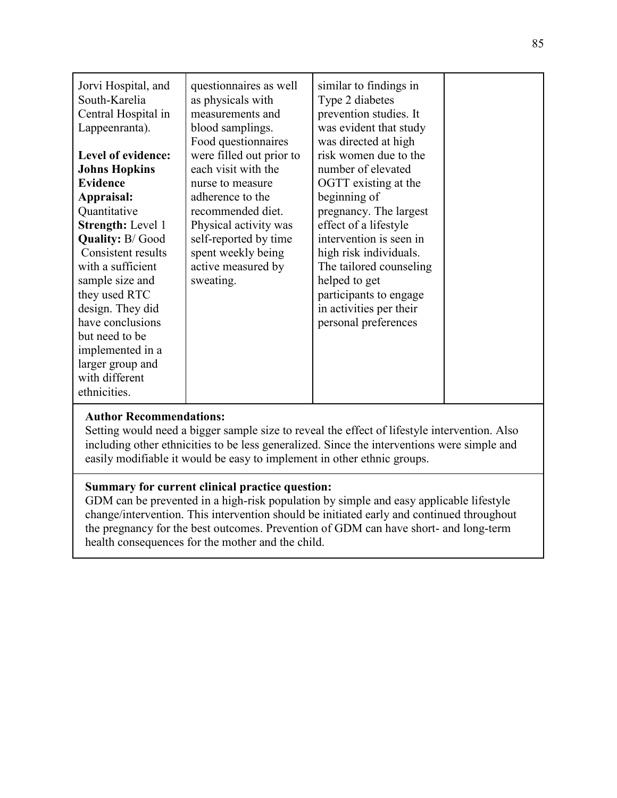Setting would need a bigger sample size to reveal the effect of lifestyle intervention. Also including other ethnicities to be less generalized. Since the interventions were simple and easily modifiable it would be easy to implement in other ethnic groups.

### **Summary for current clinical practice question:**

GDM can be prevented in a high-risk population by simple and easy applicable lifestyle change/intervention. This intervention should be initiated early and continued throughout the pregnancy for the best outcomes. Prevention of GDM can have short- and long-term health consequences for the mother and the child.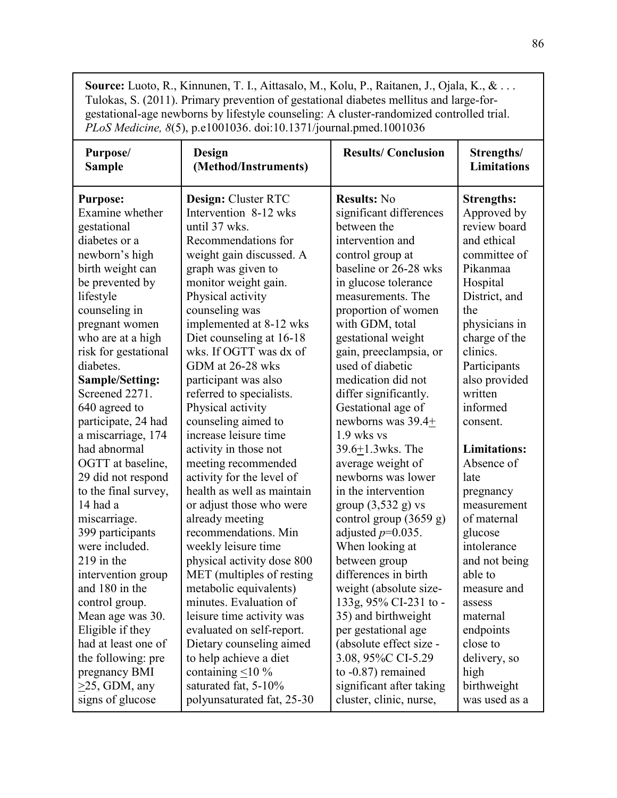**Source:** Luoto, R., Kinnunen, T. I., Aittasalo, M., Kolu, P., Raitanen, J., Ojala, K., & . . . Tulokas, S. (2011). Primary prevention of gestational diabetes mellitus and large-forgestational-age newborns by lifestyle counseling: A cluster-randomized controlled trial. *PLoS Medicine, 8*(5), p.e1001036. doi:10.1371/journal.pmed.1001036

| Purpose/                                                                     | Design                                                                                        | <b>Results/Conclusion</b>                                                       | Strengths/                      |
|------------------------------------------------------------------------------|-----------------------------------------------------------------------------------------------|---------------------------------------------------------------------------------|---------------------------------|
| <b>Sample</b>                                                                | (Method/Instruments)                                                                          |                                                                                 | <b>Limitations</b>              |
| <b>Purpose:</b>                                                              | Design: Cluster RTC                                                                           | <b>Results: No</b>                                                              | <b>Strengths:</b>               |
| Examine whether                                                              | Intervention 8-12 wks                                                                         | significant differences                                                         | Approved by                     |
| gestational                                                                  | until 37 wks.                                                                                 | between the                                                                     | review board                    |
| diabetes or a                                                                | Recommendations for                                                                           | intervention and                                                                | and ethical                     |
| newborn's high                                                               | weight gain discussed. A                                                                      | control group at                                                                | committee of                    |
| birth weight can                                                             | graph was given to                                                                            | baseline or 26-28 wks                                                           | Pikanmaa                        |
| be prevented by                                                              | monitor weight gain.                                                                          | in glucose tolerance                                                            | Hospital                        |
| lifestyle                                                                    | Physical activity                                                                             | measurements. The                                                               | District, and                   |
| counseling in                                                                | counseling was                                                                                | proportion of women                                                             | the                             |
| pregnant women                                                               | implemented at 8-12 wks                                                                       | with GDM, total                                                                 | physicians in                   |
| who are at a high                                                            | Diet counseling at 16-18                                                                      | gestational weight                                                              | charge of the                   |
| risk for gestational                                                         | wks. If OGTT was dx of                                                                        | gain, preeclampsia, or                                                          | clinics.                        |
| diabetes.                                                                    | GDM at 26-28 wks                                                                              | used of diabetic                                                                | Participants                    |
| <b>Sample/Setting:</b>                                                       | participant was also                                                                          | medication did not                                                              | also provided                   |
| Screened 2271.<br>640 agreed to<br>participate, 24 had<br>a miscarriage, 174 | referred to specialists.<br>Physical activity<br>counseling aimed to<br>increase leisure time | differ significantly.<br>Gestational age of<br>newborns was 39.4+<br>1.9 wks vs | written<br>informed<br>consent. |
| had abnormal                                                                 | activity in those not                                                                         | 39.6+1.3wks. The                                                                | <b>Limitations:</b>             |
| OGTT at baseline,                                                            | meeting recommended                                                                           | average weight of                                                               | Absence of                      |
| 29 did not respond                                                           | activity for the level of                                                                     | newborns was lower                                                              | late                            |
| to the final survey,                                                         | health as well as maintain                                                                    | in the intervention                                                             | pregnancy                       |
| 14 had a                                                                     | or adjust those who were                                                                      | group $(3,532 \text{ g})$ vs                                                    | measurement                     |
| miscarriage.                                                                 | already meeting                                                                               | control group (3659 g)                                                          | of maternal                     |
| 399 participants                                                             | recommendations. Min                                                                          | adjusted $p=0.035$ .                                                            | glucose                         |
| were included.                                                               | weekly leisure time                                                                           | When looking at                                                                 | intolerance                     |
| 219 in the                                                                   | physical activity dose 800                                                                    | between group                                                                   | and not being                   |
| intervention group                                                           | MET (multiples of resting                                                                     | differences in birth                                                            | able to                         |
| and 180 in the                                                               | metabolic equivalents)                                                                        | weight (absolute size-                                                          | measure and                     |
| control group.                                                               | minutes. Evaluation of                                                                        | 133g, 95% CI-231 to -                                                           | assess                          |
| Mean age was 30.                                                             | leisure time activity was                                                                     | 35) and birthweight                                                             | maternal                        |
| Eligible if they                                                             | evaluated on self-report.                                                                     | per gestational age                                                             | endpoints                       |
| had at least one of                                                          | Dietary counseling aimed                                                                      | (absolute effect size -                                                         | close to                        |
| the following: pre                                                           | to help achieve a diet                                                                        | 3.08, 95%C CI-5.29                                                              | delivery, so                    |
| pregnancy BMI                                                                | containing $\leq 10\%$                                                                        | to $-0.87$ ) remained                                                           | high                            |
| $>25$ , GDM, any                                                             | saturated fat, 5-10%                                                                          | significant after taking                                                        | birthweight                     |
| signs of glucose                                                             | polyunsaturated fat, 25-30                                                                    | cluster, clinic, nurse,                                                         | was used as a                   |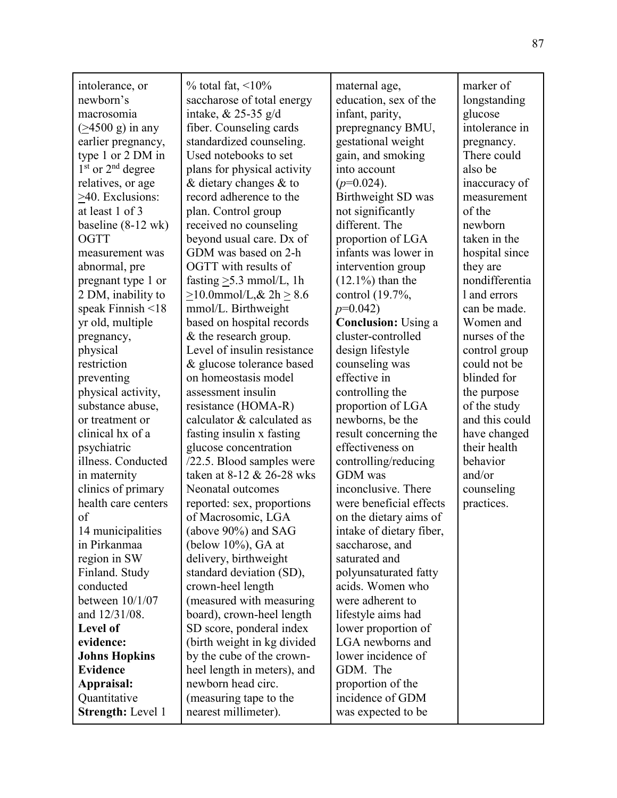| intolerance, or                   | $\%$ total fat, <10\%             | maternal age,              | marker of      |
|-----------------------------------|-----------------------------------|----------------------------|----------------|
| newborn's                         | saccharose of total energy        | education, sex of the      | longstanding   |
| macrosomia                        | intake, $& 25-35$ g/d             | infant, parity,            | glucose        |
| $(24500 \text{ g})$ in any        | fiber. Counseling cards           | prepregnancy BMU,          | intolerance in |
| earlier pregnancy,                | standardized counseling.          | gestational weight         | pregnancy.     |
| type 1 or 2 DM in                 | Used notebooks to set             | gain, and smoking          | There could    |
| $1st$ or $2nd$ degree             | plans for physical activity       | into account               | also be        |
| relatives, or age                 | $&$ dietary changes $&$ to        | $(p=0.024)$ .              | inaccuracy of  |
| >40. Exclusions:                  | record adherence to the           | Birthweight SD was         | measurement    |
| at least 1 of 3                   | plan. Control group               | not significantly          | of the         |
| baseline $(8-12 \text{ wk})$      | received no counseling            | different. The             | newborn        |
| <b>OGTT</b>                       | beyond usual care. Dx of          | proportion of LGA          | taken in the   |
| measurement was                   | GDM was based on 2-h              | infants was lower in       | hospital since |
| abnormal, pre                     | OGTT with results of              | intervention group         | they are       |
| pregnant type 1 or                | fasting $\geq$ 5.3 mmol/L, 1h     | $(12.1\%)$ than the        | nondifferentia |
| 2 DM, inability to                | $\geq$ 10.0mmol/L,& 2h $\geq$ 8.6 | control (19.7%,            | 1 and errors   |
| speak Finnish $<$ 18              | mmol/L. Birthweight               | $p=0.042$                  | can be made.   |
| yr old, multiple                  | based on hospital records         | <b>Conclusion:</b> Using a | Women and      |
| pregnancy,                        | & the research group.             | cluster-controlled         | nurses of the  |
| physical                          | Level of insulin resistance       | design lifestyle           | control group  |
| restriction                       | & glucose tolerance based         | counseling was             | could not be   |
| preventing                        | on homeostasis model              | effective in               | blinded for    |
| physical activity,                | assessment insulin                | controlling the            | the purpose    |
| substance abuse,                  | resistance (HOMA-R)               | proportion of LGA          | of the study   |
| or treatment or                   | calculator & calculated as        | newborns, be the           | and this could |
| clinical hx of a                  | fasting insulin x fasting         | result concerning the      | have changed   |
| psychiatric                       | glucose concentration             | effectiveness on           | their health   |
| illness. Conducted                | /22.5. Blood samples were         | controlling/reducing       | behavior       |
| in maternity                      | taken at 8-12 & 26-28 wks         | <b>GDM</b> was             | and/or         |
| clinics of primary                | Neonatal outcomes                 | inconclusive. There        | counseling     |
| health care centers               | reported: sex, proportions        | were beneficial effects    | practices.     |
| of                                | of Macrosomic, LGA                | on the dietary aims of     |                |
|                                   | (above 90%) and SAG               | intake of dietary fiber,   |                |
| 14 municipalities<br>in Pirkanmaa | (below $10\%$ ), GA at            |                            |                |
|                                   |                                   | saccharose, and            |                |
| region in SW                      | delivery, birthweight             | saturated and              |                |
| Finland. Study                    | standard deviation (SD),          | polyunsaturated fatty      |                |
| conducted                         | crown-heel length                 | acids. Women who           |                |
| between 10/1/07                   | (measured with measuring          | were adherent to           |                |
| and 12/31/08.                     | board), crown-heel length         | lifestyle aims had         |                |
| Level of                          | SD score, ponderal index          | lower proportion of        |                |
| evidence:                         | (birth weight in kg divided       | LGA newborns and           |                |
| <b>Johns Hopkins</b>              | by the cube of the crown-         | lower incidence of         |                |
| <b>Evidence</b>                   | heel length in meters), and       | GDM. The                   |                |
| Appraisal:                        | newborn head circ.                | proportion of the          |                |
| Quantitative                      | (measuring tape to the            | incidence of GDM           |                |
| <b>Strength: Level 1</b>          | nearest millimeter).              | was expected to be         |                |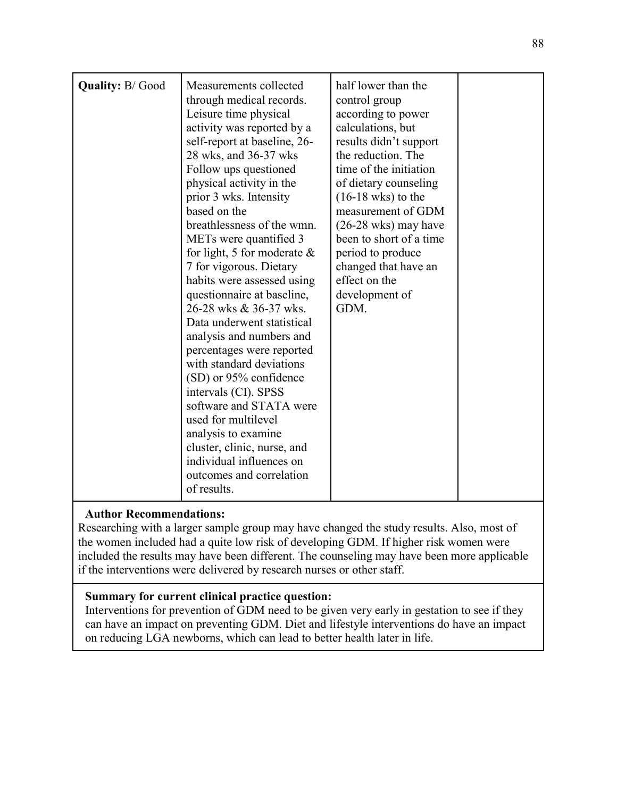|                        | Measurements collected         | half lower than the            |  |
|------------------------|--------------------------------|--------------------------------|--|
| <b>Quality: B/Good</b> | through medical records.       | control group                  |  |
|                        | Leisure time physical          | according to power             |  |
|                        | activity was reported by a     | calculations, but              |  |
|                        | self-report at baseline, 26-   | results didn't support         |  |
|                        | 28 wks, and 36-37 wks          | the reduction. The             |  |
|                        | Follow ups questioned          | time of the initiation         |  |
|                        | physical activity in the       | of dietary counseling          |  |
|                        | prior 3 wks. Intensity         | $(16-18 \text{ wks})$ to the   |  |
|                        | based on the                   | measurement of GDM             |  |
|                        | breathlessness of the wmn.     | $(26-28 \text{ wks})$ may have |  |
|                        | METs were quantified 3         | been to short of a time        |  |
|                        | for light, 5 for moderate $\&$ | period to produce              |  |
|                        | 7 for vigorous. Dietary        | changed that have an           |  |
|                        | habits were assessed using     | effect on the                  |  |
|                        | questionnaire at baseline,     | development of                 |  |
|                        | 26-28 wks & 36-37 wks.         | GDM.                           |  |
|                        | Data underwent statistical     |                                |  |
|                        | analysis and numbers and       |                                |  |
|                        | percentages were reported      |                                |  |
|                        | with standard deviations       |                                |  |
|                        | (SD) or 95% confidence         |                                |  |
|                        | intervals (CI). SPSS           |                                |  |
|                        | software and STATA were        |                                |  |
|                        | used for multilevel            |                                |  |
|                        | analysis to examine            |                                |  |
|                        | cluster, clinic, nurse, and    |                                |  |
|                        | individual influences on       |                                |  |
|                        | outcomes and correlation       |                                |  |
|                        | of results.                    |                                |  |

Researching with a larger sample group may have changed the study results. Also, most of the women included had a quite low risk of developing GDM. If higher risk women were included the results may have been different. The counseling may have been more applicable if the interventions were delivered by research nurses or other staff.

### **Summary for current clinical practice question:**

Interventions for prevention of GDM need to be given very early in gestation to see if they can have an impact on preventing GDM. Diet and lifestyle interventions do have an impact on reducing LGA newborns, which can lead to better health later in life.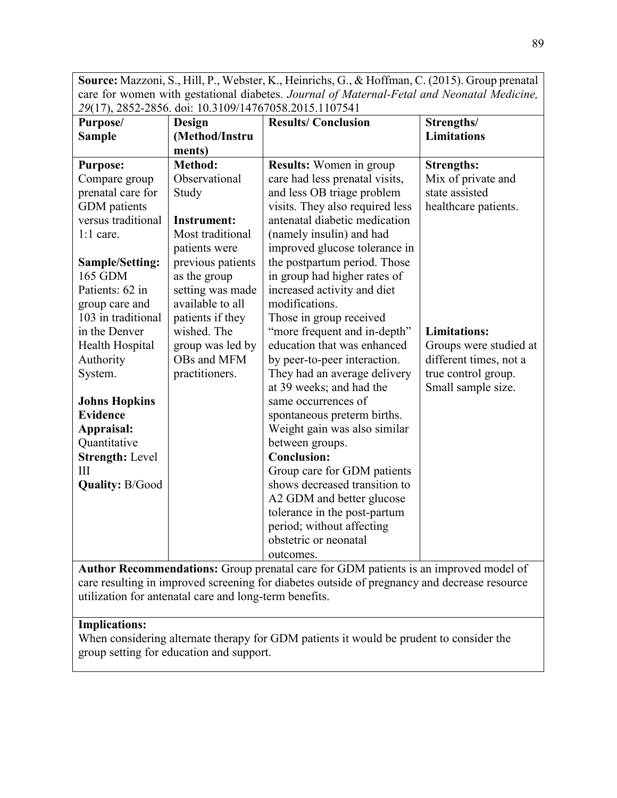**Source:** Mazzoni, S., Hill, P., Webster, K., Heinrichs, G., & Hoffman, C. (2015). Group prenatal care for women with gestational diabetes. *Journal of Maternal-Fetal and Neonatal Medicine, 29*(17), 2852-2856. doi: 10.3109/14767058.2015.1107541

| $=$ $($ $+$ $)$ $,$ $=$ $00 =$ $=$ $000$ $0$ $.$<br>Purpose/ | <b>Design</b>      | <b>Results/Conclusion</b>                                                            | Strengths/             |
|--------------------------------------------------------------|--------------------|--------------------------------------------------------------------------------------|------------------------|
| <b>Sample</b>                                                | (Method/Instru     |                                                                                      | <b>Limitations</b>     |
|                                                              | ments)             |                                                                                      |                        |
| <b>Purpose:</b>                                              | Method:            | <b>Results:</b> Women in group                                                       | <b>Strengths:</b>      |
| Compare group                                                | Observational      | care had less prenatal visits,                                                       | Mix of private and     |
| prenatal care for                                            | Study              | and less OB triage problem                                                           | state assisted         |
| <b>GDM</b> patients                                          |                    | visits. They also required less                                                      | healthcare patients.   |
| versus traditional                                           | <b>Instrument:</b> | antenatal diabetic medication                                                        |                        |
| $1:1$ care.                                                  | Most traditional   | (namely insulin) and had                                                             |                        |
|                                                              | patients were      | improved glucose tolerance in                                                        |                        |
| <b>Sample/Setting:</b>                                       | previous patients  | the postpartum period. Those                                                         |                        |
| 165 GDM                                                      | as the group       | in group had higher rates of                                                         |                        |
| Patients: 62 in                                              | setting was made   | increased activity and diet                                                          |                        |
| group care and                                               | available to all   | modifications.                                                                       |                        |
| 103 in traditional                                           | patients if they   | Those in group received                                                              |                        |
| in the Denver                                                | wished. The        | "more frequent and in-depth"                                                         | <b>Limitations:</b>    |
| Health Hospital                                              | group was led by   | education that was enhanced                                                          | Groups were studied at |
| Authority                                                    | OBs and MFM        | by peer-to-peer interaction.                                                         | different times, not a |
| System.                                                      | practitioners.     | They had an average delivery                                                         | true control group.    |
|                                                              |                    | at 39 weeks; and had the                                                             | Small sample size.     |
| <b>Johns Hopkins</b>                                         |                    | same occurrences of                                                                  |                        |
| <b>Evidence</b>                                              |                    | spontaneous preterm births.                                                          |                        |
| Appraisal:                                                   |                    | Weight gain was also similar                                                         |                        |
| Quantitative                                                 |                    | between groups.                                                                      |                        |
| <b>Strength: Level</b>                                       |                    | <b>Conclusion:</b>                                                                   |                        |
| $\mathbf{III}$                                               |                    | Group care for GDM patients                                                          |                        |
| <b>Quality: B/Good</b>                                       |                    | shows decreased transition to                                                        |                        |
|                                                              |                    | A2 GDM and better glucose                                                            |                        |
|                                                              |                    | tolerance in the post-partum                                                         |                        |
|                                                              |                    | period; without affecting                                                            |                        |
|                                                              |                    | obstetric or neonatal                                                                |                        |
|                                                              |                    | outcomes.                                                                            |                        |
|                                                              |                    | Author Pecommondations: Group prepared care for GDM patients is an improved model of |                        |

**Author Recommendations:** Group prenatal care for GDM patients is an improved model of care resulting in improved screening for diabetes outside of pregnancy and decrease resource utilization for antenatal care and long-term benefits.

#### **Implications:**

When considering alternate therapy for GDM patients it would be prudent to consider the group setting for education and support.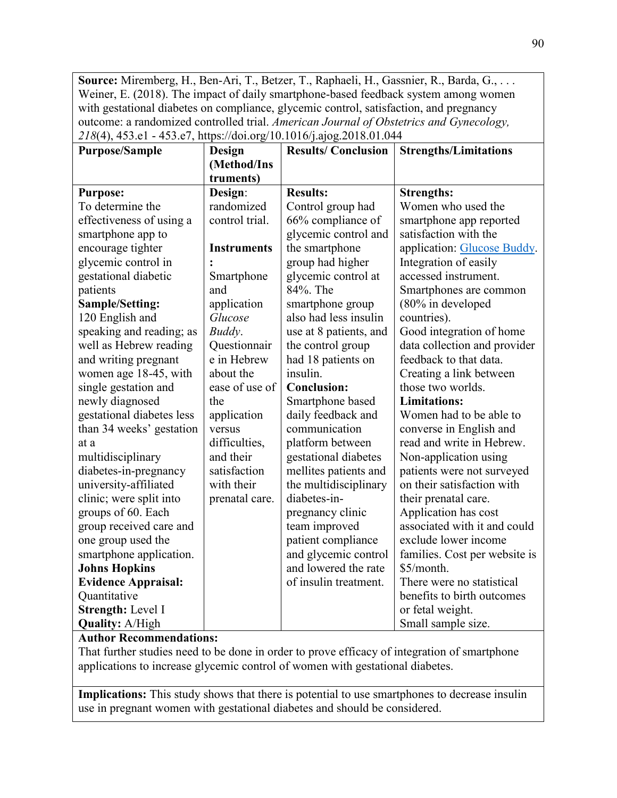**Source:** Miremberg, H., Ben-Ari, T., Betzer, T., Raphaeli, H., Gassnier, R., Barda, G., . . . Weiner, E. (2018). The impact of daily smartphone-based feedback system among women with gestational diabetes on compliance, glycemic control, satisfaction, and pregnancy outcome: a randomized controlled trial. *American Journal of Obstetrics and Gynecology, 218*(4), 453.e1 - 453.e7, https://doi.org/10.1016/j.ajog.2018.01.044

| <b>Purpose/Sample</b>      | <b>Design</b>      | <b>Results/Conclusion</b> | <b>Strengths/Limitations</b>  |
|----------------------------|--------------------|---------------------------|-------------------------------|
|                            | (Method/Ins        |                           |                               |
|                            | truments)          |                           |                               |
| <b>Purpose:</b>            | Design:            | <b>Results:</b>           | <b>Strengths:</b>             |
| To determine the           | randomized         | Control group had         | Women who used the            |
| effectiveness of using a   | control trial.     | 66% compliance of         | smartphone app reported       |
| smartphone app to          |                    | glycemic control and      | satisfaction with the         |
| encourage tighter          | <b>Instruments</b> | the smartphone            | application: Glucose Buddy.   |
| glycemic control in        |                    | group had higher          | Integration of easily         |
| gestational diabetic       | Smartphone         | glycemic control at       | accessed instrument.          |
| patients                   | and                | 84%. The                  | Smartphones are common        |
| Sample/Setting:            | application        | smartphone group          | (80% in developed             |
| 120 English and            | Glucose            | also had less insulin     | countries).                   |
| speaking and reading; as   | Buddy.             | use at 8 patients, and    | Good integration of home      |
| well as Hebrew reading     | Questionnair       | the control group         | data collection and provider  |
| and writing pregnant       | e in Hebrew        | had 18 patients on        | feedback to that data.        |
| women age 18-45, with      | about the          | insulin.                  | Creating a link between       |
| single gestation and       | ease of use of     | <b>Conclusion:</b>        | those two worlds.             |
| newly diagnosed            | the                | Smartphone based          | <b>Limitations:</b>           |
| gestational diabetes less  | application        | daily feedback and        | Women had to be able to       |
| than 34 weeks' gestation   | versus             | communication             | converse in English and       |
| at a                       | difficulties,      | platform between          | read and write in Hebrew.     |
| multidisciplinary          | and their          | gestational diabetes      | Non-application using         |
| diabetes-in-pregnancy      | satisfaction       | mellites patients and     | patients were not surveyed    |
| university-affiliated      | with their         | the multidisciplinary     | on their satisfaction with    |
| clinic; were split into    | prenatal care.     | diabetes-in-              | their prenatal care.          |
| groups of 60. Each         |                    | pregnancy clinic          | Application has cost          |
| group received care and    |                    | team improved             | associated with it and could  |
| one group used the         |                    | patient compliance        | exclude lower income          |
| smartphone application.    |                    | and glycemic control      | families. Cost per website is |
| <b>Johns Hopkins</b>       |                    | and lowered the rate      | \$5/month.                    |
| <b>Evidence Appraisal:</b> |                    | of insulin treatment.     | There were no statistical     |
| Quantitative               |                    |                           | benefits to birth outcomes    |
| Strength: Level I          |                    |                           | or fetal weight.              |
| <b>Quality: A/High</b>     |                    |                           | Small sample size.            |

#### **Author Recommendations:**

That further studies need to be done in order to prove efficacy of integration of smartphone applications to increase glycemic control of women with gestational diabetes.

**Implications:** This study shows that there is potential to use smartphones to decrease insulin use in pregnant women with gestational diabetes and should be considered.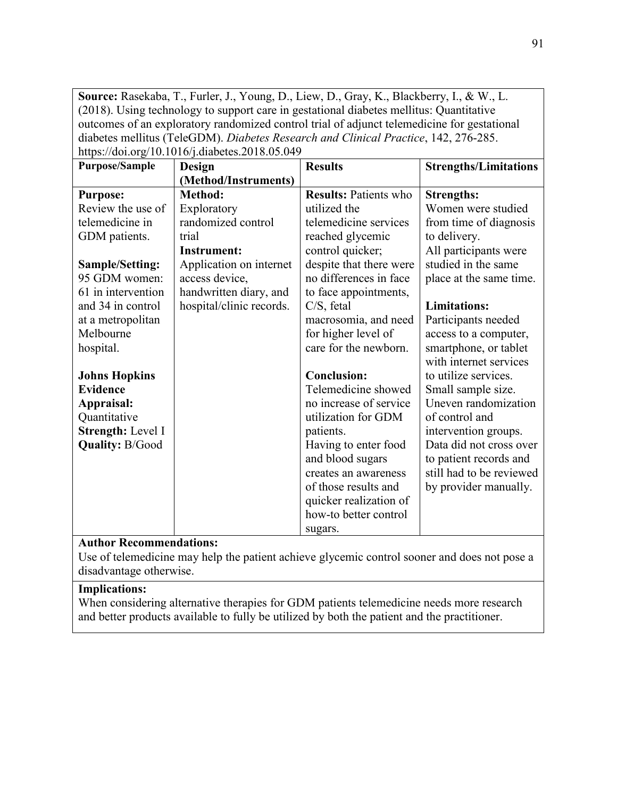**Source:** Rasekaba, T., Furler, J., Young, D., Liew, D., Gray, K., Blackberry, I., & W., L. (2018). Using technology to support care in gestational diabetes mellitus: Quantitative outcomes of an exploratory randomized control trial of adjunct telemedicine for gestational diabetes mellitus (TeleGDM). *Diabetes Research and Clinical Practice*, 142, 276-285. https://doi.org/10.1016/j.diabetes.2018.05.049

| <b>Purpose/Sample</b>  | Design                   | <b>Results</b>               | <b>Strengths/Limitations</b> |
|------------------------|--------------------------|------------------------------|------------------------------|
|                        | (Method/Instruments)     |                              |                              |
| <b>Purpose:</b>        | Method:                  | <b>Results: Patients who</b> | <b>Strengths:</b>            |
| Review the use of      | Exploratory              | utilized the                 | Women were studied           |
| telemedicine in        | randomized control       | telemedicine services        | from time of diagnosis       |
| GDM patients.          | trial                    | reached glycemic             | to delivery.                 |
|                        | <b>Instrument:</b>       | control quicker;             | All participants were        |
| Sample/Setting:        | Application on internet  | despite that there were      | studied in the same          |
| 95 GDM women:          | access device,           | no differences in face       | place at the same time.      |
| 61 in intervention     | handwritten diary, and   | to face appointments,        |                              |
| and 34 in control      | hospital/clinic records. | $C/S$ , fetal                | <b>Limitations:</b>          |
| at a metropolitan      |                          | macrosomia, and need         | Participants needed          |
| Melbourne              |                          | for higher level of          | access to a computer,        |
| hospital.              |                          | care for the newborn.        | smartphone, or tablet        |
|                        |                          |                              | with internet services       |
| <b>Johns Hopkins</b>   |                          | <b>Conclusion:</b>           | to utilize services.         |
| <b>Evidence</b>        |                          | Telemedicine showed          | Small sample size.           |
| Appraisal:             |                          | no increase of service       | Uneven randomization         |
| Quantitative           |                          | utilization for GDM          | of control and               |
| Strength: Level I      |                          | patients.                    | intervention groups.         |
| <b>Quality: B/Good</b> |                          | Having to enter food         | Data did not cross over      |
|                        |                          | and blood sugars             | to patient records and       |
|                        |                          | creates an awareness         | still had to be reviewed     |
|                        |                          | of those results and         | by provider manually.        |
|                        |                          | quicker realization of       |                              |
|                        |                          | how-to better control        |                              |
|                        |                          | sugars.                      |                              |

#### **Author Recommendations:**

Use of telemedicine may help the patient achieve glycemic control sooner and does not pose a disadvantage otherwise.

#### **Implications:**

When considering alternative therapies for GDM patients telemedicine needs more research and better products available to fully be utilized by both the patient and the practitioner.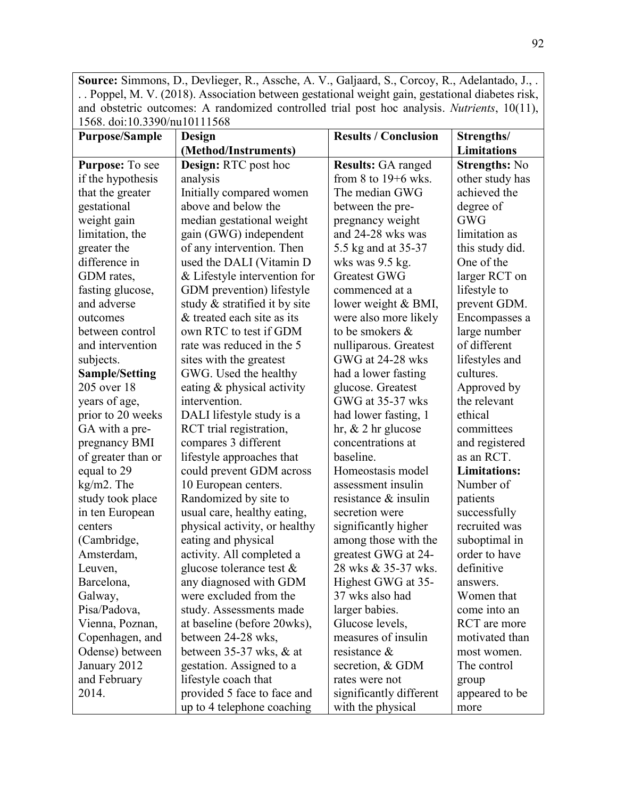**Source:** Simmons, D., Devlieger, R., Assche, A. V., Galjaard, S., Corcoy, R., Adelantado, J., . . . Poppel, M. V. (2018). Association between gestational weight gain, gestational diabetes risk, and obstetric outcomes: A randomized controlled trial post hoc analysis. *Nutrients*, 10(11), 1568. doi:10.3390/nu10111568

| 1900. Q01.10.9999/HQ10111900 |                               |                             |                      |
|------------------------------|-------------------------------|-----------------------------|----------------------|
| <b>Purpose/Sample</b>        | Design                        | <b>Results / Conclusion</b> | Strengths/           |
|                              | (Method/Instruments)          |                             | <b>Limitations</b>   |
| Purpose: To see              | Design: RTC post hoc          | <b>Results: GA ranged</b>   | <b>Strengths: No</b> |
| if the hypothesis            | analysis                      | from 8 to $19+6$ wks.       | other study has      |
| that the greater             | Initially compared women      | The median GWG              | achieved the         |
| gestational                  | above and below the           | between the pre-            | degree of            |
| weight gain                  | median gestational weight     | pregnancy weight            | <b>GWG</b>           |
| limitation, the              | gain (GWG) independent        | and 24-28 wks was           | limitation as        |
| greater the                  | of any intervention. Then     | 5.5 kg and at 35-37         | this study did.      |
| difference in                | used the DALI (Vitamin D      | wks was 9.5 kg.             | One of the           |
| GDM rates,                   | & Lifestyle intervention for  | <b>Greatest GWG</b>         | larger RCT on        |
| fasting glucose,             | GDM prevention) lifestyle     | commenced at a              | lifestyle to         |
| and adverse                  | study & stratified it by site | lower weight & BMI,         | prevent GDM.         |
| outcomes                     | & treated each site as its    | were also more likely       | Encompasses a        |
| between control              | own RTC to test if GDM        | to be smokers &             | large number         |
| and intervention             | rate was reduced in the 5     | nulliparous. Greatest       | of different         |
| subjects.                    | sites with the greatest       | GWG at 24-28 wks            | lifestyles and       |
| <b>Sample/Setting</b>        | GWG. Used the healthy         | had a lower fasting         | cultures.            |
| 205 over 18                  | eating & physical activity    | glucose. Greatest           | Approved by          |
| years of age,                | intervention.                 | GWG at 35-37 wks            | the relevant         |
| prior to 20 weeks            | DALI lifestyle study is a     | had lower fasting, 1        | ethical              |
| GA with a pre-               | RCT trial registration,       | hr, $& 2$ hr glucose        | committees           |
| pregnancy BMI                | compares 3 different          | concentrations at           | and registered       |
| of greater than or           | lifestyle approaches that     | baseline.                   | as an RCT.           |
| equal to 29                  | could prevent GDM across      | Homeostasis model           | <b>Limitations:</b>  |
| kg/m2. The                   | 10 European centers.          | assessment insulin          | Number of            |
| study took place             | Randomized by site to         | resistance & insulin        | patients             |
| in ten European              | usual care, healthy eating,   | secretion were              | successfully         |
| centers                      | physical activity, or healthy | significantly higher        | recruited was        |
| (Cambridge,                  | eating and physical           | among those with the        | suboptimal in        |
| Amsterdam,                   | activity. All completed a     | greatest GWG at 24-         | order to have        |
| Leuven,                      | glucose tolerance test $\&$   | 28 wks & 35-37 wks.         | definitive           |
| Barcelona,                   | any diagnosed with GDM        | Highest GWG at 35-          | answers.             |
| Galway,                      | were excluded from the        | 37 wks also had             | Women that           |
| Pisa/Padova,                 | study. Assessments made       | larger babies.              | come into an         |
| Vienna, Poznan,              | at baseline (before 20wks),   | Glucose levels,             | RCT are more         |
| Copenhagen, and              | between 24-28 wks,            | measures of insulin         | motivated than       |
| Odense) between              | between $35-37$ wks, $\&$ at  | resistance $\&$             | most women.          |
| January 2012                 | gestation. Assigned to a      | secretion, & GDM            | The control          |
| and February                 | lifestyle coach that          | rates were not              | group                |
| 2014.                        | provided 5 face to face and   | significantly different     | appeared to be       |
|                              | up to 4 telephone coaching    | with the physical           | more                 |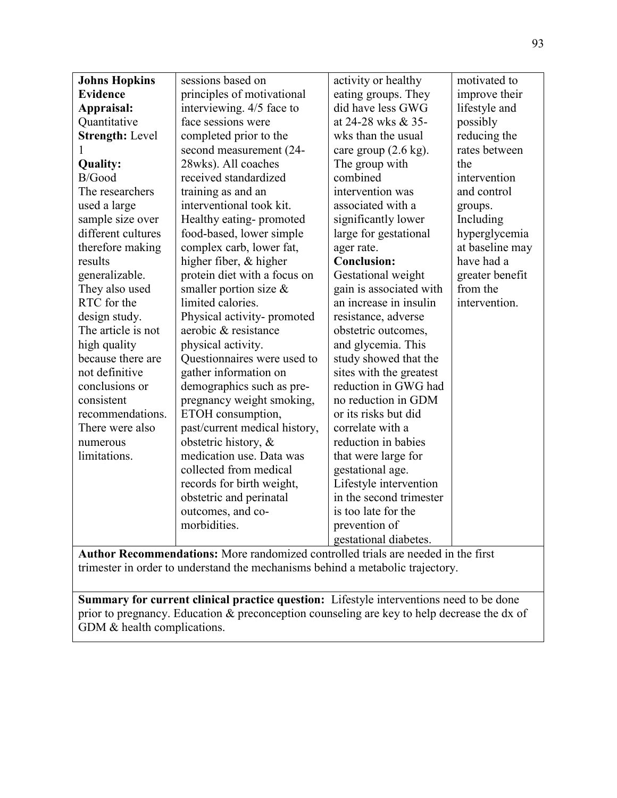| <b>Johns Hopkins</b>   | sessions based on             | activity or healthy             | motivated to    |
|------------------------|-------------------------------|---------------------------------|-----------------|
|                        |                               |                                 |                 |
| <b>Evidence</b>        | principles of motivational    | eating groups. They             | improve their   |
| Appraisal:             | interviewing. 4/5 face to     | did have less GWG               | lifestyle and   |
| Quantitative           | face sessions were            | at 24-28 wks & 35-              | possibly        |
| <b>Strength: Level</b> | completed prior to the        | wks than the usual              | reducing the    |
|                        | second measurement (24-       | care group $(2.6 \text{ kg})$ . | rates between   |
| Quality:               | 28wks). All coaches           | The group with                  | the             |
| B/Good                 | received standardized         | combined                        | intervention    |
| The researchers        | training as and an            | intervention was                | and control     |
| used a large           | interventional took kit.      | associated with a               | groups.         |
| sample size over       | Healthy eating-promoted       | significantly lower             | Including       |
| different cultures     | food-based, lower simple      | large for gestational           | hyperglycemia   |
| therefore making       | complex carb, lower fat,      | ager rate.                      | at baseline may |
| results                | higher fiber, & higher        | <b>Conclusion:</b>              | have had a      |
| generalizable.         | protein diet with a focus on  | Gestational weight              | greater benefit |
| They also used         | smaller portion size $\&$     | gain is associated with         | from the        |
| RTC for the            | limited calories.             | an increase in insulin          | intervention.   |
| design study.          | Physical activity-promoted    | resistance, adverse             |                 |
| The article is not     | aerobic & resistance          | obstetric outcomes,             |                 |
| high quality           | physical activity.            | and glycemia. This              |                 |
| because there are      | Questionnaires were used to   | study showed that the           |                 |
| not definitive         | gather information on         | sites with the greatest         |                 |
| conclusions or         | demographics such as pre-     | reduction in GWG had            |                 |
| consistent             | pregnancy weight smoking,     | no reduction in GDM             |                 |
| recommendations.       | ETOH consumption,             | or its risks but did            |                 |
| There were also        | past/current medical history, | correlate with a                |                 |
| numerous               | obstetric history, &          | reduction in babies             |                 |
| limitations.           | medication use. Data was      | that were large for             |                 |
|                        | collected from medical        | gestational age.                |                 |
|                        | records for birth weight,     | Lifestyle intervention          |                 |
|                        | obstetric and perinatal       | in the second trimester         |                 |
|                        | outcomes, and co-             | is too late for the             |                 |
|                        | morbidities.                  | prevention of                   |                 |
|                        |                               | gestational diabetes.           |                 |

**Author Recommendations:** More randomized controlled trials are needed in the first trimester in order to understand the mechanisms behind a metabolic trajectory.

**Summary for current clinical practice question:** Lifestyle interventions need to be done prior to pregnancy. Education & preconception counseling are key to help decrease the dx of GDM & health complications.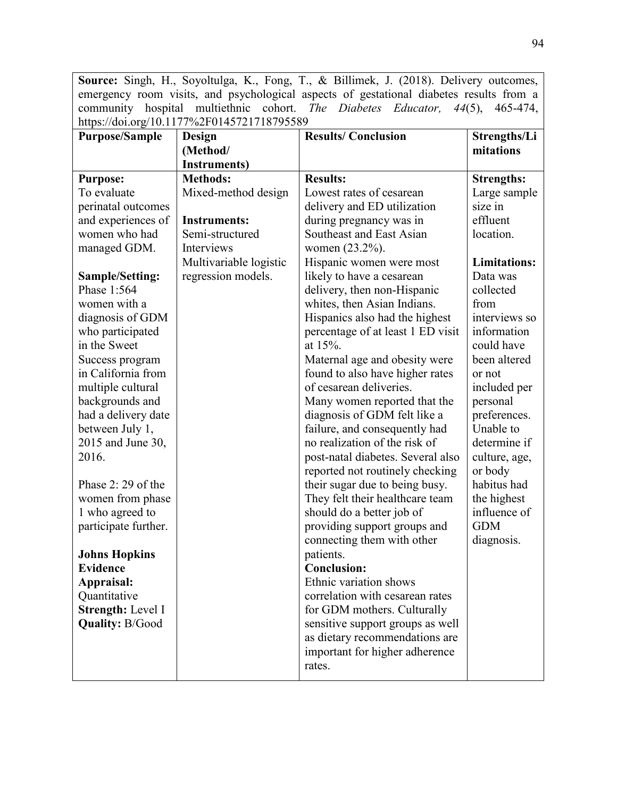**Source:** Singh, H., Soyoltulga, K., Fong, T., & Billimek, J. (2018). Delivery outcomes, emergency room visits, and psychological aspects of gestational diabetes results from a community hospital multiethnic cohort. *The Diabetes Educator, 44*(5), 465-474, https://doi.org/10.1177%2F0145721718795589

| <b>Purpose/Sample</b>  | <b>Design</b>          | <b>Results/Conclusion</b>         | Strengths/Li        |
|------------------------|------------------------|-----------------------------------|---------------------|
|                        | (Method/               |                                   | mitations           |
|                        | <b>Instruments)</b>    |                                   |                     |
| <b>Purpose:</b>        | <b>Methods:</b>        | <b>Results:</b>                   | <b>Strengths:</b>   |
| To evaluate            | Mixed-method design    | Lowest rates of cesarean          | Large sample        |
| perinatal outcomes     |                        | delivery and ED utilization       | size in             |
| and experiences of     | <b>Instruments:</b>    | during pregnancy was in           | effluent            |
| women who had          | Semi-structured        | Southeast and East Asian          | location.           |
| managed GDM.           | Interviews             | women (23.2%).                    |                     |
|                        | Multivariable logistic | Hispanic women were most          | <b>Limitations:</b> |
| <b>Sample/Setting:</b> | regression models.     | likely to have a cesarean         | Data was            |
| Phase 1:564            |                        | delivery, then non-Hispanic       | collected           |
| women with a           |                        | whites, then Asian Indians.       | from                |
| diagnosis of GDM       |                        | Hispanics also had the highest    | interviews so       |
| who participated       |                        | percentage of at least 1 ED visit | information         |
| in the Sweet           |                        | at $15%$ .                        | could have          |
| Success program        |                        | Maternal age and obesity were     | been altered        |
| in California from     |                        | found to also have higher rates   | or not              |
| multiple cultural      |                        | of cesarean deliveries.           | included per        |
| backgrounds and        |                        | Many women reported that the      | personal            |
| had a delivery date    |                        | diagnosis of GDM felt like a      | preferences.        |
| between July 1,        |                        | failure, and consequently had     | Unable to           |
| 2015 and June 30,      |                        | no realization of the risk of     | determine if        |
| 2016.                  |                        | post-natal diabetes. Several also | culture, age,       |
|                        |                        | reported not routinely checking   | or body             |
| Phase $2:29$ of the    |                        | their sugar due to being busy.    | habitus had         |
| women from phase       |                        | They felt their healthcare team   | the highest         |
| 1 who agreed to        |                        | should do a better job of         | influence of        |
| participate further.   |                        | providing support groups and      | <b>GDM</b>          |
|                        |                        | connecting them with other        | diagnosis.          |
| <b>Johns Hopkins</b>   |                        | patients.                         |                     |
| <b>Evidence</b>        |                        | <b>Conclusion:</b>                |                     |
| Appraisal:             |                        | Ethnic variation shows            |                     |
| Quantitative           |                        | correlation with cesarean rates   |                     |
| Strength: Level I      |                        | for GDM mothers. Culturally       |                     |
| <b>Quality: B/Good</b> |                        | sensitive support groups as well  |                     |
|                        |                        | as dietary recommendations are    |                     |
|                        |                        | important for higher adherence    |                     |
|                        |                        | rates.                            |                     |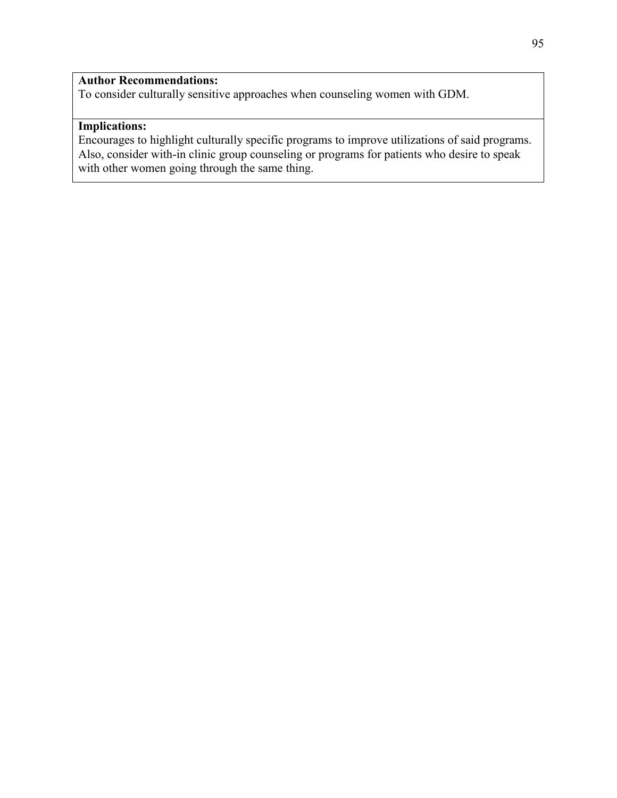To consider culturally sensitive approaches when counseling women with GDM.

# **Implications:**

Encourages to highlight culturally specific programs to improve utilizations of said programs. Also, consider with-in clinic group counseling or programs for patients who desire to speak with other women going through the same thing.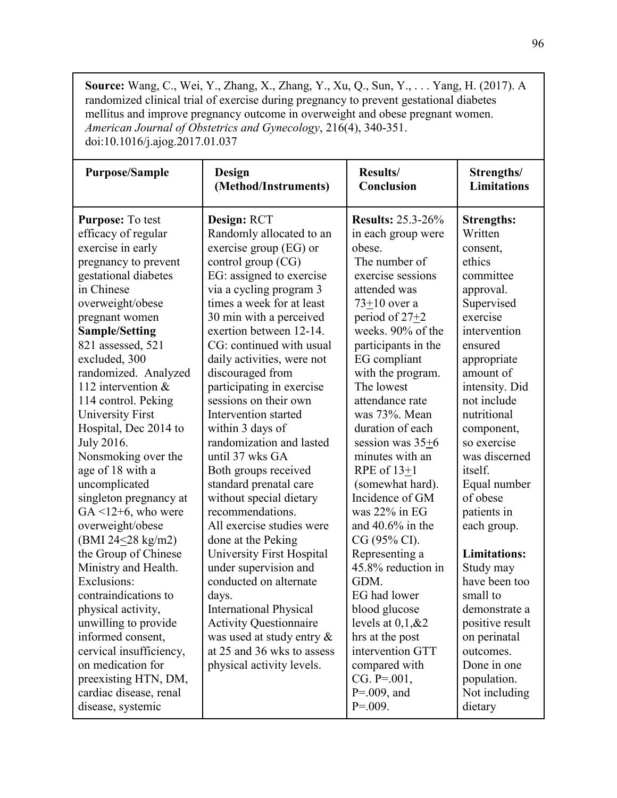**Source:** Wang, C., Wei, Y., Zhang, X., Zhang, Y., Xu, Q., Sun, Y., . . . Yang, H. (2017). A randomized clinical trial of exercise during pregnancy to prevent gestational diabetes mellitus and improve pregnancy outcome in overweight and obese pregnant women. *American Journal of Obstetrics and Gynecology*, 216(4), 340-351. doi:10.1016/j.ajog.2017.01.037

| <b>Purpose/Sample</b>                                                                                                                                                                                                                                                                                    | <b>Design</b>                                                                                                                                                                                                                                                            | Results/                                                                                                                                                                                                                               | Strengths/                                                                                                                                                                               |
|----------------------------------------------------------------------------------------------------------------------------------------------------------------------------------------------------------------------------------------------------------------------------------------------------------|--------------------------------------------------------------------------------------------------------------------------------------------------------------------------------------------------------------------------------------------------------------------------|----------------------------------------------------------------------------------------------------------------------------------------------------------------------------------------------------------------------------------------|------------------------------------------------------------------------------------------------------------------------------------------------------------------------------------------|
|                                                                                                                                                                                                                                                                                                          | (Method/Instruments)                                                                                                                                                                                                                                                     | Conclusion                                                                                                                                                                                                                             | <b>Limitations</b>                                                                                                                                                                       |
| <b>Purpose:</b> To test                                                                                                                                                                                                                                                                                  | Design: RCT                                                                                                                                                                                                                                                              | <b>Results: 25.3-26%</b>                                                                                                                                                                                                               | <b>Strengths:</b>                                                                                                                                                                        |
| efficacy of regular                                                                                                                                                                                                                                                                                      | Randomly allocated to an                                                                                                                                                                                                                                                 | in each group were                                                                                                                                                                                                                     | Written                                                                                                                                                                                  |
| exercise in early                                                                                                                                                                                                                                                                                        | exercise group (EG) or                                                                                                                                                                                                                                                   | obese.                                                                                                                                                                                                                                 | consent,                                                                                                                                                                                 |
| pregnancy to prevent                                                                                                                                                                                                                                                                                     | control group (CG)                                                                                                                                                                                                                                                       | The number of                                                                                                                                                                                                                          | ethics                                                                                                                                                                                   |
| gestational diabetes                                                                                                                                                                                                                                                                                     | EG: assigned to exercise                                                                                                                                                                                                                                                 | exercise sessions                                                                                                                                                                                                                      | committee                                                                                                                                                                                |
| in Chinese                                                                                                                                                                                                                                                                                               | via a cycling program 3                                                                                                                                                                                                                                                  | attended was                                                                                                                                                                                                                           | approval.                                                                                                                                                                                |
| overweight/obese                                                                                                                                                                                                                                                                                         | times a week for at least                                                                                                                                                                                                                                                | $73+10$ over a                                                                                                                                                                                                                         | Supervised                                                                                                                                                                               |
| pregnant women                                                                                                                                                                                                                                                                                           | 30 min with a perceived                                                                                                                                                                                                                                                  | period of $27+2$                                                                                                                                                                                                                       | exercise                                                                                                                                                                                 |
| <b>Sample/Setting</b>                                                                                                                                                                                                                                                                                    | exertion between 12-14.                                                                                                                                                                                                                                                  | weeks. 90% of the                                                                                                                                                                                                                      | intervention                                                                                                                                                                             |
| 821 assessed, 521                                                                                                                                                                                                                                                                                        | CG: continued with usual                                                                                                                                                                                                                                                 | participants in the                                                                                                                                                                                                                    | ensured                                                                                                                                                                                  |
| excluded, 300                                                                                                                                                                                                                                                                                            | daily activities, were not                                                                                                                                                                                                                                               | EG compliant                                                                                                                                                                                                                           | appropriate                                                                                                                                                                              |
| randomized. Analyzed                                                                                                                                                                                                                                                                                     | discouraged from                                                                                                                                                                                                                                                         | with the program.                                                                                                                                                                                                                      | amount of                                                                                                                                                                                |
| 112 intervention $\&$                                                                                                                                                                                                                                                                                    | participating in exercise                                                                                                                                                                                                                                                | The lowest                                                                                                                                                                                                                             | intensity. Did                                                                                                                                                                           |
| 114 control. Peking                                                                                                                                                                                                                                                                                      | sessions on their own                                                                                                                                                                                                                                                    | attendance rate                                                                                                                                                                                                                        | not include                                                                                                                                                                              |
| <b>University First</b>                                                                                                                                                                                                                                                                                  | Intervention started                                                                                                                                                                                                                                                     | was 73%. Mean                                                                                                                                                                                                                          | nutritional                                                                                                                                                                              |
| Hospital, Dec 2014 to                                                                                                                                                                                                                                                                                    | within 3 days of                                                                                                                                                                                                                                                         | duration of each                                                                                                                                                                                                                       | component,                                                                                                                                                                               |
| July 2016.                                                                                                                                                                                                                                                                                               | randomization and lasted                                                                                                                                                                                                                                                 | session was 35+6                                                                                                                                                                                                                       | so exercise                                                                                                                                                                              |
| Nonsmoking over the                                                                                                                                                                                                                                                                                      | until 37 wks GA                                                                                                                                                                                                                                                          | minutes with an                                                                                                                                                                                                                        | was discerned                                                                                                                                                                            |
| age of 18 with a                                                                                                                                                                                                                                                                                         | Both groups received                                                                                                                                                                                                                                                     | RPE of $13+1$                                                                                                                                                                                                                          | itself.                                                                                                                                                                                  |
| uncomplicated                                                                                                                                                                                                                                                                                            | standard prenatal care                                                                                                                                                                                                                                                   | (somewhat hard).                                                                                                                                                                                                                       | Equal number                                                                                                                                                                             |
| singleton pregnancy at                                                                                                                                                                                                                                                                                   | without special dietary                                                                                                                                                                                                                                                  | Incidence of GM                                                                                                                                                                                                                        | of obese                                                                                                                                                                                 |
| $GA < 12+6$ , who were                                                                                                                                                                                                                                                                                   | recommendations.                                                                                                                                                                                                                                                         | was $22\%$ in EG                                                                                                                                                                                                                       | patients in                                                                                                                                                                              |
| overweight/obese                                                                                                                                                                                                                                                                                         | All exercise studies were                                                                                                                                                                                                                                                | and $40.6\%$ in the                                                                                                                                                                                                                    | each group.                                                                                                                                                                              |
| (BMI $24 \le 28$ kg/m2)<br>the Group of Chinese<br>Ministry and Health.<br>Exclusions:<br>contraindications to<br>physical activity,<br>unwilling to provide<br>informed consent,<br>cervical insufficiency,<br>on medication for<br>preexisting HTN, DM,<br>cardiac disease, renal<br>disease, systemic | done at the Peking<br>University First Hospital<br>under supervision and<br>conducted on alternate<br>days.<br><b>International Physical</b><br><b>Activity Questionnaire</b><br>was used at study entry $\&$<br>at 25 and 36 wks to assess<br>physical activity levels. | CG (95% CI).<br>Representing a<br>45.8% reduction in<br>GDM.<br>EG had lower<br>blood glucose<br>levels at $0,1,\& 2$<br>hrs at the post<br>intervention GTT<br>compared with<br>$CG. P = 001$ ,<br>$P = 0.009$ , and<br>$P = 0.009$ . | <b>Limitations:</b><br>Study may<br>have been too<br>small to<br>demonstrate a<br>positive result<br>on perinatal<br>outcomes.<br>Done in one<br>population.<br>Not including<br>dietary |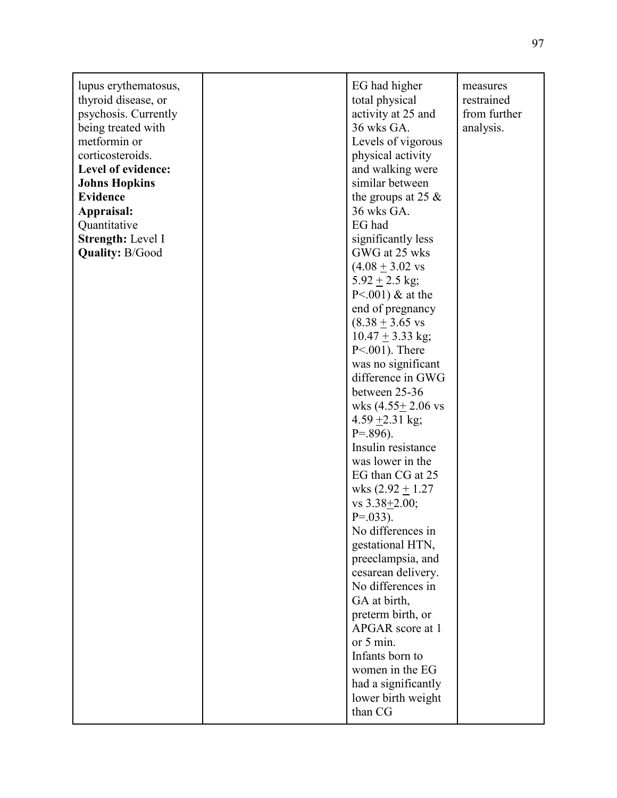| lupus erythematosus,<br>thyroid disease, or<br>psychosis. Currently<br>being treated with<br>metformin or<br>corticosteroids.<br>Level of evidence:<br><b>Johns Hopkins</b><br><b>Evidence</b><br>Appraisal:<br>Quantitative<br>Strength: Level I<br><b>Quality: B/Good</b> | EG had higher<br>total physical<br>activity at 25 and<br>36 wks GA.<br>Levels of vigorous<br>physical activity<br>and walking were<br>similar between<br>the groups at 25 $\&$<br>36 wks GA.<br>EG had<br>significantly less<br>GWG at 25 wks<br>$(4.08 \pm 3.02 \text{ vs }$<br>$5.92 \pm 2.5$ kg;<br>$P < .001$ ) & at the<br>end of pregnancy<br>$(8.38 + 3.65$ vs<br>$10.47 + 3.33$ kg;<br>$P<.001$ ). There<br>was no significant<br>difference in GWG<br>between 25-36<br>wks $(4.55 \pm 2.06 \text{ vs }$<br>4.59 $\pm$ 2.31 kg;<br>$P = .896$ ).<br>Insulin resistance<br>was lower in the<br>EG than CG at 25<br>wks $(2.92 \pm 1.27)$<br>vs $3.38 \pm 2.00$ ;<br>$P = .033$ ).<br>No differences in<br>gestational HTN,<br>preeclampsia, and<br>cesarean delivery.<br>No differences in<br>GA at birth,<br>preterm birth, or | measures<br>restrained<br>from further<br>analysis. |
|-----------------------------------------------------------------------------------------------------------------------------------------------------------------------------------------------------------------------------------------------------------------------------|----------------------------------------------------------------------------------------------------------------------------------------------------------------------------------------------------------------------------------------------------------------------------------------------------------------------------------------------------------------------------------------------------------------------------------------------------------------------------------------------------------------------------------------------------------------------------------------------------------------------------------------------------------------------------------------------------------------------------------------------------------------------------------------------------------------------------------------|-----------------------------------------------------|
|                                                                                                                                                                                                                                                                             | APGAR score at 1<br>or 5 min.<br>Infants born to<br>women in the EG<br>had a significantly<br>lower birth weight<br>than CG                                                                                                                                                                                                                                                                                                                                                                                                                                                                                                                                                                                                                                                                                                            |                                                     |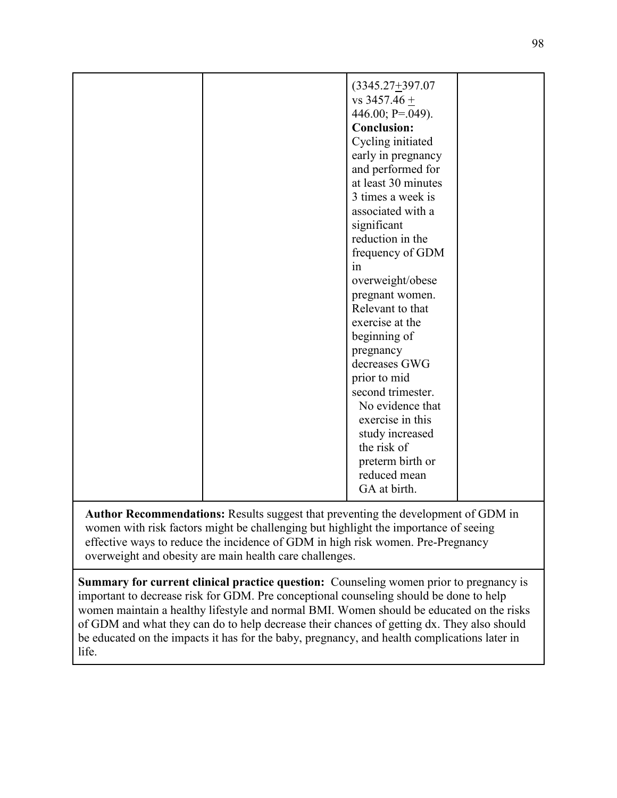| $(3345.27 + 397.07$<br>$vs$ 3457.46 +<br>446.00; P=.049).<br><b>Conclusion:</b><br>Cycling initiated<br>early in pregnancy<br>and performed for<br>at least 30 minutes<br>3 times a week is<br>associated with a<br>significant<br>reduction in the<br>frequency of GDM<br>1n<br>overweight/obese<br>pregnant women.<br>Relevant to that<br>exercise at the<br>beginning of<br>pregnancy<br>decreases GWG<br>prior to mid<br>second trimester.<br>No evidence that |  |
|--------------------------------------------------------------------------------------------------------------------------------------------------------------------------------------------------------------------------------------------------------------------------------------------------------------------------------------------------------------------------------------------------------------------------------------------------------------------|--|
|                                                                                                                                                                                                                                                                                                                                                                                                                                                                    |  |
| exercise in this<br>study increased<br>the risk of<br>preterm birth or<br>reduced mean<br>GA at birth.                                                                                                                                                                                                                                                                                                                                                             |  |

**Author Recommendations:** Results suggest that preventing the development of GDM in women with risk factors might be challenging but highlight the importance of seeing effective ways to reduce the incidence of GDM in high risk women. Pre-Pregnancy overweight and obesity are main health care challenges.

**Summary for current clinical practice question:** Counseling women prior to pregnancy is important to decrease risk for GDM. Pre conceptional counseling should be done to help women maintain a healthy lifestyle and normal BMI. Women should be educated on the risks of GDM and what they can do to help decrease their chances of getting dx. They also should be educated on the impacts it has for the baby, pregnancy, and health complications later in life.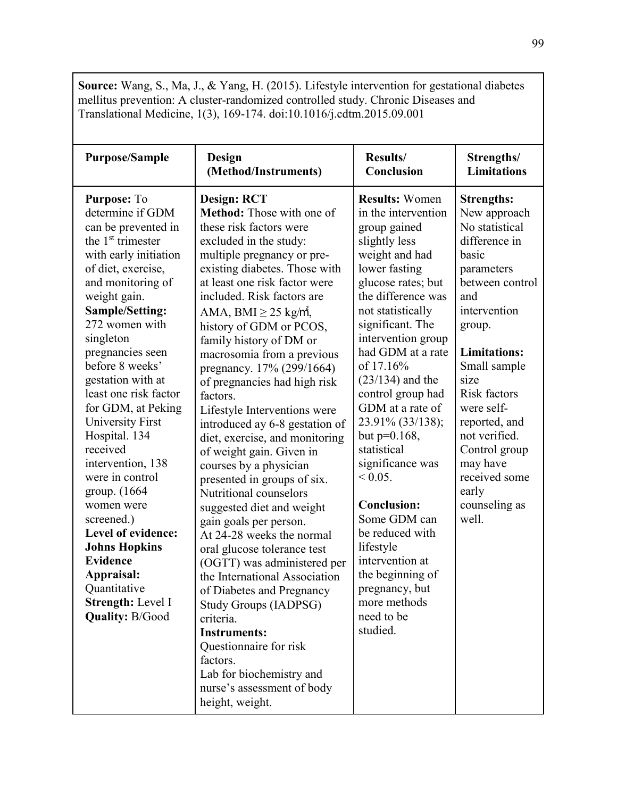**Source:** Wang, S., Ma, J., & Yang, H. (2015). Lifestyle intervention for gestational diabetes mellitus prevention: A cluster-randomized controlled study. Chronic Diseases and Translational Medicine, 1(3), 169-174. doi:10.1016/j.cdtm.2015.09.001

| <b>Purpose/Sample</b>                                                                                                                                                                                                                                                                                                                                                                                                                                                                                                                                                                                                               | Design                                                                                                                                                                                                                                                                                                                                                                                                                                                                                                                                                                                                                                                                                                                                                                                                                                                                                                                                                                                                                                         | Results/                                                                                                                                                                                                                                                                                                                                                                                                                                                                                                                                                                                      | Strengths/                                                                                                                                                                                                                                                                                                                                             |
|-------------------------------------------------------------------------------------------------------------------------------------------------------------------------------------------------------------------------------------------------------------------------------------------------------------------------------------------------------------------------------------------------------------------------------------------------------------------------------------------------------------------------------------------------------------------------------------------------------------------------------------|------------------------------------------------------------------------------------------------------------------------------------------------------------------------------------------------------------------------------------------------------------------------------------------------------------------------------------------------------------------------------------------------------------------------------------------------------------------------------------------------------------------------------------------------------------------------------------------------------------------------------------------------------------------------------------------------------------------------------------------------------------------------------------------------------------------------------------------------------------------------------------------------------------------------------------------------------------------------------------------------------------------------------------------------|-----------------------------------------------------------------------------------------------------------------------------------------------------------------------------------------------------------------------------------------------------------------------------------------------------------------------------------------------------------------------------------------------------------------------------------------------------------------------------------------------------------------------------------------------------------------------------------------------|--------------------------------------------------------------------------------------------------------------------------------------------------------------------------------------------------------------------------------------------------------------------------------------------------------------------------------------------------------|
|                                                                                                                                                                                                                                                                                                                                                                                                                                                                                                                                                                                                                                     | (Method/Instruments)                                                                                                                                                                                                                                                                                                                                                                                                                                                                                                                                                                                                                                                                                                                                                                                                                                                                                                                                                                                                                           | Conclusion                                                                                                                                                                                                                                                                                                                                                                                                                                                                                                                                                                                    | <b>Limitations</b>                                                                                                                                                                                                                                                                                                                                     |
| Purpose: To<br>determine if GDM<br>can be prevented in<br>the 1 <sup>st</sup> trimester<br>with early initiation<br>of diet, exercise,<br>and monitoring of<br>weight gain.<br>Sample/Setting:<br>272 women with<br>singleton<br>pregnancies seen<br>before 8 weeks'<br>gestation with at<br>least one risk factor<br>for GDM, at Peking<br><b>University First</b><br>Hospital. 134<br>received<br>intervention, 138<br>were in control<br>group. (1664)<br>women were<br>screened.)<br>Level of evidence:<br><b>Johns Hopkins</b><br><b>Evidence</b><br>Appraisal:<br>Quantitative<br>Strength: Level I<br><b>Quality: B/Good</b> | <b>Design: RCT</b><br>Method: Those with one of<br>these risk factors were<br>excluded in the study:<br>multiple pregnancy or pre-<br>existing diabetes. Those with<br>at least one risk factor were<br>included. Risk factors are<br>AMA, $BMI \geq 25$ kg/m,<br>history of GDM or PCOS,<br>family history of DM or<br>macrosomia from a previous<br>pregnancy. 17% (299/1664)<br>of pregnancies had high risk<br>factors.<br>Lifestyle Interventions were<br>introduced ay 6-8 gestation of<br>diet, exercise, and monitoring<br>of weight gain. Given in<br>courses by a physician<br>presented in groups of six.<br>Nutritional counselors<br>suggested diet and weight<br>gain goals per person.<br>At 24-28 weeks the normal<br>oral glucose tolerance test<br>(OGTT) was administered per<br>the International Association<br>of Diabetes and Pregnancy<br>Study Groups (IADPSG)<br>criteria.<br><b>Instruments:</b><br>Questionnaire for risk<br>factors.<br>Lab for biochemistry and<br>nurse's assessment of body<br>height, weight. | <b>Results: Women</b><br>in the intervention<br>group gained<br>slightly less<br>weight and had<br>lower fasting<br>glucose rates; but<br>the difference was<br>not statistically<br>significant. The<br>intervention group<br>had GDM at a rate<br>of 17.16%<br>$(23/134)$ and the<br>control group had<br>GDM at a rate of<br>23.91% (33/138);<br>but $p=0.168$ ,<br>statistical<br>significance was<br>$< 0.05$ .<br><b>Conclusion:</b><br>Some GDM can<br>be reduced with<br>lifestyle<br>intervention at<br>the beginning of<br>pregnancy, but<br>more methods<br>need to be<br>studied. | <b>Strengths:</b><br>New approach<br>No statistical<br>difference in<br>basic<br>parameters<br>between control<br>and<br>intervention<br>group.<br><b>Limitations:</b><br>Small sample<br>size<br><b>Risk factors</b><br>were self-<br>reported, and<br>not verified.<br>Control group<br>may have<br>received some<br>early<br>counseling as<br>well. |